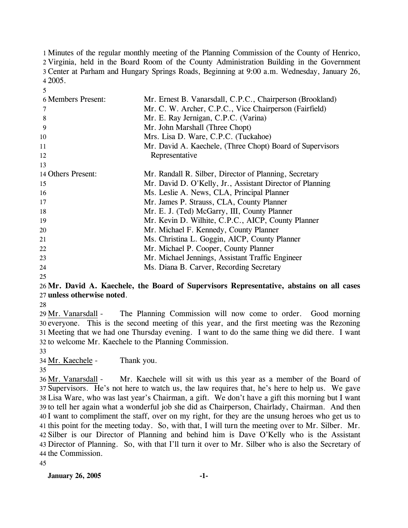Minutes of the regular monthly meeting of the Planning Commission of the County of Henrico, Virginia, held in the Board Room of the County Administration Building in the Government Center at Parham and Hungary Springs Roads, Beginning at 9:00 a.m. Wednesday, January 26, 4 2005.

| 6 Members Present: | Mr. Ernest B. Vanarsdall, C.P.C., Chairperson (Brookland) |
|--------------------|-----------------------------------------------------------|
| 7                  | Mr. C. W. Archer, C.P.C., Vice Chairperson (Fairfield)    |
| 8                  | Mr. E. Ray Jernigan, C.P.C. (Varina)                      |
| 9                  | Mr. John Marshall (Three Chopt)                           |
| 10                 | Mrs. Lisa D. Ware, C.P.C. (Tuckahoe)                      |
| 11                 | Mr. David A. Kaechele, (Three Chopt) Board of Supervisors |
| 12                 | Representative                                            |
| 13                 |                                                           |
| 14 Others Present: | Mr. Randall R. Silber, Director of Planning, Secretary    |
| 15                 | Mr. David D. O'Kelly, Jr., Assistant Director of Planning |
| 16                 | Ms. Leslie A. News, CLA, Principal Planner                |
| 17                 | Mr. James P. Strauss, CLA, County Planner                 |
| 18                 | Mr. E. J. (Ted) McGarry, III, County Planner              |
| 19                 | Mr. Kevin D. Wilhite, C.P.C., AICP, County Planner        |
| 20                 | Mr. Michael F. Kennedy, County Planner                    |
| 21                 | Ms. Christina L. Goggin, AICP, County Planner             |
| 22                 | Mr. Michael P. Cooper, County Planner                     |
| 23                 | Mr. Michael Jennings, Assistant Traffic Engineer          |
| 24                 | Ms. Diana B. Carver, Recording Secretary                  |

#### 25

5

## 26 **Mr. David A. Kaechele, the Board of Supervisors Representative, abstains on all cases**  27 **unless otherwise noted**.

28

The Planning Commission will now come to order. Good morning 30 everyone. This is the second meeting of this year, and the first meeting was the Rezoning 31 Meeting that we had one Thursday evening. I want to do the same thing we did there. I want 32 to welcome Mr. Kaechele to the Planning Commission. 29 Mr. Vanarsdall -

33

34 Mr. Kaechele - Thank you.

35

Mr. Kaechele will sit with us this year as a member of the Board of 37 Supervisors. He's not here to watch us, the law requires that, he's here to help us. We gave Lisa Ware, who was last year's Chairman, a gift. We don't have a gift this morning but I want 38 39 to tell her again what a wonderful job she did as Chairperson, Chairlady, Chairman. And then 40 I want to compliment the staff, over on my right, for they are the unsung heroes who get us to 41 this point for the meeting today. So, with that, I will turn the meeting over to Mr. Silber. Mr. 42 Silber is our Director of Planning and behind him is Dave O'Kelly who is the Assistant Director of Planning. So, with that I'll turn it over to Mr. Silber who is also the Secretary of 43 44 the Commission. 36 Mr. Vanarsdall -

45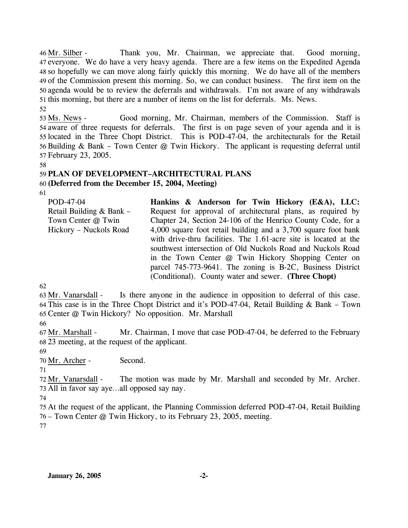Thank you, Mr. Chairman, we appreciate that. Good morning, 47 everyone. We do have a very heavy agenda. There are a few items on the Expedited Agenda 48 so hopefully we can move along fairly quickly this morning. We do have all of the members 49 of the Commission present this morning. So, we can conduct business. The first item on the 50 agenda would be to review the deferrals and withdrawals. I'm not aware of any withdrawals 51 this morning, but there are a number of items on the list for deferrals. Ms. News.  $46$  Mr. Silber -52

Good morning, Mr. Chairman, members of the Commission. Staff is 54 aware of three requests for deferrals. The first is on page seven of your agenda and it is 55 located in the Three Chopt District. This is POD-47-04, the architecturals for the Retail 56 Building & Bank – Town Center  $@$  Twin Hickory. The applicant is requesting deferral until 57 February 23, 2005. 53 Ms. News -

58

## 59 **PLAN OF DEVELOPMENT–ARCHITECTURAL PLANS**

60 **(Deferred from the December 15, 2004, Meeting)** 

61

| POD-47-04<br>Retail Building $& Bank -$<br>Town Center @ Twin<br>Hickory - Nuckols Road | Hankins & Anderson for Twin Hickory (E&A), LLC:<br>Request for approval of architectural plans, as required by<br>Chapter 24, Section 24-106 of the Henrico County Code, for a<br>4,000 square foot retail building and a 3,700 square foot bank<br>with drive-thru facilities. The 1.61-acre site is located at the<br>southwest intersection of Old Nuckols Road and Nuckols Road<br>in the Town Center @ Twin Hickory Shopping Center on<br>parcel 745-773-9641. The zoning is B-2C, Business District |
|-----------------------------------------------------------------------------------------|-----------------------------------------------------------------------------------------------------------------------------------------------------------------------------------------------------------------------------------------------------------------------------------------------------------------------------------------------------------------------------------------------------------------------------------------------------------------------------------------------------------|
|                                                                                         | (Conditional). County water and sewer. (Three Chopt)                                                                                                                                                                                                                                                                                                                                                                                                                                                      |

62

Is there anyone in the audience in opposition to deferral of this case. This case is in the Three Chopt District and it's POD-47-04, Retail Building & Bank – Town 64 65 Center @ Twin Hickory? No opposition. Mr. Marshall 63 Mr. Vanarsdall -

66

Mr. Chairman, I move that case POD-47-04, be deferred to the February 23 meeting, at the request of the applicant. 68 67 Mr. Marshall -

69

70 Mr. Archer - Second.

71

The motion was made by Mr. Marshall and seconded by Mr. Archer. 73 All in favor say aye...all opposed say nay. 72 Mr. Vanarsdall -

74

75 At the request of the applicant, the Planning Commission deferred POD-47-04, Retail Building 76 – Town Center @ Twin Hickory, to its February 23, 2005, meeting. 77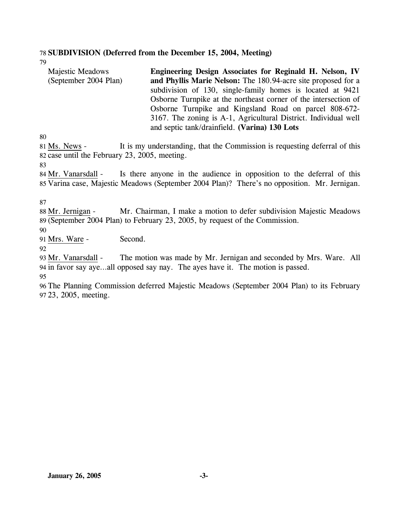### 78 **SUBDIVISION (Deferred from the December 15, 2004, Meeting)**

79

| <b>Majestic Meadows</b> | Engineering Design Associates for Reginald H. Nelson, IV        |
|-------------------------|-----------------------------------------------------------------|
| (September 2004 Plan)   | and Phyllis Marie Nelson: The 180.94-acre site proposed for a   |
|                         | subdivision of 130, single-family homes is located at 9421      |
|                         | Osborne Turnpike at the northeast corner of the intersection of |
|                         | Osborne Turnpike and Kingsland Road on parcel 808-672-          |
|                         | 3167. The zoning is A-1, Agricultural District. Individual well |
|                         | and septic tank/drainfield. (Varina) 130 Lots                   |

80

It is my understanding, that the Commission is requesting deferral of this 82 case until the February 23, 2005, meeting. 81 Ms. News -

83

Is there anyone in the audience in opposition to the deferral of this 85 Varina case, Majestic Meadows (September 2004 Plan)? There's no opposition. Mr. Jernigan. 84 Mr. Vanarsdall -

87

Mr. Chairman, I make a motion to defer subdivision Majestic Meadows (September 2004 Plan) to February 23, 2005, by request of the Commission. 89 88 Mr. Jernigan -

90

91 Mrs. Ware - Second.

92

The motion was made by Mr. Jernigan and seconded by Mrs. Ware. All 94 in favor say aye...all opposed say nay. The ayes have it. The motion is passed. 93 Mr. Vanarsdall -95

96 The Planning Commission deferred Majestic Meadows (September 2004 Plan) to its February 97 23, 2005, meeting.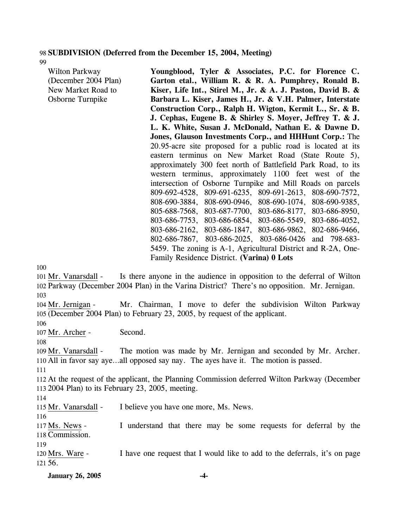#### 98 **SUBDIVISION (Deferred from the December 15, 2004, Meeting)**

99

| Wilton Parkway       | Youngblood, Tyler & Associates, P.C. for Florence C.                    |
|----------------------|-------------------------------------------------------------------------|
| (December 2004 Plan) | Garton etal., William R. & R. A. Pumphrey, Ronald B.                    |
| New Market Road to   | Kiser, Life Int., Stirel M., Jr. & A. J. Paston, David B. &             |
| Osborne Turnpike     | Barbara L. Kiser, James H., Jr. & V.H. Palmer, Interstate               |
|                      | Construction Corp., Ralph H. Wigton, Kermit L., Sr. & B.                |
|                      | J. Cephas, Eugene B. & Shirley S. Moyer, Jeffrey T. & J.                |
|                      | L. K. White, Susan J. McDonald, Nathan E. & Dawne D.                    |
|                      | Jones, Glauson Investments Corp., and HHHunt Corp.: The                 |
|                      | 20.95-acre site proposed for a public road is located at its            |
|                      | eastern terminus on New Market Road (State Route 5),                    |
|                      | approximately 300 feet north of Battlefield Park Road, to its           |
|                      | western terminus, approximately 1100 feet west of the                   |
|                      | intersection of Osborne Turnpike and Mill Roads on parcels              |
|                      | 809-692-4528, 809-691-6235, 809-691-2613, 808-690-7572,                 |
|                      | 808-690-3884, 808-690-0946, 808-690-1074, 808-690-9385,                 |
|                      | 805-688-7568, 803-687-7700, 803-686-8177, 803-686-8950,                 |
|                      | 803-686-7753, 803-686-6854, 803-686-5549, 803-686-4052,                 |
|                      | 803-686-2162, 803-686-1847, 803-686-9862, 802-686-9466,                 |
|                      | 802-686-7867, 803-686-2025, 803-686-0426 and 798-683-                   |
|                      | 5459. The zoning is A-1, Agricultural District and R-2A, One-           |
|                      | Family Residence District. (Varina) 0 Lots                              |
| Ю                    |                                                                         |
| u Mr. Vonoredoll     | Is there anyone in the audience in opposition to the deferral of Wilton |

100

Is there anyone in the audience in opposition to the deferral of Wilton 102 Parkway (December 2004 Plan) in the Varina District? There's no opposition. Mr. Jernigan. 101 Mr. Vanarsdall -103

Mr. Chairman, I move to defer the subdivision Wilton Parkway 105 (December 2004 Plan) to February 23, 2005, by request of the applicant. 104 Mr. Jernigan -

106

107 Mr. Archer - Second.

108

The motion was made by Mr. Jernigan and seconded by Mr. Archer. 110 All in favor say aye...all opposed say nay. The ayes have it. The motion is passed. 109 Mr. Vanarsdall -

111

112 At the request of the applicant, the Planning Commission deferred Wilton Parkway (December 113 2004 Plan) to its February 23, 2005, meeting.

114

115 Mr. Vanarsdall - I believe you have one more, Ms. News.

116

I understand that there may be some requests for deferral by the 118 Commission. 117 Ms. News -

119

I have one request that I would like to add to the deferrals, it's on page 56. 121 120 Mrs. Ware -

**January 26, 2005 -4-**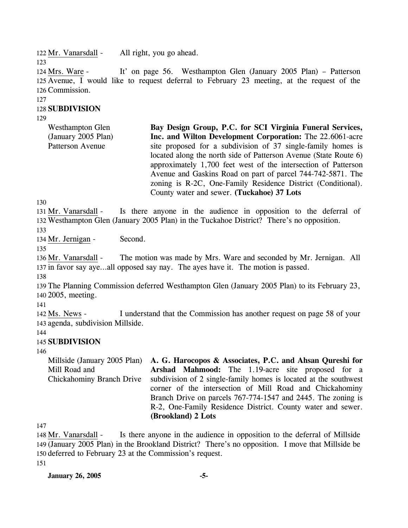122 Mr. Vanarsdall - All right, you go ahead.

123

It' on page 56. Westhampton Glen (January 2005 Plan) – Patterson 125 Avenue, I would like to request deferral to February 23 meeting, at the request of the 126 Commission. 124 Mrs. Ware -

127

## 128 **SUBDIVISION**

129

Westhampton Glen (January 2005 Plan) Patterson Avenue **Bay Design Group, P.C. for SCI Virginia Funeral Services, Inc. and Wilton Development Corporation:** The 22.6061-acre site proposed for a subdivision of 37 single-family homes is located along the north side of Patterson Avenue (State Route 6) approximately 1,700 feet west of the intersection of Patterson Avenue and Gaskins Road on part of parcel 744-742-5871. The zoning is R-2C, One-Family Residence District (Conditional). County water and sewer. **(Tuckahoe) 37 Lots** 

130

Is there anyone in the audience in opposition to the deferral of Westhampton Glen (January 2005 Plan) in the Tuckahoe District? There's no opposition. 132 131 Mr. Vanarsdall -

133

134 Mr. Jernigan - Second.

135

The motion was made by Mrs. Ware and seconded by Mr. Jernigan. All 137 in favor say aye...all opposed say nay. The ayes have it. The motion is passed. 136 Mr. Vanarsdall -

138

139 The Planning Commission deferred Westhampton Glen (January 2005 Plan) to its February 23, 140 2005, meeting.

141

I understand that the Commission has another request on page 58 of your 143 agenda, subdivision Millside. 142 Ms. News -

144

## 145 **SUBDIVISION**

146

Millside (January 2005 Plan) Mill Road and Chickahominy Branch Drive **A. G. Harocopos & Associates, P.C. and Ahsan Qureshi for Arshad Mahmood:** The 1.19-acre site proposed for a subdivision of 2 single-family homes is located at the southwest corner of the intersection of Mill Road and Chickahominy Branch Drive on parcels 767-774-1547 and 2445. The zoning is R-2, One-Family Residence District. County water and sewer. **(Brookland) 2 Lots** 

147

Is there anyone in the audience in opposition to the deferral of Millside (January 2005 Plan) in the Brookland District? There's no opposition. I move that Millside be 149 150 deferred to February 23 at the Commission's request. 148 Mr. Vanarsdall -

151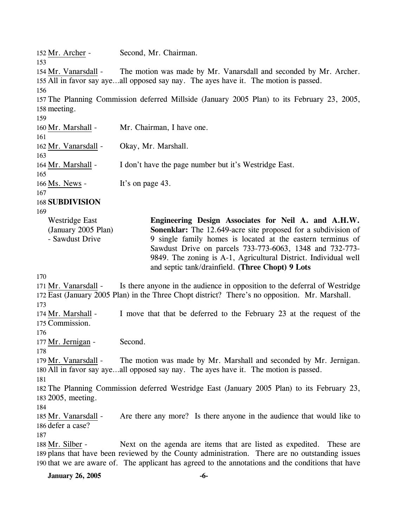152 Mr. Archer - Second, Mr. Chairman. 153 The motion was made by Mr. Vanarsdall and seconded by Mr. Archer. 155 All in favor say aye...all opposed say nay. The ayes have it. The motion is passed. 154 Mr. Vanarsdall -156 157 The Planning Commission deferred Millside (January 2005 Plan) to its February 23, 2005, 158 meeting. 159 160 Mr. Marshall - Mr. Chairman, I have one. 161 162 Mr. Vanarsdall - Okay, Mr. Marshall. 163 164 Mr. Marshall - I don't have the page number but it's Westridge East. 165 166 Ms. News - It's on page 43. 167 168 **SUBDIVISION**  169 170 Westridge East (January 2005 Plan) - Sawdust Drive **Engineering Design Associates for Neil A. and A.H.W. Sonenklar:** The 12.649-acre site proposed for a subdivision of 9 single family homes is located at the eastern terminus of Sawdust Drive on parcels 733-773-6063, 1348 and 732-773- 9849. The zoning is A-1, Agricultural District. Individual well and septic tank/drainfield. **(Three Chopt) 9 Lots**  Is there anyone in the audience in opposition to the deferral of Westridge East (January 2005 Plan) in the Three Chopt district? There's no opposition. Mr. Marshall. 172 171 Mr. Vanarsdall -173 I move that that be deferred to the February 23 at the request of the 175 Commission. 174 Mr. Marshall -176 177 Mr. Jernigan - Second. 178 The motion was made by Mr. Marshall and seconded by Mr. Jernigan. 180 All in favor say aye...all opposed say nay. The ayes have it. The motion is passed. 179 Mr. Vanarsdall -181 182 The Planning Commission deferred Westridge East (January 2005 Plan) to its February 23, 183 2005, meeting. 184 Are there any more? Is there anyone in the audience that would like to 186 defer a case? 185 Mr. Vanarsdall -187 Next on the agenda are items that are listed as expedited. These are 189 plans that have been reviewed by the County administration. There are no outstanding issues 190 that we are aware of. The applicant has agreed to the annotations and the conditions that have 188 Mr. Silber -

**January 26, 2005 -6-**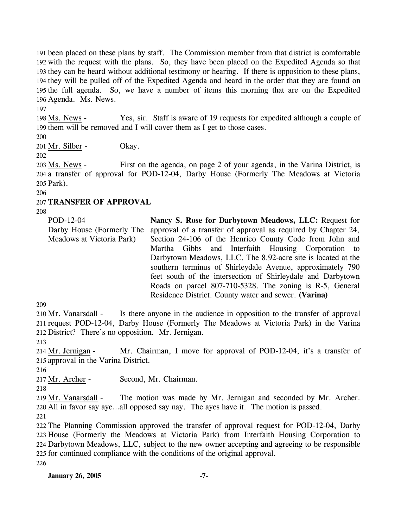been placed on these plans by staff. The Commission member from that district is comfortable with the request with the plans. So, they have been placed on the Expedited Agenda so that they can be heard without additional testimony or hearing. If there is opposition to these plans, they will be pulled off of the Expedited Agenda and heard in the order that they are found on the full agenda. So, we have a number of items this morning that are on the Expedited Agenda. Ms. News.

197

Yes, sir. Staff is aware of 19 requests for expedited although a couple of 199 them will be removed and I will cover them as I get to those cases. 198 Ms. News -

200

201 Mr. Silber - Okay.

202

First on the agenda, on page 2 of your agenda, in the Varina District, is 204 a transfer of approval for POD-12-04, Darby House (Formerly The Meadows at Victoria 205 Park). 203 Ms. News -

206

## 207 **TRANSFER OF APPROVAL**

208

| POD-12-04                 | Nancy S. Rose for Darbytown Meadows, LLC: Request for         |
|---------------------------|---------------------------------------------------------------|
| Darby House (Formerly The | approval of a transfer of approval as required by Chapter 24, |
| Meadows at Victoria Park) | Section 24-106 of the Henrico County Code from John and       |
|                           | Martha Gibbs and Interfaith Housing Corporation to            |
|                           | Darbytown Meadows, LLC. The 8.92-acre site is located at the  |
|                           | southern terminus of Shirleydale Avenue, approximately 790    |
|                           | feet south of the intersection of Shirleydale and Darbytown   |
|                           | Roads on parcel 807-710-5328. The zoning is R-5, General      |
|                           | Residence District. County water and sewer. (Varina)          |

209

Is there anyone in the audience in opposition to the transfer of approval 211 request POD-12-04, Darby House (Formerly The Meadows at Victoria Park) in the Varina 212 District? There's no opposition. Mr. Jernigan. 210 Mr. Vanarsdall -

213

Mr. Chairman, I move for approval of POD-12-04, it's a transfer of 215 approval in the Varina District. 214 Mr. Jernigan -

216

217 Mr. Archer - Second, Mr. Chairman.

218

The motion was made by Mr. Jernigan and seconded by Mr. Archer. All in favor say aye…all opposed say nay. The ayes have it. The motion is passed. 220 219 Mr. Vanarsdall -

221

 The Planning Commission approved the transfer of approval request for POD-12-04, Darby House (Formerly the Meadows at Victoria Park) from Interfaith Housing Corporation to Darbytown Meadows, LLC, subject to the new owner accepting and agreeing to be responsible for continued compliance with the conditions of the original approval. 226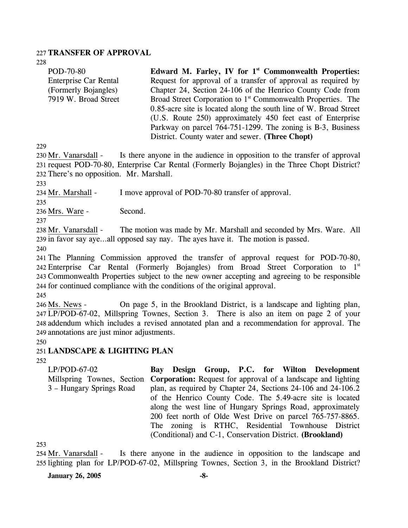### 227 **TRANSFER OF APPROVAL**

228

| POD-70-80                    | Edward M. Farley, IV for $1st$ Commonwealth Properties:                  |
|------------------------------|--------------------------------------------------------------------------|
| <b>Enterprise Car Rental</b> | Request for approval of a transfer of approval as required by            |
| (Formerly Bojangles)         | Chapter 24, Section 24-106 of the Henrico County Code from               |
| 7919 W. Broad Street         | Broad Street Corporation to 1 <sup>st</sup> Commonwealth Properties. The |
|                              | 0.85-acre site is located along the south line of W. Broad Street        |
|                              | (U.S. Route 250) approximately 450 feet east of Enterprise               |
|                              | Parkway on parcel 764-751-1299. The zoning is B-3, Business              |
|                              | District. County water and sewer. (Three Chopt)                          |

229

Is there anyone in the audience in opposition to the transfer of approval 231 request POD-70-80, Enterprise Car Rental (Formerly Bojangles) in the Three Chopt District? 232 There's no opposition. Mr. Marshall. 230 Mr. Vanarsdall -

233

234 Mr. Marshall - I move approval of POD-70-80 transfer of approval.

235

236 Mrs. Ware - Second.

237

The motion was made by Mr. Marshall and seconded by Mrs. Ware. All 239 in favor say aye...all opposed say nay. The ayes have it. The motion is passed. 238 Mr. Vanarsdall -

240

 The Planning Commission approved the transfer of approval request for POD-70-80, 242 Enterprise Car Rental (Formerly Bojangles) from Broad Street Corporation to 1<sup>st</sup> Commonwealth Properties subject to the new owner accepting and agreeing to be responsible for continued compliance with the conditions of the original approval.

245

On page 5, in the Brookland District, is a landscape and lighting plan, LP/POD-67-02, Millspring Townes, Section 3. There is also an item on page 2 of your 247 248 addendum which includes a revised annotated plan and a recommendation for approval. The annotations are just minor adjustments. 249 246 Ms. News -

250

### 251 **LANDSCAPE & LIGHTING PLAN**

252

LP/POD-67-02 Millspring Townes, Section **Corporation:** Request for approval of a landscape and lighting 3 – Hungary Springs Road **Bay Design Group, P.C. for Wilton Development**  plan, as required by Chapter 24, Sections 24-106 and 24-106.2 of the Henrico County Code. The 5.49-acre site is located along the west line of Hungary Springs Road, approximately 200 feet north of Olde West Drive on parcel 765-757-8865. The zoning is RTHC, Residential Townhouse District (Conditional) and C-1, Conservation District. **(Brookland)** 

253

Is there anyone in the audience in opposition to the landscape and 255 lighting plan for LP/POD-67-02, Millspring Townes, Section 3, in the Brookland District? 254 Mr. Vanarsdall -

**January 26, 2005 -8-**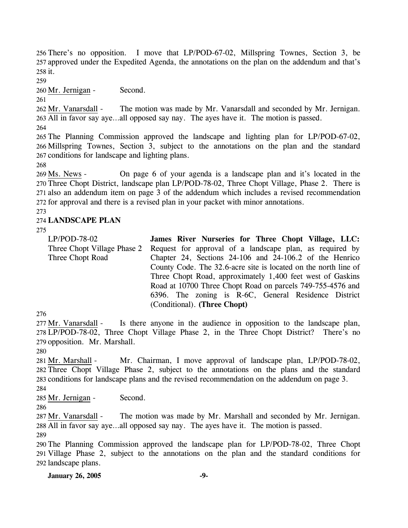256 There's no opposition. I move that LP/POD-67-02, Millspring Townes, Section 3, be 257 approved under the Expedited Agenda, the annotations on the plan on the addendum and that's 258 it.

259

260 Mr. Jernigan - Second.

261

The motion was made by Mr. Vanarsdall and seconded by Mr. Jernigan. All in favor say aye…all opposed say nay. The ayes have it. The motion is passed. 263 262 Mr. Vanarsdall -

264

265 The Planning Commission approved the landscape and lighting plan for LP/POD-67-02, 266 Millspring Townes, Section 3, subject to the annotations on the plan and the standard 267 conditions for landscape and lighting plans.

268

On page 6 of your agenda is a landscape plan and it's located in the 270 Three Chopt District, landscape plan LP/POD-78-02, Three Chopt Village, Phase 2. There is 271 also an addendum item on page 3 of the addendum which includes a revised recommendation 272 for approval and there is a revised plan in your packet with minor annotations. 269 Ms. News -

## 273

## 274 **LANDSCAPE PLAN**

275

LP/POD-78-02 Three Chopt Village Phase 2 Three Chopt Road **James River Nurseries for Three Chopt Village, LLC:**  Request for approval of a landscape plan, as required by Chapter 24, Sections 24-106 and 24-106.2 of the Henrico County Code. The 32.6-acre site is located on the north line of Three Chopt Road, approximately 1,400 feet west of Gaskins Road at 10700 Three Chopt Road on parcels 749-755-4576 and 6396. The zoning is R-6C, General Residence District (Conditional). **(Three Chopt)** 

276

Is there anyone in the audience in opposition to the landscape plan, LP/POD-78-02, Three Chopt Village Phase 2, in the Three Chopt District? There's no 278 279 opposition. Mr. Marshall. 277 Mr. Vanarsdall -

280

Mr. Chairman, I move approval of landscape plan, LP/POD-78-02, Three Chopt Village Phase 2, subject to the annotations on the plans and the standard 282 283 conditions for landscape plans and the revised recommendation on the addendum on page 3. 281 Mr. Marshall -

284

285 Mr. Jernigan - Second.

286

The motion was made by Mr. Marshall and seconded by Mr. Jernigan. All in favor say aye…all opposed say nay. The ayes have it. The motion is passed. 288 287 Mr. Vanarsdall -

289

290 The Planning Commission approved the landscape plan for LP/POD-78-02, Three Chopt 291 Village Phase 2, subject to the annotations on the plan and the standard conditions for 292 landscape plans.

**January 26, 2005 -9-**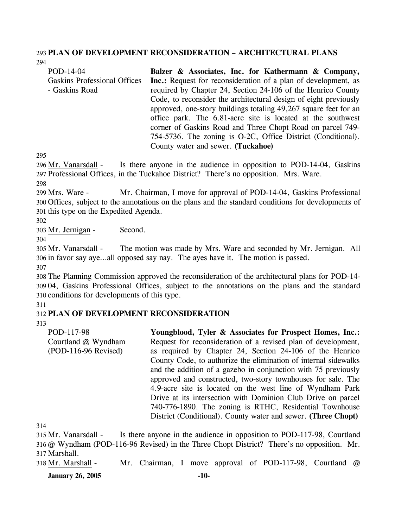#### 293 **PLAN OF DEVELOPMENT RECONSIDERATION – ARCHITECTURAL PLANS**  294

| POD-14-04                           | Balzer & Associates, Inc. for Kathermann & Company,                   |
|-------------------------------------|-----------------------------------------------------------------------|
| <b>Gaskins Professional Offices</b> | <b>Inc.:</b> Request for reconsideration of a plan of development, as |
| - Gaskins Road                      | required by Chapter 24, Section 24-106 of the Henrico County          |
|                                     | Code, to reconsider the architectural design of eight previously      |
|                                     | approved, one-story buildings totaling 49,267 square feet for an      |
|                                     | office park. The 6.81-acre site is located at the southwest           |
|                                     | corner of Gaskins Road and Three Chopt Road on parcel 749-            |
|                                     | 754-5736. The zoning is O-2C, Office District (Conditional).          |
|                                     | County water and sewer. (Tuckahoe)                                    |

295

Is there anyone in the audience in opposition to POD-14-04, Gaskins 297 Professional Offices, in the Tuckahoe District? There's no opposition. Mrs. Ware. 296 Mr. Vanarsdall -

298

Mr. Chairman, I move for approval of POD-14-04, Gaskins Professional 300 Offices, subject to the annotations on the plans and the standard conditions for developments of 301 this type on the Expedited Agenda. 299 Mrs. Ware -

302

303 Mr. Jernigan - Second.

304

The motion was made by Mrs. Ware and seconded by Mr. Jernigan. All 306 in favor say aye...all opposed say nay. The ayes have it. The motion is passed. 305 Mr. Vanarsdall -

307

308 The Planning Commission approved the reconsideration of the architectural plans for POD-14- 309 04, Gaskins Professional Offices, subject to the annotations on the plans and the standard 310 conditions for developments of this type.

311

## 312 **PLAN OF DEVELOPMENT RECONSIDERATION**

313

| POD-117-98           | Youngblood, Tyler & Associates for Prospect Homes, Inc.:        |
|----------------------|-----------------------------------------------------------------|
| Courtland @ Wyndham  | Request for reconsideration of a revised plan of development,   |
| (POD-116-96 Revised) | as required by Chapter 24, Section 24-106 of the Henrico        |
|                      | County Code, to authorize the elimination of internal sidewalks |
|                      | and the addition of a gazebo in conjunction with 75 previously  |
|                      | approved and constructed, two-story townhouses for sale. The    |
|                      | 4.9-acre site is located on the west line of Wyndham Park       |
|                      | Drive at its intersection with Dominion Club Drive on parcel    |
|                      | 740-776-1890. The zoning is RTHC, Residential Townhouse         |
|                      | District (Conditional). County water and sewer. (Three Chopt)   |

314

Is there anyone in the audience in opposition to POD-117-98, Courtland @ Wyndham (POD-116-96 Revised) in the Three Chopt District? There's no opposition. Mr. 316 Marshall. 317 315 Mr. Vanarsdall -

318 Mr. Marshall - Mr. Chairman, I move approval of POD-117-98, Courtland @

**January 26, 2005 -10-**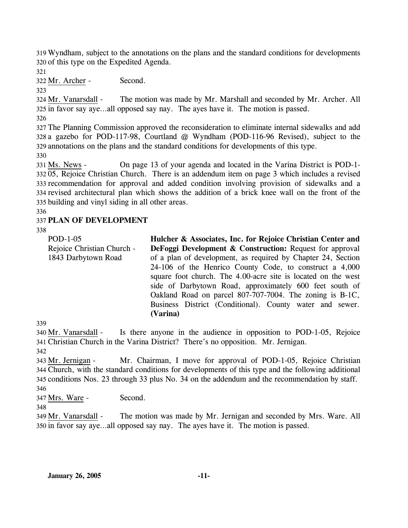319 Wyndham, subject to the annotations on the plans and the standard conditions for developments 320 of this type on the Expedited Agenda.

321

322 Mr. Archer - Second.

323

The motion was made by Mr. Marshall and seconded by Mr. Archer. All 325 in favor say aye...all opposed say nay. The ayes have it. The motion is passed. 324 Mr. Vanarsdall -

326

327 The Planning Commission approved the reconsideration to eliminate internal sidewalks and add 328 a gazebo for POD-117-98, Courtland @ Wyndham (POD-116-96 Revised), subject to the 329 annotations on the plans and the standard conditions for developments of this type.

330

On page 13 of your agenda and located in the Varina District is POD-1-05, Rejoice Christian Church. There is an addendum item on page 3 which includes a revised 332 333 recommendation for approval and added condition involving provision of sidewalks and a 334 revised architectural plan which shows the addition of a brick knee wall on the front of the 335 building and vinyl siding in all other areas. 331 Ms. News -

336

## 337 **PLAN OF DEVELOPMENT**

338

| POD-1-05                   | Hulcher & Associates, Inc. for Rejoice Christian Center and         |
|----------------------------|---------------------------------------------------------------------|
| Rejoice Christian Church - | <b>DeFoggi Development &amp; Construction:</b> Request for approval |
| 1843 Darbytown Road        | of a plan of development, as required by Chapter 24, Section        |
|                            | 24-106 of the Henrico County Code, to construct a 4,000             |
|                            | square foot church. The 4.00-acre site is located on the west       |
|                            | side of Darbytown Road, approximately 600 feet south of             |
|                            | Oakland Road on parcel 807-707-7004. The zoning is B-1C,            |
|                            | Business District (Conditional). County water and sewer.            |
|                            | (Varina)                                                            |
|                            |                                                                     |

Is there anyone in the audience in opposition to POD-1-05, Rejoice Christian Church in the Varina District? There's no opposition. Mr. Jernigan. 341 340 Mr. Vanarsdall -

342

339

Mr. Chairman, I move for approval of POD-1-05, Rejoice Christian Church, with the standard conditions for developments of this type and the following additional 344 345 conditions Nos. 23 through 33 plus No. 34 on the addendum and the recommendation by staff. 343 Mr. Jernigan -346

347 Mrs. Ware - Second.

348

The motion was made by Mr. Jernigan and seconded by Mrs. Ware. All 350 in favor say aye...all opposed say nay. The ayes have it. The motion is passed. 349 Mr. Vanarsdall -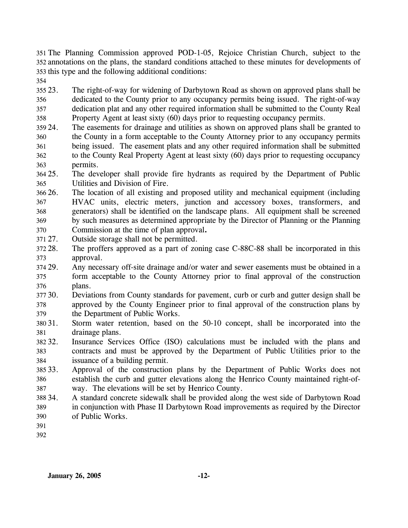351 The Planning Commission approved POD-1-05, Rejoice Christian Church, subject to the 352 annotations on the plans, the standard conditions attached to these minutes for developments of 353 this type and the following additional conditions:

354

355 23. 356 357 358 The right-of-way for widening of Darbytown Road as shown on approved plans shall be dedicated to the County prior to any occupancy permits being issued. The right-of-way dedication plat and any other required information shall be submitted to the County Real Property Agent at least sixty (60) days prior to requesting occupancy permits.

- 359 24. 360 361 362 363 The easements for drainage and utilities as shown on approved plans shall be granted to the County in a form acceptable to the County Attorney prior to any occupancy permits being issued. The easement plats and any other required information shall be submitted to the County Real Property Agent at least sixty (60) days prior to requesting occupancy permits.
- 364 25. 365 25. The developer shall provide fire hydrants as required by the Department of Public Utilities and Division of Fire.
- 366 26. 367 368 369 26. The location of all existing and proposed utility and mechanical equipment (including HVAC units, electric meters, junction and accessory boxes, transformers, and generators) shall be identified on the landscape plans. All equipment shall be screened by such measures as determined appropriate by the Director of Planning or the Planning
- 370 371 27. Commission at the time of plan approval**.** Outside storage shall not be permitted.
- 372 28. 373 The proffers approved as a part of zoning case C-88C-88 shall be incorporated in this approval.
- 374 29. 375 376 Any necessary off-site drainage and/or water and sewer easements must be obtained in a form acceptable to the County Attorney prior to final approval of the construction plans.
- 377 30. 378 379 30. Deviations from County standards for pavement, curb or curb and gutter design shall be approved by the County Engineer prior to final approval of the construction plans by the Department of Public Works.
- 380 31. 381 Storm water retention, based on the 50-10 concept, shall be incorporated into the drainage plans.
- 382 32. 383 384 Insurance Services Office (ISO) calculations must be included with the plans and contracts and must be approved by the Department of Public Utilities prior to the issuance of a building permit.
- 385 33. 386 387 Approval of the construction plans by the Department of Public Works does not establish the curb and gutter elevations along the Henrico County maintained right-ofway. The elevations will be set by Henrico County.
- 388 34. 389 390 34. A standard concrete sidewalk shall be provided along the west side of Darbytown Road in conjunction with Phase II Darbytown Road improvements as required by the Director of Public Works.
- 391
- 392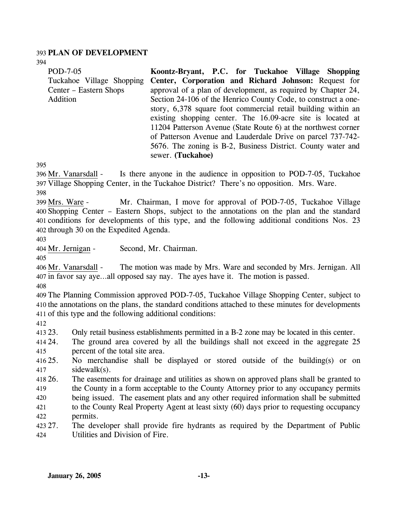### 393 **PLAN OF DEVELOPMENT**

394

| 394<br>POD-7-05<br>Tuckahoe Village Shopping<br>Center – Eastern Shops<br>Addition | Koontz-Bryant, P.C. for Tuckahoe Village Shopping<br>Center, Corporation and Richard Johnson: Request for<br>approval of a plan of development, as required by Chapter 24,<br>Section 24-106 of the Henrico County Code, to construct a one-<br>story, 6,378 square foot commercial retail building within an<br>existing shopping center. The 16.09-acre site is located at<br>11204 Patterson Avenue (State Route 6) at the northwest corner |
|------------------------------------------------------------------------------------|------------------------------------------------------------------------------------------------------------------------------------------------------------------------------------------------------------------------------------------------------------------------------------------------------------------------------------------------------------------------------------------------------------------------------------------------|
|                                                                                    | of Patterson Avenue and Lauderdale Drive on parcel 737-742-<br>5676. The zoning is B-2, Business District. County water and<br>sewer. (Tuckahoe)                                                                                                                                                                                                                                                                                               |
| 395<br>396 Mr. Vanarsdall -<br>398                                                 | Is there anyone in the audience in opposition to POD-7-05, Tuckahoe<br>397 Village Shopping Center, in the Tuckahoe District? There's no opposition. Mrs. Ware.                                                                                                                                                                                                                                                                                |
| 399 Mrs. Ware -<br>402 through 30 on the Expedited Agenda.<br>403                  | Mr. Chairman, I move for approval of POD-7-05, Tuckahoe Village<br>400 Shopping Center - Eastern Shops, subject to the annotations on the plan and the standard<br>401 conditions for developments of this type, and the following additional conditions Nos. 23                                                                                                                                                                               |
| 404 Mr. Jernigan -                                                                 | Second, Mr. Chairman.                                                                                                                                                                                                                                                                                                                                                                                                                          |
| 405<br>406 Mr. Vanarsdall -                                                        | The motion was made by Mrs. Ware and seconded by Mrs. Jernigan. All<br>407 in favor say ayeall opposed say nay. The ayes have it. The motion is passed.                                                                                                                                                                                                                                                                                        |
| 408<br>411 of this type and the following additional conditions:                   | 409 The Planning Commission approved POD-7-05, Tuckahoe Village Shopping Center, subject to<br>410 the annotations on the plans, the standard conditions attached to these minutes for developments                                                                                                                                                                                                                                            |
| 412<br>413 23.<br>414 24.<br>percent of the total site area.<br>415<br>416 25.     | Only retail business establishments permitted in a B-2 zone may be located in this center.<br>The ground area covered by all the buildings shall not exceed in the aggregate 25<br>No merchandise shall be displayed or stored outside of the building(s) or on                                                                                                                                                                                |
| sidewalk(s).<br>417<br>418 26.<br>419<br>420<br>421                                | The easements for drainage and utilities as shown on approved plans shall be granted to<br>the County in a form acceptable to the County Attorney prior to any occupancy permits<br>being issued. The easement plats and any other required information shall be submitted<br>to the County Real Property Agent at least sixty (60) days prior to requesting occupancy                                                                         |
| permits.<br>422<br>423 27.<br>Utilities and Division of Fire.<br>424               | The developer shall provide fire hydrants as required by the Department of Public                                                                                                                                                                                                                                                                                                                                                              |
|                                                                                    |                                                                                                                                                                                                                                                                                                                                                                                                                                                |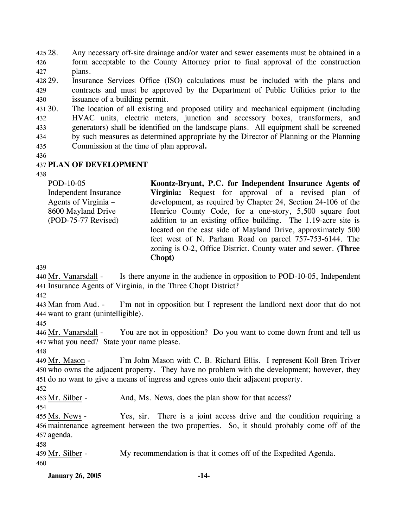425 28. 426 427 Any necessary off-site drainage and/or water and sewer easements must be obtained in a form acceptable to the County Attorney prior to final approval of the construction plans.

428 29. 429 430 Insurance Services Office (ISO) calculations must be included with the plans and contracts and must be approved by the Department of Public Utilities prior to the issuance of a building permit.

431 30. 432 433 434 435 The location of all existing and proposed utility and mechanical equipment (including HVAC units, electric meters, junction and accessory boxes, transformers, and generators) shall be identified on the landscape plans. All equipment shall be screened by such measures as determined appropriate by the Director of Planning or the Planning Commission at the time of plan approval**.**

436

### 437 **PLAN OF DEVELOPMENT**

438

| POD-10-05                    | Koontz-Bryant, P.C. for Independent Insurance Agents of        |
|------------------------------|----------------------------------------------------------------|
| <b>Independent Insurance</b> | Virginia: Request for approval of a revised plan of            |
| Agents of Virginia –         | development, as required by Chapter 24, Section 24-106 of the  |
| 8600 Mayland Drive           | Henrico County Code, for a one-story, 5,500 square foot        |
| (POD-75-77 Revised)          | addition to an existing office building. The 1.19-acre site is |
|                              | located on the east side of Mayland Drive, approximately 500   |
|                              | feet west of N. Parham Road on parcel 757-753-6144. The        |
|                              | zoning is O-2, Office District. County water and sewer. (Three |
|                              | Chopt)                                                         |

439

Is there anyone in the audience in opposition to POD-10-05, Independent 441 Insurance Agents of Virginia, in the Three Chopt District? 440 Mr. Vanarsdall -

442

I'm not in opposition but I represent the landlord next door that do not 444 want to grant (unintelligible). 443 Man from Aud. -

445

You are not in opposition? Do you want to come down front and tell us 447 what you need? State your name please. 446 Mr. Vanarsdall -

448

I'm John Mason with C. B. Richard Ellis. I represent Koll Bren Triver 450 who owns the adjacent property. They have no problem with the development; however, they 451 do no want to give a means of ingress and egress onto their adjacent property. 449 Mr. Mason -

452

453 Mr. Silber - And, Ms. News, does the plan show for that access?

454

Yes, sir. There is a joint access drive and the condition requiring a 456 maintenance agreement between the two properties. So, it should probably come off of the 457 agenda. 455 Ms. News -

458

459 Mr. Silber - My recommendation is that it comes off of the Expedited Agenda. 460

**January 26, 2005 -14-**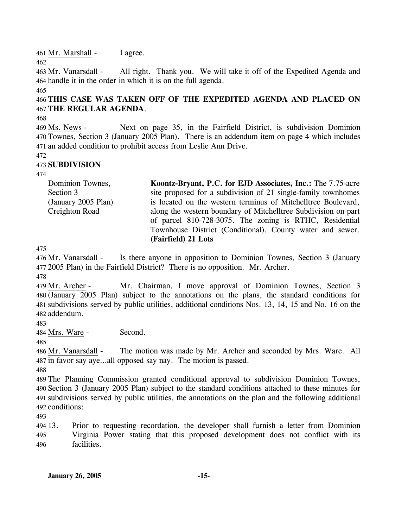461 Mr. Marshall - I agree.

462

All right. Thank you. We will take it off of the Expedited Agenda and 464 handle it in the order in which it is on the full agenda. 463 Mr. Vanarsdall -

465

# 466 **THIS CASE WAS TAKEN OFF OF THE EXPEDITED AGENDA AND PLACED ON**  467 **THE REGULAR AGENDA**.

468

Next on page 35, in the Fairfield District, is subdivision Dominion Townes, Section 3 (January 2005 Plan). There is an addendum item on page 4 which includes 470 471 an added condition to prohibit access from Leslie Ann Drive. 469 Ms. News -

472

## 473 **SUBDIVISION**

474

Dominion Townes, Section 3 (January 2005 Plan) Creighton Road **Koontz-Bryant, P.C. for EJD Associates, Inc.:** The 7.75-acre site proposed for a subdivision of 21 single-family townhomes is located on the western terminus of Mitchelltree Boulevard, along the western boundary of Mitchelltree Subdivision on part of parcel 810-728-3075. The zoning is RTHC, Residential Townhouse District (Conditional). County water and sewer. **(Fairfield) 21 Lots** 

475

Is there anyone in opposition to Dominion Townes, Section 3 (January 2005 Plan) in the Fairfield District? There is no opposition. Mr. Archer. 477 476 Mr. Vanarsdall -

478

Mr. Chairman, I move approval of Dominion Townes, Section 3 (January 2005 Plan) subject to the annotations on the plans, the standard conditions for 480 481 subdivisions served by public utilities, additional conditions Nos. 13, 14, 15 and No. 16 on the 482 addendum. 479 Mr. Archer -

483

484 Mrs. Ware - Second.

485

The motion was made by Mr. Archer and seconded by Mrs. Ware. All 487 in favor say aye...all opposed say nay. The motion is passed. 486 Mr. Vanarsdall -

488

 The Planning Commission granted conditional approval to subdivision Dominion Townes, Section 3 (January 2005 Plan) subject to the standard conditions attached to these minutes for subdivisions served by public utilities, the annotations on the plan and the following additional conditions:

493

494 13. 495 496 13. Prior to requesting recordation, the developer shall furnish a letter from Dominion Virginia Power stating that this proposed development does not conflict with its facilities.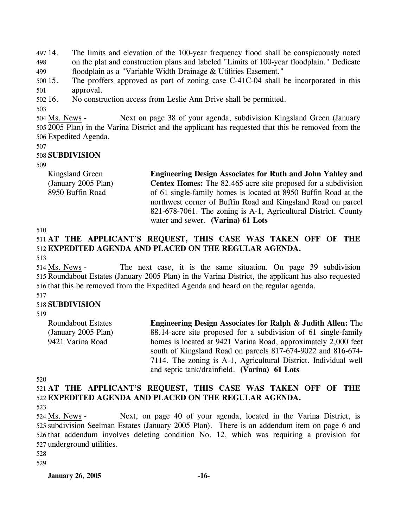497 14. 498 499 The limits and elevation of the 100-year frequency flood shall be conspicuously noted on the plat and construction plans and labeled "Limits of 100-year floodplain." Dedicate floodplain as a "Variable Width Drainage & Utilities Easement."

500 15. 501 The proffers approved as part of zoning case  $C-41C-04$  shall be incorporated in this approval.

502 16. 16. No construction access from Leslie Ann Drive shall be permitted.

503

Next on page 38 of your agenda, subdivision Kingsland Green (January 2005 Plan) in the Varina District and the applicant has requested that this be removed from the 505 506 Expedited Agenda. 504 Ms. News -

507

#### 508 **SUBDIVISION**

509

Kingsland Green (January 2005 Plan) 8950 Buffin Road **Engineering Design Associates for Ruth and John Yahley and Centex Homes:** The 82.465-acre site proposed for a subdivision of 61 single-family homes is located at 8950 Buffin Road at the northwest corner of Buffin Road and Kingsland Road on parcel 821-678-7061. The zoning is A-1, Agricultural District. County

water and sewer. **(Varina) 61 Lots** 

510

### 511 **AT THE APPLICANT'S REQUEST, THIS CASE WAS TAKEN OFF OF THE**  512 **EXPEDITED AGENDA AND PLACED ON THE REGULAR AGENDA.**  513

The next case, it is the same situation. On page 39 subdivision 515 Roundabout Estates (January 2005 Plan) in the Varina District, the applicant has also requested 516 that this be removed from the Expedited Agenda and heard on the regular agenda. 514 Ms. News -

# 518 **SUBDIVISION**

519

517

Roundabout Estates (January 2005 Plan) 9421 Varina Road **Engineering Design Associates for Ralph & Judith Allen:** The 88.14-acre site proposed for a subdivision of 61 single-family homes is located at 9421 Varina Road, approximately 2,000 feet south of Kingsland Road on parcels 817-674-9022 and 816-674- 7114. The zoning is A-1, Agricultural District. Individual well

and septic tank/drainfield. **(Varina) 61 Lots** 

520

521 **AT THE APPLICANT'S REQUEST, THIS CASE WAS TAKEN OFF OF THE**  522 **EXPEDITED AGENDA AND PLACED ON THE REGULAR AGENDA.** 

523

Next, on page 40 of your agenda, located in the Varina District, is 525 subdivision Seelman Estates (January 2005 Plan). There is an addendum item on page 6 and 526 that addendum involves deleting condition No. 12, which was requiring a provision for 527 underground utilities. 524 Ms. News -

528

529

**January 26, 2005 -16-**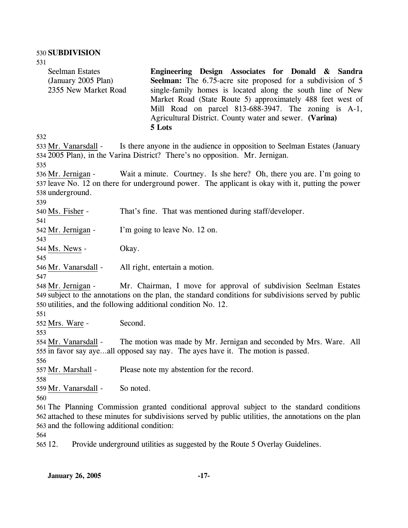| 531                                                                   |                                                                                                                                                                                                                                                                                                                                                                           |
|-----------------------------------------------------------------------|---------------------------------------------------------------------------------------------------------------------------------------------------------------------------------------------------------------------------------------------------------------------------------------------------------------------------------------------------------------------------|
| <b>Seelman Estates</b><br>(January 2005 Plan)<br>2355 New Market Road | Engineering Design Associates for Donald & Sandra<br>Seelman: The 6.75-acre site proposed for a subdivision of 5<br>single-family homes is located along the south line of New<br>Market Road (State Route 5) approximately 488 feet west of<br>Mill Road on parcel 813-688-3947. The zoning is A-1,<br>Agricultural District. County water and sewer. (Varina)<br>5 Lots |
| 532                                                                   |                                                                                                                                                                                                                                                                                                                                                                           |
| 533 Mr. Vanarsdall -                                                  | Is there anyone in the audience in opposition to Seelman Estates (January<br>534 2005 Plan), in the Varina District? There's no opposition. Mr. Jernigan.                                                                                                                                                                                                                 |
| 535                                                                   |                                                                                                                                                                                                                                                                                                                                                                           |
| 536 Mr. Jernigan -<br>538 underground.<br>539                         | Wait a minute. Courtney. Is she here? Oh, there you are. I'm going to<br>537 leave No. 12 on there for underground power. The applicant is okay with it, putting the power                                                                                                                                                                                                |
| 540 Ms. Fisher -<br>541                                               | That's fine. That was mentioned during staff/developer.                                                                                                                                                                                                                                                                                                                   |
| 542 Mr. Jernigan -<br>543                                             | I'm going to leave No. 12 on.                                                                                                                                                                                                                                                                                                                                             |
| 544 Ms. News -<br>545                                                 | Okay.                                                                                                                                                                                                                                                                                                                                                                     |
| 546 Mr. Vanarsdall -<br>547                                           | All right, entertain a motion.                                                                                                                                                                                                                                                                                                                                            |
| 548 Mr. Jernigan -<br>551                                             | Mr. Chairman, I move for approval of subdivision Seelman Estates<br>549 subject to the annotations on the plan, the standard conditions for subdivisions served by public<br>550 utilities, and the following additional condition No. 12.                                                                                                                                |
| 552 Mrs. Ware -<br>553                                                | Second.                                                                                                                                                                                                                                                                                                                                                                   |
| 554 Mr. Vanarsdall -<br>556                                           | The motion was made by Mr. Jernigan and seconded by Mrs. Ware. All<br>555 in favor say ayeall opposed say nay. The ayes have it. The motion is passed.                                                                                                                                                                                                                    |
| 557 Mr. Marshall -<br>558                                             | Please note my abstention for the record.                                                                                                                                                                                                                                                                                                                                 |
| 559 Mr. Vanarsdall -<br>560                                           | So noted.                                                                                                                                                                                                                                                                                                                                                                 |
| 563 and the following additional condition:                           | 561 The Planning Commission granted conditional approval subject to the standard conditions<br>562 attached to these minutes for subdivisions served by public utilities, the annotations on the plan                                                                                                                                                                     |

564

565 12. 12. Provide underground utilities as suggested by the Route 5 Overlay Guidelines.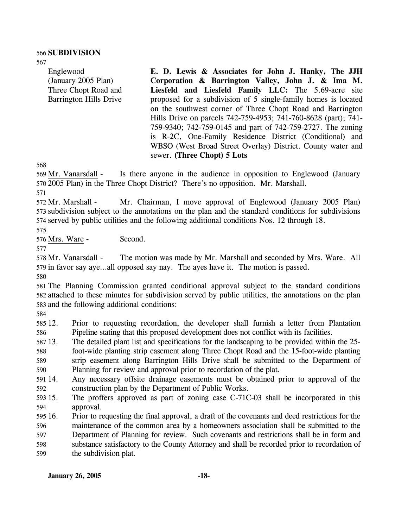### 566 **SUBDIVISION**

567

Englewood (January 2005 Plan) Three Chopt Road and Barrington Hills Drive

**E. D. Lewis & Associates for John J. Hanky, The JJH Corporation & Barrington Valley, John J. & Ima M. Liesfeld and Liesfeld Family LLC:** The 5.69-acre site proposed for a subdivision of 5 single-family homes is located on the southwest corner of Three Chopt Road and Barrington Hills Drive on parcels 742-759-4953; 741-760-8628 (part); 741- 759-9340; 742-759-0145 and part of 742-759-2727. The zoning is R-2C, One-Family Residence District (Conditional) and WBSO (West Broad Street Overlay) District. County water and sewer. **(Three Chopt) 5 Lots** 

568

Is there anyone in the audience in opposition to Englewood (January 2005 Plan) in the Three Chopt District? There's no opposition. Mr. Marshall. 570 569 Mr. Vanarsdall -

571

Mr. Chairman, I move approval of Englewood (January 2005 Plan) 573 subdivision subject to the annotations on the plan and the standard conditions for subdivisions 574 served by public utilities and the following additional conditions Nos. 12 through 18. 572 Mr. Marshall -

575

576 Mrs. Ware - Second.

577

The motion was made by Mr. Marshall and seconded by Mrs. Ware. All 579 in favor say aye...all opposed say nay. The ayes have it. The motion is passed. 578 Mr. Vanarsdall -

580

581 The Planning Commission granted conditional approval subject to the standard conditions 582 attached to these minutes for subdivision served by public utilities, the annotations on the plan 583 and the following additional conditions:

584

585 12. 586 12. Prior to requesting recordation, the developer shall furnish a letter from Plantation Pipeline stating that this proposed development does not conflict with its facilities.

587 13. 13. The detailed plant list and specifications for the landscaping to be provided within the 25-

588 589 foot-wide planting strip easement along Three Chopt Road and the 15-foot-wide planting strip easement along Barrington Hills Drive shall be submitted to the Department of

590 Planning for review and approval prior to recordation of the plat.

591 14. 592 14. Any necessary offsite drainage easements must be obtained prior to approval of the construction plan by the Department of Public Works.

593 15. 594 The proffers approved as part of zoning case C-71C-03 shall be incorporated in this approval.

595 16. 596 16. Prior to requesting the final approval, a draft of the covenants and deed restrictions for the maintenance of the common area by a homeowners association shall be submitted to the

597 598 599 Department of Planning for review. Such covenants and restrictions shall be in form and substance satisfactory to the County Attorney and shall be recorded prior to recordation of the subdivision plat.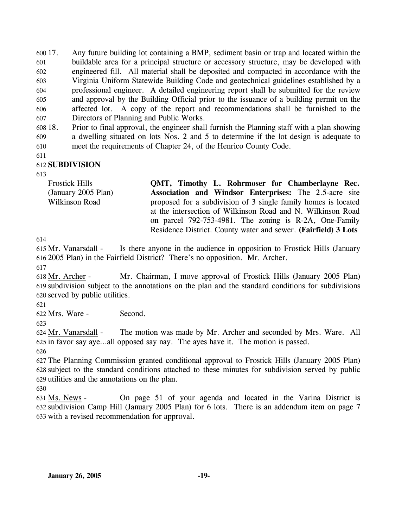600 17. 601 602 603 604 605 606 607 17. Any future building lot containing a BMP, sediment basin or trap and located within the buildable area for a principal structure or accessory structure, may be developed with engineered fill. All material shall be deposited and compacted in accordance with the Virginia Uniform Statewide Building Code and geotechnical guidelines established by a professional engineer. A detailed engineering report shall be submitted for the review and approval by the Building Official prior to the issuance of a building permit on the affected lot. A copy of the report and recommendations shall be furnished to the Directors of Planning and Public Works.

608 18. 609 18. Prior to final approval, the engineer shall furnish the Planning staff with a plan showing a dwelling situated on lots Nos. 2 and 5 to determine if the lot design is adequate to

610 meet the requirements of Chapter 24, of the Henrico County Code.

611

## 612 **SUBDIVISION**

613

| Frostick Hills      | QMT, Timothy L. Rohrmoser for Chamberlayne Rec.                |
|---------------------|----------------------------------------------------------------|
| (January 2005 Plan) | <b>Association and Windsor Enterprises:</b> The 2.5-acre site  |
| Wilkinson Road      | proposed for a subdivision of 3 single family homes is located |
|                     | at the intersection of Wilkinson Road and N. Wilkinson Road    |
|                     | on parcel 792-753-4981. The zoning is R-2A, One-Family         |

Residence District. County water and sewer. **(Fairfield) 3 Lots** 

614

Is there anyone in the audience in opposition to Frostick Hills (January 2005 Plan) in the Fairfield District? There's no opposition. Mr. Archer. 616 615 Mr. Vanarsdall -

617

Mr. Chairman, I move approval of Frostick Hills (January 2005 Plan) subdivision subject to the annotations on the plan and the standard conditions for subdivisions 619 620 served by public utilities. 618 Mr. Archer -

621

622 Mrs. Ware - Second.

623

The motion was made by Mr. Archer and seconded by Mrs. Ware. All 625 in favor say aye...all opposed say nay. The ayes have it. The motion is passed. 624 Mr. Vanarsdall -626

627 The Planning Commission granted conditional approval to Frostick Hills (January 2005 Plan) 628 subject to the standard conditions attached to these minutes for subdivision served by public 629 utilities and the annotations on the plan.

630

On page 51 of your agenda and located in the Varina District is 632 subdivision Camp Hill (January 2005 Plan) for 6 lots. There is an addendum item on page 7 633 with a revised recommendation for approval. 631 Ms. News -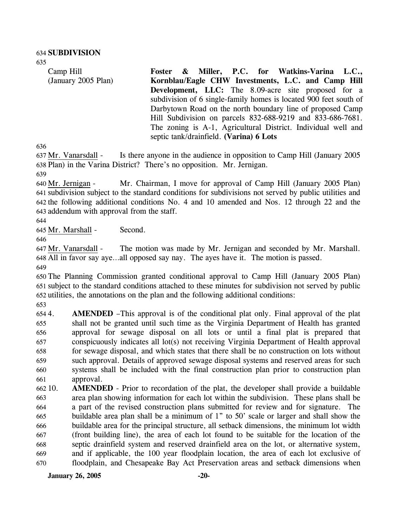635

Camp Hill (January 2005 Plan) **Foster & Miller, P.C. for Watkins-Varina L.C., Kornblau/Eagle CHW Investments, L.C. and Camp Hill Development, LLC:** The 8.09-acre site proposed for a subdivision of 6 single-family homes is located 900 feet south of Darbytown Road on the north boundary line of proposed Camp Hill Subdivision on parcels 832-688-9219 and 833-686-7681. The zoning is A-1, Agricultural District. Individual well and septic tank/drainfield. **(Varina) 6 Lots** 

636

Is there anyone in the audience in opposition to Camp Hill (January 2005) 638 Plan) in the Varina District? There's no opposition. Mr. Jernigan. 637 Mr. Vanarsdall -

639

Mr. Chairman, I move for approval of Camp Hill (January 2005 Plan) 641 subdivision subject to the standard conditions for subdivisions not served by public utilities and 642 the following additional conditions No. 4 and 10 amended and Nos. 12 through 22 and the 643 addendum with approval from the staff. 640 Mr. Jernigan -

644

645 Mr. Marshall - Second.

646

The motion was made by Mr. Jernigan and seconded by Mr. Marshall. All in favor say aye…all opposed say nay. The ayes have it. The motion is passed. 648 647 Mr. Vanarsdall -

649

650 The Planning Commission granted conditional approval to Camp Hill (January 2005 Plan) 651 subject to the standard conditions attached to these minutes for subdivision not served by public 652 utilities, the annotations on the plan and the following additional conditions:

653

6544. 655 656 657 658 659 660 661 **AMENDED** –This approval is of the conditional plat only. Final approval of the plat shall not be granted until such time as the Virginia Department of Health has granted approval for sewage disposal on all lots or until a final plat is prepared that conspicuously indicates all lot(s) not receiving Virginia Department of Health approval for sewage disposal, and which states that there shall be no construction on lots without such approval. Details of approved sewage disposal systems and reserved areas for such systems shall be included with the final construction plan prior to construction plan approval.

662 10. 663 664 665 666 667 668 669 670 **AMENDED** - Prior to recordation of the plat, the developer shall provide a buildable area plan showing information for each lot within the subdivision. These plans shall be a part of the revised construction plans submitted for review and for signature. The buildable area plan shall be a minimum of 1" to 50' scale or larger and shall show the buildable area for the principal structure, all setback dimensions, the minimum lot width (front building line), the area of each lot found to be suitable for the location of the septic drainfield system and reserved drainfield area on the lot, or alternative system, and if applicable, the 100 year floodplain location, the area of each lot exclusive of floodplain, and Chesapeake Bay Act Preservation areas and setback dimensions when

**January 26, 2005 -20-**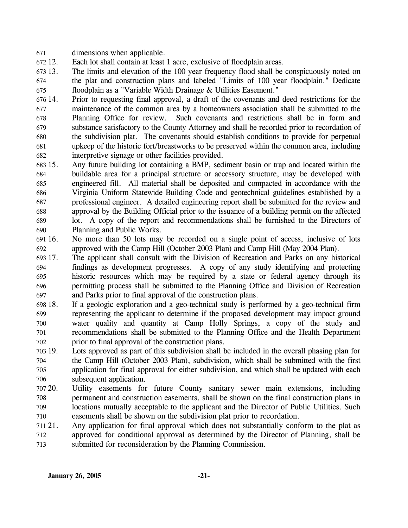- 671 dimensions when applicable.
- 672.12 Each lot shall contain at least 1 acre, exclusive of floodplain areas.
- 673 13. 674 675 The limits and elevation of the 100 year frequency flood shall be conspicuously noted on the plat and construction plans and labeled "Limits of 100 year floodplain." Dedicate floodplain as a "Variable Width Drainage & Utilities Easement."
- 676 14. 677 678 679 680 681 682 14. Prior to requesting final approval, a draft of the covenants and deed restrictions for the maintenance of the common area by a homeowners association shall be submitted to the Planning Office for review. Such covenants and restrictions shall be in form and substance satisfactory to the County Attorney and shall be recorded prior to recordation of the subdivision plat. The covenants should establish conditions to provide for perpetual upkeep of the historic fort/breastworks to be preserved within the common area, including interpretive signage or other facilities provided.
- 683 15. 684 685 686 687 688 689 690 Any future building lot containing a BMP, sediment basin or trap and located within the buildable area for a principal structure or accessory structure, may be developed with engineered fill. All material shall be deposited and compacted in accordance with the Virginia Uniform Statewide Building Code and geotechnical guidelines established by a professional engineer. A detailed engineering report shall be submitted for the review and approval by the Building Official prior to the issuance of a building permit on the affected lot. A copy of the report and recommendations shall be furnished to the Directors of Planning and Public Works.
- 691 16. 692 No more than 50 lots may be recorded on a single point of access, inclusive of lots approved with the Camp Hill (October 2003 Plan) and Camp Hill (May 2004 Plan).
- 693 17. 694 695 696 697 The applicant shall consult with the Division of Recreation and Parks on any historical findings as development progresses. A copy of any study identifying and protecting historic resources which may be required by a state or federal agency through its permitting process shall be submitted to the Planning Office and Division of Recreation and Parks prior to final approval of the construction plans.
- 698 18. 699 700 701 702 18. If a geologic exploration and a geo-technical study is performed by a geo-technical firm representing the applicant to determine if the proposed development may impact ground water quality and quantity at Camp Holly Springs, a copy of the study and recommendations shall be submitted to the Planning Office and the Health Department prior to final approval of the construction plans.
- 703 19. 704 705 706 Lots approved as part of this subdivision shall be included in the overall phasing plan for the Camp Hill (October 2003 Plan), subdivision, which shall be submitted with the first application for final approval for either subdivision, and which shall be updated with each subsequent application.
- 707 20. 708 709 710 Utility easements for future County sanitary sewer main extensions, including permanent and construction easements, shall be shown on the final construction plans in locations mutually acceptable to the applicant and the Director of Public Utilities. Such easements shall be shown on the subdivision plat prior to recordation.
- 711 21. 712 713 Any application for final approval which does not substantially conform to the plat as approved for conditional approval as determined by the Director of Planning, shall be submitted for reconsideration by the Planning Commission.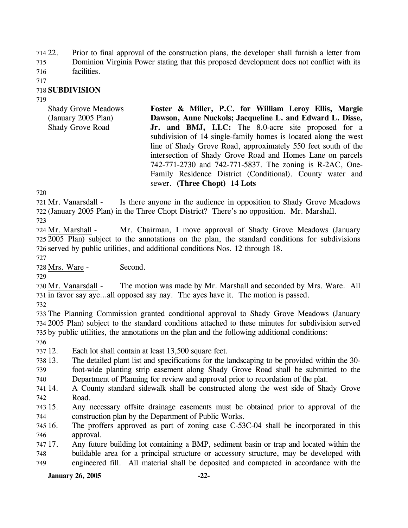714 22. 715 Prior to final approval of the construction plans, the developer shall furnish a letter from Dominion Virginia Power stating that this proposed development does not conflict with its facilities.

716

717

## 718 **SUBDIVISION**

719

Shady Grove Meadows (January 2005 Plan) Shady Grove Road **Foster & Miller, P.C. for William Leroy Ellis, Margie Dawson, Anne Nuckols; Jacqueline L. and Edward L. Disse, Jr. and BMJ, LLC:** The 8.0-acre site proposed for a subdivision of 14 single-family homes is located along the west line of Shady Grove Road, approximately 550 feet south of the intersection of Shady Grove Road and Homes Lane on parcels 742-771-2730 and 742-771-5837. The zoning is R-2AC, One-Family Residence District (Conditional). County water and sewer. **(Three Chopt) 14 Lots** 

720

Is there anyone in the audience in opposition to Shady Grove Meadows 722 (January 2005 Plan) in the Three Chopt District? There's no opposition. Mr. Marshall. 721 Mr. Vanarsdall -

723

Mr. Chairman, I move approval of Shady Grove Meadows (January 2005 Plan) subject to the annotations on the plan, the standard conditions for subdivisions 725 726 served by public utilities, and additional conditions Nos. 12 through 18. 724 Mr. Marshall -

727

728 Mrs. Ware - Second.

729

The motion was made by Mr. Marshall and seconded by Mrs. Ware. All 731 in favor say aye...all opposed say nay. The ayes have it. The motion is passed. 730 Mr. Vanarsdall -

732

733 The Planning Commission granted conditional approval to Shady Grove Meadows (January 734 2005 Plan) subject to the standard conditions attached to these minutes for subdivision served 735 by public utilities, the annotations on the plan and the following additional conditions:

736

737 12. Each lot shall contain at least 13,500 square feet.

- 738 13. 13. The detailed plant list and specifications for the landscaping to be provided within the 30-
- 739 740 foot-wide planting strip easement along Shady Grove Road shall be submitted to the Department of Planning for review and approval prior to recordation of the plat.
- 741 14. 742 14. A County standard sidewalk shall be constructed along the west side of Shady Grove Road.
- 743 15. 744 Any necessary offsite drainage easements must be obtained prior to approval of the construction plan by the Department of Public Works.
- 745 16. 746 The proffers approved as part of zoning case C-53C-04 shall be incorporated in this approval.

747 17. 748 749 Any future building lot containing a BMP, sediment basin or trap and located within the buildable area for a principal structure or accessory structure, may be developed with engineered fill. All material shall be deposited and compacted in accordance with the

## **January 26, 2005 -22-**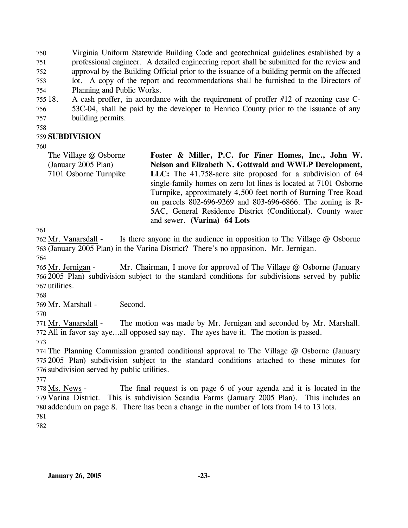750 751 752 753 754 Virginia Uniform Statewide Building Code and geotechnical guidelines established by a professional engineer. A detailed engineering report shall be submitted for the review and approval by the Building Official prior to the issuance of a building permit on the affected lot. A copy of the report and recommendations shall be furnished to the Directors of Planning and Public Works.

755 18. 756 757 A cash proffer, in accordance with the requirement of proffer  $#12$  of rezoning case C-53C-04, shall be paid by the developer to Henrico County prior to the issuance of any building permits.

758

## 759 **SUBDIVISION**

760

The Village @ Osborne (January 2005 Plan) 7101 Osborne Turnpike **Foster & Miller, P.C. for Finer Homes, Inc., John W. Nelson and Elizabeth N. Gottwald and WWLP Development, LLC:** The 41.758-acre site proposed for a subdivision of 64 single-family homes on zero lot lines is located at 7101 Osborne Turnpike, approximately 4,500 feet north of Burning Tree Road on parcels 802-696-9269 and 803-696-6866. The zoning is R-5AC, General Residence District (Conditional). County water and sewer. **(Varina) 64 Lots** 

761

Is there anyone in the audience in opposition to The Village  $@$  Osborne 763 (January 2005 Plan) in the Varina District? There's no opposition. Mr. Jernigan. 762 Mr. Vanarsdall -

764

Mr. Chairman, I move for approval of The Village  $@$  Osborne (January 2005 Plan) subdivision subject to the standard conditions for subdivisions served by public 766 767 utilities. 765 Mr. Jernigan -

768

769 Mr. Marshall - Second.

770

The motion was made by Mr. Jernigan and seconded by Mr. Marshall. 772 All in favor say aye...all opposed say nay. The ayes have it. The motion is passed. 771 Mr. Vanarsdall -

773

774 The Planning Commission granted conditional approval to The Village @ Osborne (January 775 2005 Plan) subdivision subject to the standard conditions attached to these minutes for 776 subdivision served by public utilities.

777

The final request is on page 6 of your agenda and it is located in the 779 Varina District. This is subdivision Scandia Farms (January 2005 Plan). This includes an 780 addendum on page 8. There has been a change in the number of lots from 14 to 13 lots. 778 Ms. News -781

782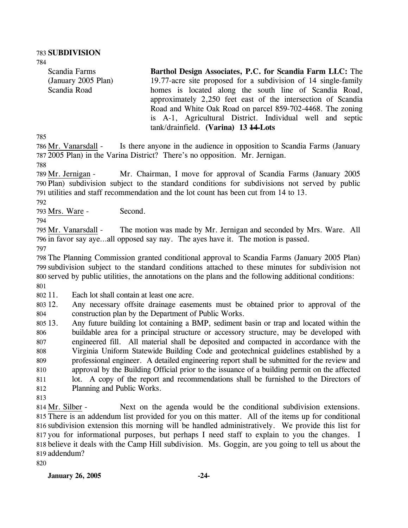784

Scandia Farms (January 2005 Plan) Scandia Road

**Barthol Design Associates, P.C. for Scandia Farm LLC:** The 19.77-acre site proposed for a subdivision of 14 single-family homes is located along the south line of Scandia Road, approximately 2,250 feet east of the intersection of Scandia Road and White Oak Road on parcel 859-702-4468. The zoning is A-1, Agricultural District. Individual well and septic tank/drainfield. **(Varina) 13 14 Lots** 

785

Is there anyone in the audience in opposition to Scandia Farms (January 2005 Plan) in the Varina District? There's no opposition. Mr. Jernigan. 787 786 Mr. Vanarsdall -

788

Mr. Chairman, I move for approval of Scandia Farms (January 2005) 790 Plan) subdivision subject to the standard conditions for subdivisions not served by public utilities and staff recommendation and the lot count has been cut from 14 to 13. 791 789 Mr. Jernigan -

792

793 Mrs. Ware - Second.

794

The motion was made by Mr. Jernigan and seconded by Mrs. Ware. All 796 in favor say aye...all opposed say nay. The ayes have it. The motion is passed. 795 Mr. Vanarsdall -

797

 The Planning Commission granted conditional approval to Scandia Farms (January 2005 Plan) subdivision subject to the standard conditions attached to these minutes for subdivision not served by public utilities, the annotations on the plans and the following additional conditions: 801

802 11. Each lot shall contain at least one acre.

803 12. 804 Any necessary offsite drainage easements must be obtained prior to approval of the construction plan by the Department of Public Works.

805 13. 806 807 808 809 810 811 812 13. Any future building lot containing a BMP, sediment basin or trap and located within the buildable area for a principal structure or accessory structure, may be developed with engineered fill. All material shall be deposited and compacted in accordance with the Virginia Uniform Statewide Building Code and geotechnical guidelines established by a professional engineer. A detailed engineering report shall be submitted for the review and approval by the Building Official prior to the issuance of a building permit on the affected lot. A copy of the report and recommendations shall be furnished to the Directors of Planning and Public Works.

813

Next on the agenda would be the conditional subdivision extensions. There is an addendum list provided for you on this matter. All of the items up for conditional 815 subdivision extension this morning will be handled administratively. We provide this list for 816 817 you for informational purposes, but perhaps I need staff to explain to you the changes. I 818 believe it deals with the Camp Hill subdivision. Ms. Goggin, are you going to tell us about the 819 addendum? 814 Mr. Silber -

820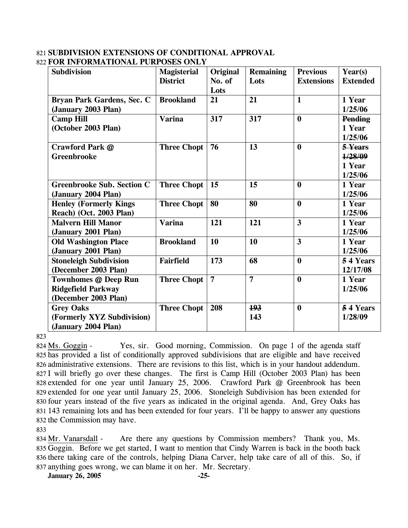### 821 **SUBDIVISION EXTENSIONS OF CONDITIONAL APPROVAL**  822 **FOR INFORMATIONAL PURPOSES ONLY**

| <b>Subdivision</b>                                                               | <b>Magisterial</b> | Original       | <b>Remaining</b> | <b>Previous</b>         | Year(s)                                 |
|----------------------------------------------------------------------------------|--------------------|----------------|------------------|-------------------------|-----------------------------------------|
|                                                                                  | <b>District</b>    | No. of<br>Lots | Lots             | <b>Extensions</b>       | <b>Extended</b>                         |
| Bryan Park Gardens, Sec. C<br>(January 2003 Plan)                                | <b>Brookland</b>   | 21             | 21               | $\mathbf{1}$            | 1 Year<br>1/25/06                       |
| <b>Camp Hill</b><br>(October 2003 Plan)                                          | <b>Varina</b>      | 317            | 317              | $\boldsymbol{0}$        | <b>Pending</b><br>1 Year<br>1/25/06     |
| Crawford Park @<br><b>Greenbrooke</b>                                            | <b>Three Chopt</b> | 76             | 13               | $\bf{0}$                | 5 Years<br>1/28/09<br>1 Year<br>1/25/06 |
| <b>Greenbrooke Sub. Section C</b><br>(January 2004 Plan)                         | <b>Three Chopt</b> | 15             | 15               | $\bf{0}$                | 1 Year<br>1/25/06                       |
| <b>Henley (Formerly Kings)</b><br>Reach) (Oct. 2003 Plan)                        | <b>Three Chopt</b> | 80             | 80               | $\mathbf{0}$            | 1 Year<br>1/25/06                       |
| <b>Malvern Hill Manor</b><br>(January 2001 Plan)                                 | <b>Varina</b>      | 121            | 121              | $\overline{\mathbf{3}}$ | 1 Year<br>1/25/06                       |
| <b>Old Washington Place</b><br>(January 2001 Plan)                               | <b>Brookland</b>   | 10             | 10               | $\overline{\mathbf{3}}$ | 1 Year<br>1/25/06                       |
| <b>Stoneleigh Subdivision</b><br>(December 2003 Plan)                            | <b>Fairfield</b>   | 173            | 68               | $\mathbf{0}$            | 54 Years<br>12/17/08                    |
| <b>Townhomes @ Deep Run</b><br><b>Ridgefield Parkway</b><br>(December 2003 Plan) | <b>Three Chopt</b> | $\overline{7}$ | $\overline{7}$   | $\bf{0}$                | 1 Year<br>1/25/06                       |
| <b>Grey Oaks</b><br>(Formerly XYZ Subdivision)<br>(January 2004 Plan)            | <b>Three Chopt</b> | 208            | 193<br>143       | $\boldsymbol{0}$        | 54 Years<br>1/28/09                     |

823

Yes, sir. Good morning, Commission. On page 1 of the agenda staff 825 has provided a list of conditionally approved subdivisions that are eligible and have received 826 administrative extensions. There are revisions to this list, which is in your handout addendum. 827 I will briefly go over these changes. The first is Camp Hill (October 2003 Plan) has been 828 extended for one year until January 25, 2006. Crawford Park @ Greenbrook has been 829 extended for one year until January 25, 2006. Stoneleigh Subdivision has been extended for 830 four years instead of the five years as indicated in the original agenda. And, Grey Oaks has 831 143 remaining lots and has been extended for four years. I'll be happy to answer any questions 832 the Commission may have. 824 Ms. Goggin -

833

Are there any questions by Commission members? Thank you, Ms. 835 Goggin. Before we get started, I want to mention that Cindy Warren is back in the booth back 836 there taking care of the controls, helping Diana Carver, help take care of all of this. So, if 837 anything goes wrong, we can blame it on her. Mr. Secretary. 834 Mr. Vanarsdall -

**January 26, 2005 -25-**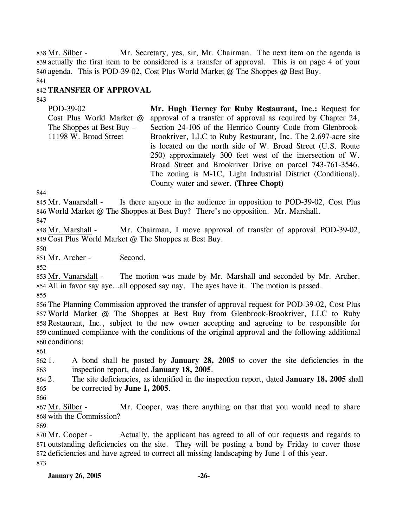Mr. Secretary, yes, sir, Mr. Chairman. The next item on the agenda is 839 actually the first item to be considered is a transfer of approval. This is on page 4 of your 840 agenda. This is POD-39-02, Cost Plus World Market @ The Shoppes @ Best Buy. 838 Mr. Silber -

841

## 842 **TRANSFER OF APPROVAL**

843

POD-39-02 Cost Plus World Market @ The Shoppes at Best Buy – 11198 W. Broad Street **Mr. Hugh Tierney for Ruby Restaurant, Inc.:** Request for approval of a transfer of approval as required by Chapter 24, Section 24-106 of the Henrico County Code from Glenbrook-Brookriver, LLC to Ruby Restaurant, Inc. The 2.697-acre site is located on the north side of W. Broad Street (U.S. Route 250) approximately 300 feet west of the intersection of W. Broad Street and Brookriver Drive on parcel 743-761-3546. The zoning is M-1C, Light Industrial District (Conditional). County water and sewer. **(Three Chopt)** 

844

Is there anyone in the audience in opposition to POD-39-02, Cost Plus 846 World Market @ The Shoppes at Best Buy? There's no opposition. Mr. Marshall. 845 Mr. Vanarsdall -

847

Mr. Chairman, I move approval of transfer of approval POD-39-02, 849 Cost Plus World Market @ The Shoppes at Best Buy. 848 Mr. Marshall -

850

851 Mr. Archer - Second.

852

The motion was made by Mr. Marshall and seconded by Mr. Archer. All in favor say aye…all opposed say nay. The ayes have it. The motion is passed. 854 853 Mr. Vanarsdall -

855

 The Planning Commission approved the transfer of approval request for POD-39-02, Cost Plus World Market @ The Shoppes at Best Buy from Glenbrook-Brookriver, LLC to Ruby Restaurant, Inc., subject to the new owner accepting and agreeing to be responsible for continued compliance with the conditions of the original approval and the following additional conditions:

861

862 863 1. A bond shall be posted by **January 28, 2005** to cover the site deficiencies in the inspection report, dated **January 18, 2005**.

864 2. 865 2. The site deficiencies, as identified in the inspection report, dated **January 18, 2005** shall be corrected by **June 1, 2005**.

866

Mr. Cooper, was there anything on that that you would need to share 868 with the Commission? 867 Mr. Silber -

869

Actually, the applicant has agreed to all of our requests and regards to 871 outstanding deficiencies on the site. They will be posting a bond by Friday to cover those 872 deficiencies and have agreed to correct all missing landscaping by June 1 of this year. 870 Mr. Cooper -873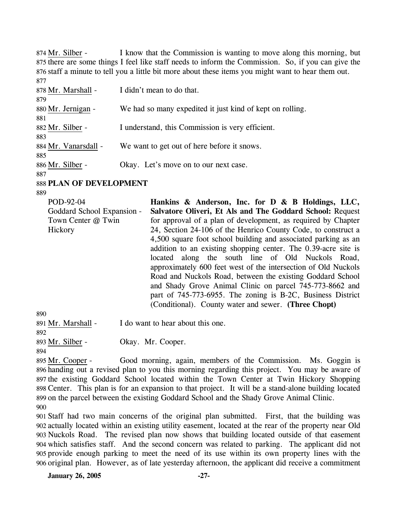I know that the Commission is wanting to move along this morning, but 875 there are some things I feel like staff needs to inform the Commission. So, if you can give the 876 staff a minute to tell you a little bit more about these items you might want to hear them out. 874 Mr. Silber -877

| 878 Mr. Marshall -   | I didn't mean to do that.                                 |
|----------------------|-----------------------------------------------------------|
| 879                  |                                                           |
| 880 Mr. Jernigan -   | We had so many expedited it just kind of kept on rolling. |
| 881                  |                                                           |
| 882 Mr. Silber -     | I understand, this Commission is very efficient.          |
| 883                  |                                                           |
| 884 Mr. Vanarsdall - | We want to get out of here before it snows.               |
| 885                  |                                                           |
| 886 Mr. Silber -     | Okay. Let's move on to our next case.                     |
| 887                  |                                                           |

888 **PLAN OF DEVELOPMENT** 

889

POD-92-04 Goddard School Expansion - Town Center @ Twin **Hickory Hankins & Anderson, Inc. for D & B Holdings, LLC, Salvatore Oliveri, Et Als and The Goddard School:** Request for approval of a plan of development, as required by Chapter 24, Section 24-106 of the Henrico County Code, to construct a 4,500 square foot school building and associated parking as an addition to an existing shopping center. The 0.39-acre site is located along the south line of Old Nuckols Road, approximately 600 feet west of the intersection of Old Nuckols Road and Nuckols Road, between the existing Goddard School and Shady Grove Animal Clinic on parcel 745-773-8662 and part of 745-773-6955. The zoning is B-2C, Business District (Conditional). County water and sewer. **(Three Chopt)** 

 $890$ 

| 89U                |                                   |
|--------------------|-----------------------------------|
| 891 Mr. Marshall - | I do want to hear about this one. |
| 892                |                                   |

893 Mr. Silber - Okay. Mr. Cooper.

894

Good morning, again, members of the Commission. Ms. Goggin is 896 handing out a revised plan to you this morning regarding this project. You may be aware of 897 the existing Goddard School located within the Town Center at Twin Hickory Shopping Center. This plan is for an expansion to that project. It will be a stand-alone building located 898 899 on the parcel between the existing Goddard School and the Shady Grove Animal Clinic. 895 Mr. Cooper -900

 Staff had two main concerns of the original plan submitted. First, that the building was actually located within an existing utility easement, located at the rear of the property near Old Nuckols Road. The revised plan now shows that building located outside of that easement which satisfies staff. And the second concern was related to parking. The applicant did not provide enough parking to meet the need of its use within its own property lines with the original plan. However, as of late yesterday afternoon, the applicant did receive a commitment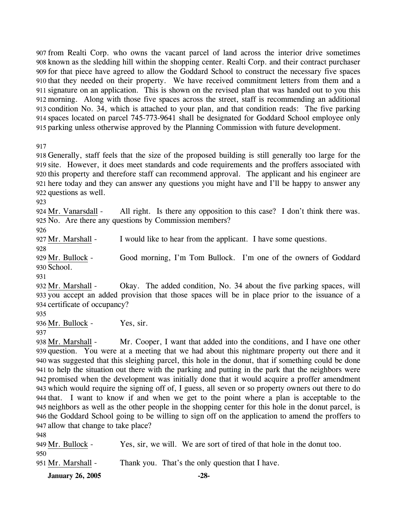from Realti Corp. who owns the vacant parcel of land across the interior drive sometimes known as the sledding hill within the shopping center. Realti Corp. and their contract purchaser for that piece have agreed to allow the Goddard School to construct the necessary five spaces that they needed on their property. We have received commitment letters from them and a signature on an application. This is shown on the revised plan that was handed out to you this morning. Along with those five spaces across the street, staff is recommending an additional condition No. 34, which is attached to your plan, and that condition reads: The five parking spaces located on parcel 745-773-9641 shall be designated for Goddard School employee only parking unless otherwise approved by the Planning Commission with future development.

917

 Generally, staff feels that the size of the proposed building is still generally too large for the site. However, it does meet standards and code requirements and the proffers associated with this property and therefore staff can recommend approval. The applicant and his engineer are here today and they can answer any questions you might have and I'll be happy to answer any questions as well.

923

All right. Is there any opposition to this case? I don't think there was. 925 No. Are there any questions by Commission members? 924 Mr. Vanarsdall -

926

927 Mr. Marshall - I would like to hear from the applicant. I have some questions.

928

Good morning, I'm Tom Bullock. I'm one of the owners of Goddard 930 School. 929 Mr. Bullock -

931

Okay. The added condition, No. 34 about the five parking spaces, will 933 you accept an added provision that those spaces will be in place prior to the issuance of a 934 certificate of occupancy? 932 Mr. Marshall -

935

936 Mr. Bullock - Yes, sir.

Mr. Cooper, I want that added into the conditions, and I have one other 939 question. You were at a meeting that we had about this nightmare property out there and it 940 was suggested that this sleighing parcel, this hole in the donut, that if something could be done 941 to help the situation out there with the parking and putting in the park that the neighbors were promised when the development was initially done that it would acquire a proffer amendment 942 943 which would require the signing off of, I guess, all seven or so property owners out there to do 944 that. I want to know if and when we get to the point where a plan is acceptable to the 945 neighbors as well as the other people in the shopping center for this hole in the donut parcel, is 946 the Goddard School going to be willing to sign off on the application to amend the proffers to 947 allow that change to take place? 938 Mr. Marshall -

| i<br>۹<br>I<br>۰.<br>v<br>× |
|-----------------------------|
|-----------------------------|

| 949 Mr. Bullock -  | Yes, sir, we will. We are sort of tired of that hole in the donut too. |
|--------------------|------------------------------------------------------------------------|
| 950.               |                                                                        |
| 951 Mr. Marshall - | Thank you. That's the only question that I have.                       |
|                    |                                                                        |

**January 26, 2005 -28-**

<sup>937</sup>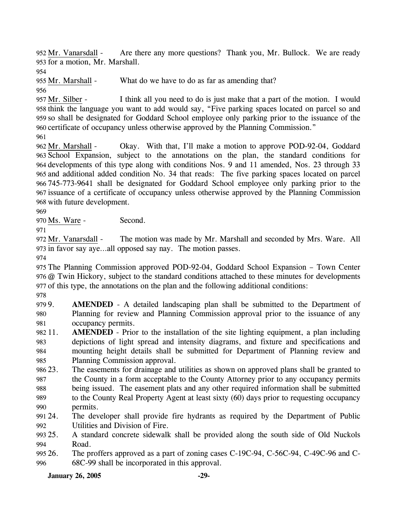Are there any more questions? Thank you, Mr. Bullock. We are ready 953 for a motion, Mr. Marshall. 952 Mr. Vanarsdall -

954

955 Mr. Marshall - What do we have to do as far as amending that?

956

I think all you need to do is just make that a part of the motion. I would 958 think the language you want to add would say, "Five parking spaces located on parcel so and 959 so shall be designated for Goddard School employee only parking prior to the issuance of the 960 certificate of occupancy unless otherwise approved by the Planning Commission." 957 Mr. Silber -

961

Okay. With that, I'll make a motion to approve POD-92-04, Goddard 963 School Expansion, subject to the annotations on the plan, the standard conditions for 964 developments of this type along with conditions Nos. 9 and 11 amended, Nos. 23 through 33 and additional added condition No. 34 that reads: The five parking spaces located on parcel 965 745-773-9641 shall be designated for Goddard School employee only parking prior to the 966 967 issuance of a certificate of occupancy unless otherwise approved by the Planning Commission 968 with future development. 962 Mr. Marshall -

969

970 Ms. Ware - Second.

971

The motion was made by Mr. Marshall and seconded by Mrs. Ware. All 973 in favor say aye...all opposed say nay. The motion passes. 972 Mr. Vanarsdall -

974

975 The Planning Commission approved POD-92-04, Goddard School Expansion – Town Center 976 @ Twin Hickory, subject to the standard conditions attached to these minutes for developments 977 of this type, the annotations on the plan and the following additional conditions:

978

979 9. 980 981 AMENDED - A detailed landscaping plan shall be submitted to the Department of Planning for review and Planning Commission approval prior to the issuance of any occupancy permits.

982 11. 983 984 985 **AMENDED** - Prior to the installation of the site lighting equipment, a plan including depictions of light spread and intensity diagrams, and fixture and specifications and mounting height details shall be submitted for Department of Planning review and Planning Commission approval.

986 23. 987 988 989 990 The easements for drainage and utilities as shown on approved plans shall be granted to the County in a form acceptable to the County Attorney prior to any occupancy permits being issued. The easement plats and any other required information shall be submitted to the County Real Property Agent at least sixty (60) days prior to requesting occupancy permits.

991 24. 992 The developer shall provide fire hydrants as required by the Department of Public Utilities and Division of Fire.

993 25. 994 25. A standard concrete sidewalk shall be provided along the south side of Old Nuckols Road.

995 26. 996 The proffers approved as a part of zoning cases C-19C-94, C-56C-94, C-49C-96 and C-68C-99 shall be incorporated in this approval.

**January 26, 2005 -29-**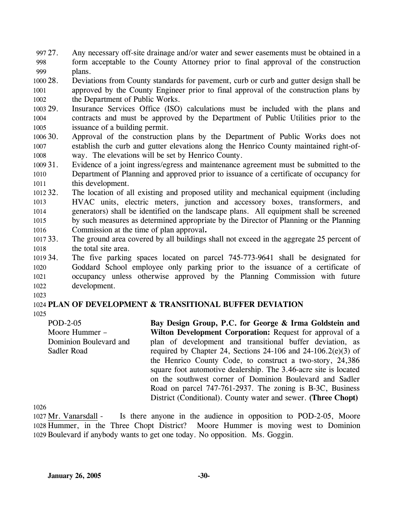- 997 27. 998 999 Any necessary off-site drainage and/or water and sewer easements must be obtained in a form acceptable to the County Attorney prior to final approval of the construction plans.
- 1000 28. 1001 1002 28. Deviations from County standards for pavement, curb or curb and gutter design shall be approved by the County Engineer prior to final approval of the construction plans by the Department of Public Works.
- 1003 29. 1004 1005 Insurance Services Office (ISO) calculations must be included with the plans and contracts and must be approved by the Department of Public Utilities prior to the issuance of a building permit.
- 1006 30. 1007 1008 Approval of the construction plans by the Department of Public Works does not establish the curb and gutter elevations along the Henrico County maintained right-ofway. The elevations will be set by Henrico County.
- 1009 31. 1010 1011 Evidence of a joint ingress/egress and maintenance agreement must be submitted to the Department of Planning and approved prior to issuance of a certificate of occupancy for this development.
- $1012.32$ 1013 1014 1015 1016 The location of all existing and proposed utility and mechanical equipment (including HVAC units, electric meters, junction and accessory boxes, transformers, and generators) shall be identified on the landscape plans. All equipment shall be screened by such measures as determined appropriate by the Director of Planning or the Planning Commission at the time of plan approval**.**
- 1017 33. 1018 The ground area covered by all buildings shall not exceed in the aggregate 25 percent of the total site area.
- 1019 34. 1020 1021 1022 The five parking spaces located on parcel 745-773-9641 shall be designated for Goddard School employee only parking prior to the issuance of a certificate of occupancy unless otherwise approved by the Planning Commission with future development.
- 1023

## 1024 **PLAN OF DEVELOPMENT & TRANSITIONAL BUFFER DEVIATION**

1025

POD-2-05 Moore Hummer – Dominion Boulevard and Sadler Road

**Bay Design Group, P.C. for George & Irma Goldstein and Wilton Development Corporation:** Request for approval of a plan of development and transitional buffer deviation, as required by Chapter 24, Sections 24-106 and 24-106.2(e)(3) of the Henrico County Code, to construct a two-story, 24,386 square foot automotive dealership. The 3.46-acre site is located on the southwest corner of Dominion Boulevard and Sadler Road on parcel 747-761-2937. The zoning is B-3C, Business District (Conditional). County water and sewer. **(Three Chopt)** 

1026

Is there anyone in the audience in opposition to POD-2-05, Moore Moore Hummer is moving west to Dominion 1029 Boulevard if anybody wants to get one today. No opposition. Ms. Goggin. 1027 Mr. Vanarsdall -1028 Hummer, in the Three Chopt District?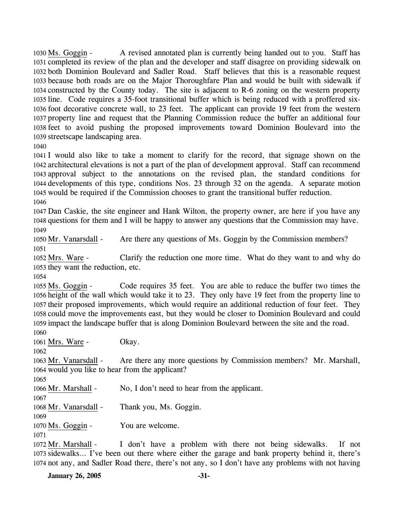A revised annotated plan is currently being handed out to you. Staff has 1031 completed its review of the plan and the developer and staff disagree on providing sidewalk on 1032 both Dominion Boulevard and Sadler Road. Staff believes that this is a reasonable request 1033 because both roads are on the Major Thoroughfare Plan and would be built with sidewalk if 1034 constructed by the County today. The site is adjacent to R-6 zoning on the western property 1035 line. Code requires a 35-foot transitional buffer which is being reduced with a proffered six-1036 foot decorative concrete wall, to 23 feet. The applicant can provide 19 feet from the western 1037 property line and request that the Planning Commission reduce the buffer an additional four 1038 feet to avoid pushing the proposed improvements toward Dominion Boulevard into the 1039 streetscape landscaping area. 1030 Ms. Goggin -

1040

 I would also like to take a moment to clarify for the record, that signage shown on the architectural elevations is not a part of the plan of development approval. Staff can recommend approval subject to the annotations on the revised plan, the standard conditions for developments of this type, conditions Nos. 23 through 32 on the agenda. A separate motion would be required if the Commission chooses to grant the transitional buffer reduction. 1046

1047 Dan Caskie, the site engineer and Hank Wilton, the property owner, are here if you have any 1048 questions for them and I will be happy to answer any questions that the Commission may have. 1049

1050 Mr. Vanarsdall - Are there any questions of Ms. Goggin by the Commission members? 1051

Clarify the reduction one more time. What do they want to and why do 1053 they want the reduction, etc. 1052 Mrs. Ware -

1054

Code requires 35 feet. You are able to reduce the buffer two times the 1056 height of the wall which would take it to 23. They only have 19 feet from the property line to 1057 their proposed improvements, which would require an additional reduction of four feet. They 1058 could move the improvements east, but they would be closer to Dominion Boulevard and could 1059 impact the landscape buffer that is along Dominion Boulevard between the site and the road. 1055 Ms. Goggin -1060

1061 Mrs. Ware - Okay.

1062

Are there any more questions by Commission members? Mr. Marshall, 1064 would you like to hear from the applicant? 1063 Mr. Vanarsdall -

1065

1066 Mr. Marshall - No, I don't need to hear from the applicant.

1067

1068 Mr. Vanarsdall - Thank you, Ms. Goggin.

1070 Ms. Goggin - You are welcome.

1071

1069

I don't have a problem with there not being sidewalks. If not 1073 sidewalks... I've been out there where either the garage and bank property behind it, there's 1074 not any, and Sadler Road there, there's not any, so I don't have any problems with not having 1072 Mr. Marshall -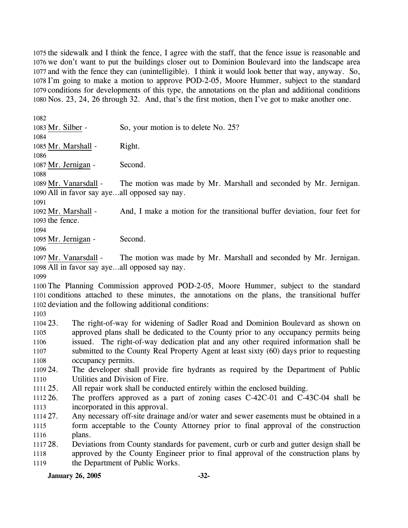the sidewalk and I think the fence, I agree with the staff, that the fence issue is reasonable and we don't want to put the buildings closer out to Dominion Boulevard into the landscape area and with the fence they can (unintelligible). I think it would look better that way, anyway. So, I'm going to make a motion to approve POD-2-05, Moore Hummer, subject to the standard conditions for developments of this type, the annotations on the plan and additional conditions Nos. 23, 24, 26 through 32. And, that's the first motion, then I've got to make another one.

1082 1083 Mr. Silber - So, your motion is to delete No. 25? 1084 1085 Mr. Marshall - Right. 1086 1087 Mr. Jernigan - Second. 1088 The motion was made by Mr. Marshall and seconded by Mr. Jernigan. 1090 All in favor say aye...all opposed say nay. 1089 Mr. Vanarsdall -1091 And, I make a motion for the transitional buffer deviation, four feet for 1093 the fence. 1092 Mr. Marshall -1094 1095 Mr. Jernigan - Second. 1096 The motion was made by Mr. Marshall and seconded by Mr. Jernigan. 1098 All in favor say aye...all opposed say nay. 1097 Mr. Vanarsdall -1099 1100 The Planning Commission approved POD-2-05, Moore Hummer, subject to the standard 1101 conditions attached to these minutes, the annotations on the plans, the transitional buffer 1102 deviation and the following additional conditions: 1103 1104 23. 1105 1106 1107 1108 1109 24. 1110 1111 25.  $1112.26$ . 1113 1114 27. 1115 1116 1117 28. 1118 1119 The right-of-way for widening of Sadler Road and Dominion Boulevard as shown on approved plans shall be dedicated to the County prior to any occupancy permits being issued. The right-of-way dedication plat and any other required information shall be submitted to the County Real Property Agent at least sixty (60) days prior to requesting occupancy permits. The developer shall provide fire hydrants as required by the Department of Public Utilities and Division of Fire. All repair work shall be conducted entirely within the enclosed building. 26. The proffers approved as a part of zoning cases C-42C-01 and C-43C-04 shall be incorporated in this approval. Any necessary off-site drainage and/or water and sewer easements must be obtained in a form acceptable to the County Attorney prior to final approval of the construction plans. 28. Deviations from County standards for pavement, curb or curb and gutter design shall be approved by the County Engineer prior to final approval of the construction plans by the Department of Public Works.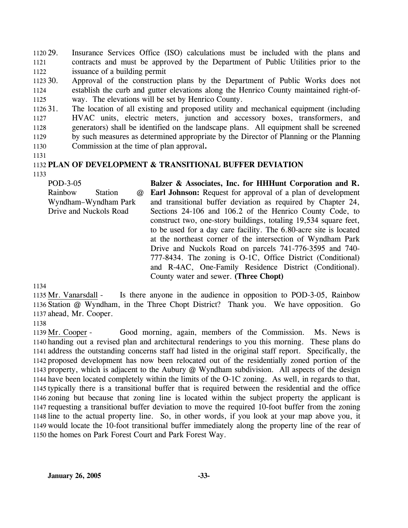1120 29. 1121 1122 Insurance Services Office (ISO) calculations must be included with the plans and contracts and must be approved by the Department of Public Utilities prior to the issuance of a building permit

1123 30. 1124 1125 Approval of the construction plans by the Department of Public Works does not establish the curb and gutter elevations along the Henrico County maintained right-ofway. The elevations will be set by Henrico County.

1126 31. 1127 1128 1129 1130 The location of all existing and proposed utility and mechanical equipment (including HVAC units, electric meters, junction and accessory boxes, transformers, and generators) shall be identified on the landscape plans. All equipment shall be screened by such measures as determined appropriate by the Director of Planning or the Planning Commission at the time of plan approval**.**

1131

# 1132 **PLAN OF DEVELOPMENT & TRANSITIONAL BUFFER DEVIATION**

1133

| POD-3-05               |                |          | Balzer & Associates, Inc. for HHHunt Corporation and R.            |
|------------------------|----------------|----------|--------------------------------------------------------------------|
| Rainbow                | <b>Station</b> | $\omega$ | <b>Earl Johnson:</b> Request for approval of a plan of development |
| Wyndham-Wyndham Park   |                |          | and transitional buffer deviation as required by Chapter 24,       |
| Drive and Nuckols Road |                |          | Sections 24-106 and 106.2 of the Henrico County Code, to           |
|                        |                |          | construct two, one-story buildings, totaling 19,534 square feet,   |
|                        |                |          | to be used for a day care facility. The 6.80-acre site is located  |
|                        |                |          | at the northeast corner of the intersection of Wyndham Park        |
|                        |                |          | Drive and Nuckols Road on parcels 741-776-3595 and 740-            |
|                        |                |          | 777-8434. The zoning is O-1C, Office District (Conditional)        |
|                        |                |          | and R-4AC, One-Family Residence District (Conditional).            |
|                        |                |          | County water and sewer. (Three Chopt)                              |
|                        |                |          |                                                                    |

1134

Is there anyone in the audience in opposition to POD-3-05, Rainbow 1136 Station @ Wyndham, in the Three Chopt District? Thank you. We have opposition. Go 1137 ahead, Mr. Cooper. 1135 Mr. Vanarsdall -

1138

Good morning, again, members of the Commission. Ms. News is 1140 handing out a revised plan and architectural renderings to you this morning. These plans do 1141 address the outstanding concerns staff had listed in the original staff report. Specifically, the 1142 proposed development has now been relocated out of the residentially zoned portion of the 1143 property, which is adjacent to the Aubury @ Wyndham subdivision. All aspects of the design 1144 have been located completely within the limits of the O-1C zoning. As well, in regards to that, 1145 typically there is a transitional buffer that is required between the residential and the office 1146 zoning but because that zoning line is located within the subject property the applicant is 1147 requesting a transitional buffer deviation to move the required 10-foot buffer from the zoning line to the actual property line. So, in other words, if you look at your map above you, it 1148 1149 would locate the 10-foot transitional buffer immediately along the property line of the rear of 1150 the homes on Park Forest Court and Park Forest Way. 1139 Mr. Cooper -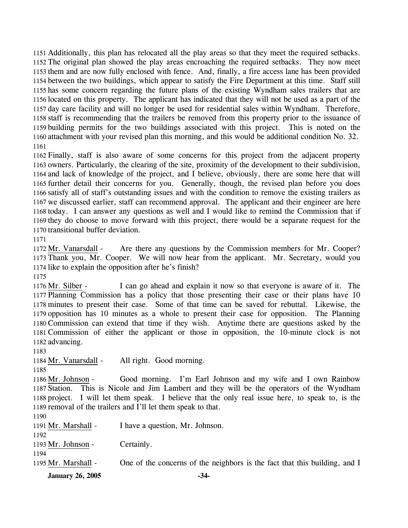Additionally, this plan has relocated all the play areas so that they meet the required setbacks. The original plan showed the play areas encroaching the required setbacks. They now meet them and are now fully enclosed with fence. And, finally, a fire access lane has been provided between the two buildings, which appear to satisfy the Fire Department at this time. Staff still has some concern regarding the future plans of the existing Wyndham sales trailers that are located on this property. The applicant has indicated that they will not be used as a part of the day care facility and will no longer be used for residential sales within Wyndham. Therefore, staff is recommending that the trailers be removed from this property prior to the issuance of building permits for the two buildings associated with this project. This is noted on the attachment with your revised plan this morning, and this would be additional condition No. 32. 1161

 Finally, staff is also aware of some concerns for this project from the adjacent property owners. Particularly, the clearing of the site, proximity of the development to their subdivision, and lack of knowledge of the project, and I believe, obviously, there are some here that will further detail their concerns for you. Generally, though, the revised plan before you does satisfy all of staff's outstanding issues and with the condition to remove the existing trailers as we discussed earlier, staff can recommend approval. The applicant and their engineer are here today. I can answer any questions as well and I would like to remind the Commission that if they do choose to move forward with this project, there would be a separate request for the transitional buffer deviation.

1171

Are there any questions by the Commission members for Mr. Cooper? 1173 Thank you, Mr. Cooper. We will now hear from the applicant. Mr. Secretary, would you 1174 like to explain the opposition after he's finish? 1172 Mr. Vanarsdall -

1175

I can go ahead and explain it now so that everyone is aware of it. The 1177 Planning Commission has a policy that those presenting their case or their plans have 10 1178 minutes to present their case. Some of that time can be saved for rebuttal. Likewise, the 1179 opposition has 10 minutes as a whole to present their case for opposition. The Planning 1180 Commission can extend that time if they wish. Anytime there are questions asked by the 1181 Commission of either the applicant or those in opposition, the 10-minute clock is not 1182 advancing. 1176 Mr. Silber -

1183

1184 Mr. Vanarsdall - All right. Good morning.

1185

Good morning. I'm Earl Johnson and my wife and I own Rainbow Station. This is Nicole and Jim Lambert and they will be the operators of the Wyndham 1187 1188 project. I will let them speak. I believe that the only real issue here, to speak to, is the 1189 removal of the trailers and I'll let them speak to that. 1186 Mr. Johnson -

1190

| <b>January 26, 2005</b>     | $-34-$                                                                     |
|-----------------------------|----------------------------------------------------------------------------|
| 1194<br>1195 Mr. Marshall - | One of the concerns of the neighbors is the fact that this building, and I |
| 1193 Mr. Johnson -          | Certainly.                                                                 |
| 1191 Mr. Marshall -<br>1192 | I have a question, Mr. Johnson.                                            |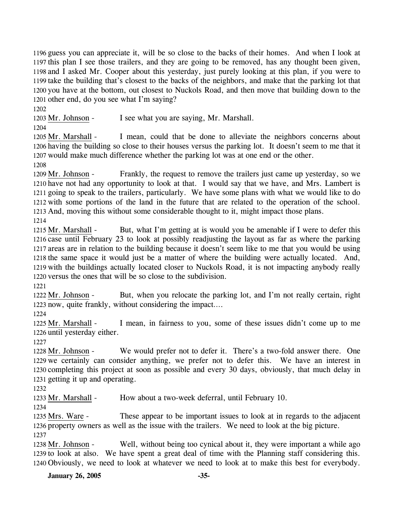guess you can appreciate it, will be so close to the backs of their homes. And when I look at this plan I see those trailers, and they are going to be removed, has any thought been given, and I asked Mr. Cooper about this yesterday, just purely looking at this plan, if you were to take the building that's closest to the backs of the neighbors, and make that the parking lot that you have at the bottom, out closest to Nuckols Road, and then move that building down to the other end, do you see what I'm saying?

1202

1203 Mr. Johnson - I see what you are saying, Mr. Marshall.

1204

I mean, could that be done to alleviate the neighbors concerns about 1206 having the building so close to their houses versus the parking lot. It doesn't seem to me that it 1207 would make much difference whether the parking lot was at one end or the other. 1205 Mr. Marshall -

1208

Frankly, the request to remove the trailers just came up yesterday, so we 1210 have not had any opportunity to look at that. I would say that we have, and Mrs. Lambert is 1211 going to speak to the trailers, particularly. We have some plans with what we would like to do 1212 with some portions of the land in the future that are related to the operation of the school. 1213 And, moving this without some considerable thought to it, might impact those plans.  $1209$  Mr. Johnson -

1214

But, what I'm getting at is would you be amenable if I were to defer this 1216 case until February 23 to look at possibly readjusting the layout as far as where the parking 1217 areas are in relation to the building because it doesn't seem like to me that you would be using 1218 the same space it would just be a matter of where the building were actually located. And, 1219 with the buildings actually located closer to Nuckols Road, it is not impacting anybody really 1220 versus the ones that will be so close to the subdivision. 1215 Mr. Marshall -

1221

But, when you relocate the parking lot, and I'm not really certain, right 1223 now, quite frankly, without considering the impact.... 1222 Mr. Johnson -

1224

I mean, in fairness to you, some of these issues didn't come up to me 1226 until yesterday either. 1225 Mr. Marshall -

1227

We would prefer not to defer it. There's a two-fold answer there. One 1229 we certainly can consider anything, we prefer not to defer this. We have an interest in 1230 completing this project at soon as possible and every 30 days, obviously, that much delay in 1231 getting it up and operating. 1228 Mr. Johnson -

1232

1233 Mr. Marshall - How about a two-week deferral, until February 10.

1234

These appear to be important issues to look at in regards to the adjacent 1236 property owners as well as the issue with the trailers. We need to look at the big picture. 1235 Mrs. Ware -1237

Well, without being too cynical about it, they were important a while ago 1239 to look at also. We have spent a great deal of time with the Planning staff considering this. Obviously, we need to look at whatever we need to look at to make this best for everybody. 1240 1238 Mr. Johnson -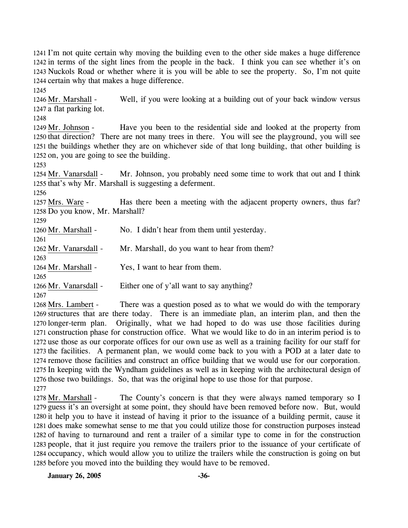1241 I'm not quite certain why moving the building even to the other side makes a huge difference 1242 in terms of the sight lines from the people in the back. I think you can see whether it's on 1243 Nuckols Road or whether where it is you will be able to see the property. So, I'm not quite 1244 certain why that makes a huge difference. 1245 Well, if you were looking at a building out of your back window versus 1247 a flat parking lot. 1246 Mr. Marshall -1248 Have you been to the residential side and looked at the property from 1250 that direction? There are not many trees in there. You will see the playground, you will see 1251 the buildings whether they are on whichever side of that long building, that other building is 1252 on, you are going to see the building. 1249 Mr. Johnson -1253 Mr. Johnson, you probably need some time to work that out and I think 1255 that's why Mr. Marshall is suggesting a deferment. 1254 Mr. Vanarsdall -1256 Has there been a meeting with the adjacent property owners, thus far? 1258 Do you know, Mr. Marshall? 1257 Mrs. Ware -1259 1260 Mr. Marshall - No. I didn't hear from them until yesterday. 1261 1262 Mr. Vanarsdall - Mr. Marshall, do you want to hear from them? 1263 1264 Mr. Marshall - Yes, I want to hear from them. 1265 1266 Mr. Vanarsdall - Either one of y'all want to say anything? 1267 There was a question posed as to what we would do with the temporary 1269 structures that are there today. There is an immediate plan, an interim plan, and then the 1268 Mrs. Lambert -

1270 longer-term plan. Originally, what we had hoped to do was use those facilities during 1271 construction phase for construction office. What we would like to do in an interim period is to 1272 use those as our corporate offices for our own use as well as a training facility for our staff for 1273 the facilities. A permanent plan, we would come back to you with a POD at a later date to 1274 remove those facilities and construct an office building that we would use for our corporation. 1275 In keeping with the Wyndham guidelines as well as in keeping with the architectural design of 1276 those two buildings. So, that was the original hope to use those for that purpose. 1277

The County's concern is that they were always named temporary so I 1279 guess it's an oversight at some point, they should have been removed before now. But, would 1280 it help you to have it instead of having it prior to the issuance of a building permit, cause it 1281 does make somewhat sense to me that you could utilize those for construction purposes instead 1282 of having to turnaround and rent a trailer of a similar type to come in for the construction 1283 people, that it just require you remove the trailers prior to the issuance of your certificate of 1284 occupancy, which would allow you to utilize the trailers while the construction is going on but 1285 before you moved into the building they would have to be removed. 1278 Mr. Marshall -

**January 26, 2005 -36-**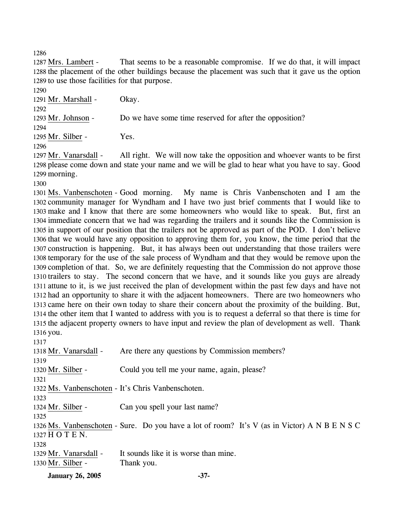1286

That seems to be a reasonable compromise. If we do that, it will impact 1288 the placement of the other buildings because the placement was such that it gave us the option 1289 to use those facilities for that purpose. 1287 Mrs. Lambert -

1290

1291 Mr. Marshall - Okay.

1292 1293 Mr. Johnson - Do we have some time reserved for after the opposition? 1294 1295 Mr. Silber - Yes.

1296

All right. We will now take the opposition and whoever wants to be first 1298 please come down and state your name and we will be glad to hear what you have to say. Good 1299 morning. 1297 Mr. Vanarsdall -

1300

My name is Chris Vanbenschoten and I am the 1302 community manager for Wyndham and I have two just brief comments that I would like to 1303 make and I know that there are some homeowners who would like to speak. But, first an 1304 immediate concern that we had was regarding the trailers and it sounds like the Commission is 1305 in support of our position that the trailers not be approved as part of the POD. I don't believe 1306 that we would have any opposition to approving them for, you know, the time period that the 1307 construction is happening. But, it has always been out understanding that those trailers were 1308 temporary for the use of the sale process of Wyndham and that they would be remove upon the 1309 completion of that. So, we are definitely requesting that the Commission do not approve those 1310 trailers to stay. The second concern that we have, and it sounds like you guys are already 1311 attune to it, is we just received the plan of development within the past few days and have not 1312 had an opportunity to share it with the adjacent homeowners. There are two homeowners who 1313 came here on their own today to share their concern about the proximity of the building. But, 1314 the other item that I wanted to address with you is to request a deferral so that there is time for 1315 the adjacent property owners to have input and review the plan of development as well. Thank 1316 you. 1301 Ms. Vanbenschoten - Good morning.

| ۰. |  |
|----|--|

| 1318 Mr. Vanarsdall - | Are there any questions by Commission members?                                                |
|-----------------------|-----------------------------------------------------------------------------------------------|
| 1319                  |                                                                                               |
| 1320 Mr. Silber -     | Could you tell me your name, again, please?                                                   |
| 1321                  |                                                                                               |
|                       | 1322 Ms. Vanbenschoten - It's Chris Vanbenschoten.                                            |
| 1323                  |                                                                                               |
| 1324 Mr. Silber -     | Can you spell your last name?                                                                 |
| 1325                  |                                                                                               |
|                       | 1326 Ms. Vanbenschoten - Sure. Do you have a lot of room? It's V (as in Victor) A N B E N S C |
| 1327 H O T E N.       |                                                                                               |
| 1328                  |                                                                                               |
| 1329 Mr. Vanarsdall - | It sounds like it is worse than mine.                                                         |
| 1330 Mr. Silber -     | Thank you.                                                                                    |
|                       |                                                                                               |

**January 26, 2005 -37-**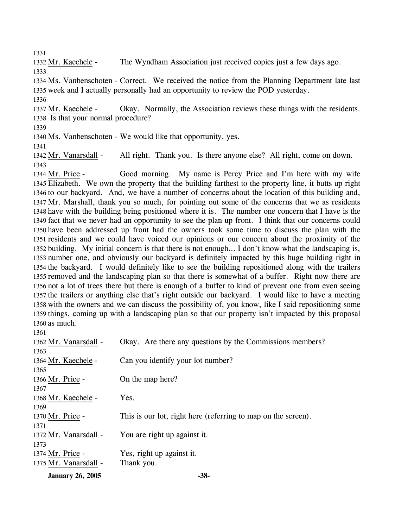1331

1332 Mr. Kaechele - The Wyndham Association just received copies just a few days ago. 1333

1334 Ms. Vanbenschoten - Correct. We received the notice from the Planning Department late last 1335 week and I actually personally had an opportunity to review the POD yesterday. 1336

Okay. Normally, the Association reviews these things with the residents. 1338 Is that your normal procedure? 1337 Mr. Kaechele -

1339

1340 Ms. Vanbenschoten - We would like that opportunity, yes.

1341

1342 Mr. Vanarsdall - All right. Thank you. Is there anyone else? All right, come on down. 1343

Good morning. My name is Percy Price and I'm here with my wife Elizabeth. We own the property that the building farthest to the property line, it butts up right 1345 1346 to our backyard. And, we have a number of concerns about the location of this building and, 1347 Mr. Marshall, thank you so much, for pointing out some of the concerns that we as residents 1348 have with the building being positioned where it is. The number one concern that I have is the 1349 fact that we never had an opportunity to see the plan up front. I think that our concerns could 1350 have been addressed up front had the owners took some time to discuss the plan with the 1351 residents and we could have voiced our opinions or our concern about the proximity of the 1352 building. My initial concern is that there is not enough... I don't know what the landscaping is, 1353 number one, and obviously our backyard is definitely impacted by this huge building right in 1354 the backyard. I would definitely like to see the building repositioned along with the trailers 1355 removed and the landscaping plan so that there is somewhat of a buffer. Right now there are 1356 not a lot of trees there but there is enough of a buffer to kind of prevent one from even seeing 1357 the trailers or anything else that's right outside our backyard. I would like to have a meeting 1358 with the owners and we can discuss the possibility of, you know, like I said repositioning some 1359 things, coming up with a landscaping plan so that our property isn't impacted by this proposal 1360 as much. 1344 Mr. Price - $126$ 

| -1.501                |                                                               |
|-----------------------|---------------------------------------------------------------|
| 1362 Mr. Vanarsdall - | Okay. Are there any questions by the Commissions members?     |
| 1363                  |                                                               |
| 1364 Mr. Kaechele -   | Can you identify your lot number?                             |
| 1365                  |                                                               |
| 1366 Mr. Price -      | On the map here?                                              |
| 1367                  |                                                               |
| 1368 Mr. Kaechele -   | Yes.                                                          |
| 1369                  |                                                               |
| 1370 Mr. Price -      | This is our lot, right here (referring to map on the screen). |
| 1371                  |                                                               |
| 1372 Mr. Vanarsdall - | You are right up against it.                                  |
| 1373                  |                                                               |
| 1374 Mr. Price -      | Yes, right up against it.                                     |
| 1375 Mr. Vanarsdall - | Thank you.                                                    |
|                       |                                                               |

**January 26, 2005 -38-**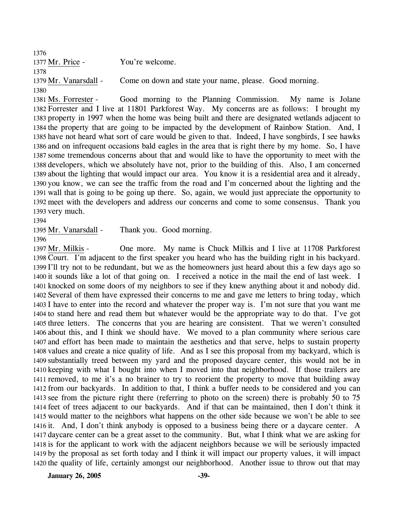1376 1377 Mr. Price - You're welcome. 1378 1379 Mr. Vanarsdall - Come on down and state your name, please. Good morning. 1380

Good morning to the Planning Commission. My name is Jolane 1382 Forrester and I live at 11801 Parkforest Way. My concerns are as follows: I brought my 1383 property in 1997 when the home was being built and there are designated wetlands adjacent to 1384 the property that are going to be impacted by the development of Rainbow Station. And, I 1385 have not heard what sort of care would be given to that. Indeed, I have songbirds, I see hawks 1386 and on infrequent occasions bald eagles in the area that is right there by my home. So, I have 1387 some tremendous concerns about that and would like to have the opportunity to meet with the 1388 developers, which we absolutely have not, prior to the building of this. Also, I am concerned 1389 about the lighting that would impact our area. You know it is a residential area and it already, 1390 you know, we can see the traffic from the road and I'm concerned about the lighting and the 1391 wall that is going to be going up there. So, again, we would just appreciate the opportunity to 1392 meet with the developers and address our concerns and come to some consensus. Thank you 1393 very much. 1381 Ms. Forrester -

1395 Mr. Vanarsdall - Thank you. Good morning.

1396

One more. My name is Chuck Milkis and I live at 11708 Parkforest 1398 Court. I'm adjacent to the first speaker you heard who has the building right in his backyard. 1399 I'll try not to be redundant, but we as the homeowners just heard about this a few days ago so 1400 it sounds like a lot of that going on. I received a notice in the mail the end of last week. I 1401 knocked on some doors of my neighbors to see if they knew anything about it and nobody did. 1402 Several of them have expressed their concerns to me and gave me letters to bring today, which 1403 I have to enter into the record and whatever the proper way is. I'm not sure that you want me 1404 to stand here and read them but whatever would be the appropriate way to do that. I've got 1405 three letters. The concerns that you are hearing are consistent. That we weren't consulted 1406 about this, and I think we should have. We moved to a plan community where serious care 1407 and effort has been made to maintain the aesthetics and that serve, helps to sustain property 1408 values and create a nice quality of life. And as I see this proposal from my backyard, which is 1409 substantially treed between my yard and the proposed daycare center, this would not be in 1410 keeping with what I bought into when I moved into that neighborhood. If those trailers are 1411 removed, to me it's a no brainer to try to reorient the property to move that building away 1412 from our backyards. In addition to that, I think a buffer needs to be considered and you can 1413 see from the picture right there (referring to photo on the screen) there is probably 50 to 75 1414 feet of trees adjacent to our backyards. And if that can be maintained, then I don't think it 1415 would matter to the neighbors what happens on the other side because we won't be able to see 1416 it. And, I don't think anybody is opposed to a business being there or a daycare center. A 1417 daycare center can be a great asset to the community. But, what I think what we are asking for 1418 is for the applicant to work with the adjacent neighbors because we will be seriously impacted 1419 by the proposal as set forth today and I think it will impact our property values, it will impact 1420 the quality of life, certainly amongst our neighborhood. Another issue to throw out that may 1397 Mr. Milkis -

**January 26, 2005 -39-**

<sup>1394</sup>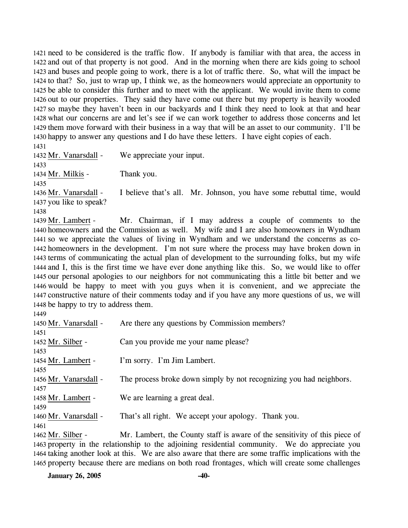need to be considered is the traffic flow. If anybody is familiar with that area, the access in and out of that property is not good. And in the morning when there are kids going to school and buses and people going to work, there is a lot of traffic there. So, what will the impact be to that? So, just to wrap up, I think we, as the homeowners would appreciate an opportunity to be able to consider this further and to meet with the applicant. We would invite them to come out to our properties. They said they have come out there but my property is heavily wooded so maybe they haven't been in our backyards and I think they need to look at that and hear what our concerns are and let's see if we can work together to address those concerns and let them move forward with their business in a way that will be an asset to our community. I'll be happy to answer any questions and I do have these letters. I have eight copies of each.

1431 1432 Mr. Vanarsdall - We appreciate your input. 1433 1434 Mr. Milkis - Thank you. 1435 I believe that's all. Mr. Johnson, you have some rebuttal time, would 1437 you like to speak? 1436 Mr. Vanarsdall -1438 Mr. Chairman, if I may address a couple of comments to the 1440 homeowners and the Commission as well. My wife and I are also homeowners in Wyndham 1441 so we appreciate the values of living in Wyndham and we understand the concerns as co-1439 Mr. Lambert -

1442 homeowners in the development. I'm not sure where the process may have broken down in 1443 terms of communicating the actual plan of development to the surrounding folks, but my wife 1444 and I, this is the first time we have ever done anything like this. So, we would like to offer 1445 our personal apologies to our neighbors for not communicating this a little bit better and we 1446 would be happy to meet with you guys when it is convenient, and we appreciate the 1447 constructive nature of their comments today and if you have any more questions of us, we will 1448 be happy to try to address them.

| ٩ |
|---|
|---|

| 1450 Mr. Vanarsdall - | Are there any questions by Commission members?                             |
|-----------------------|----------------------------------------------------------------------------|
| 1451                  |                                                                            |
| 1452 Mr. Silber -     | Can you provide me your name please?                                       |
| 1453                  |                                                                            |
| 1454 Mr. Lambert -    | I'm sorry. I'm Jim Lambert.                                                |
| 1455                  |                                                                            |
| 1456 Mr. Vanarsdall - | The process broke down simply by not recognizing you had neighbors.        |
| 1457                  |                                                                            |
| 1458 Mr. Lambert -    | We are learning a great deal.                                              |
| 1459                  |                                                                            |
| 1460 Mr. Vanarsdall - | That's all right. We accept your apology. Thank you.                       |
| 1461                  |                                                                            |
| 1462 Mr. Silber -     | Mr. Lambert, the County staff is aware of the sensitivity of this piece of |
|                       |                                                                            |

1463 property in the relationship to the adjoining residential community. We do appreciate you 1464 taking another look at this. We are also aware that there are some traffic implications with the 1465 property because there are medians on both road frontages, which will create some challenges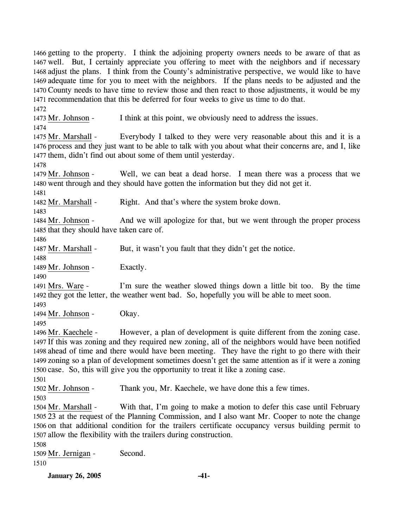**January 26, 2005 -41-** 1466 getting to the property. I think the adjoining property owners needs to be aware of that as 1467 well. But, I certainly appreciate you offering to meet with the neighbors and if necessary 1468 adjust the plans. I think from the County's administrative perspective, we would like to have 1469 adequate time for you to meet with the neighbors. If the plans needs to be adjusted and the 1470 County needs to have time to review those and then react to those adjustments, it would be my 1471 recommendation that this be deferred for four weeks to give us time to do that. 1472 1473 Mr. Johnson - I think at this point, we obviously need to address the issues. 1474 Everybody I talked to they were very reasonable about this and it is a 1476 process and they just want to be able to talk with you about what their concerns are, and I, like 1477 them, didn't find out about some of them until yesterday. 1475 Mr. Marshall -1478 Well, we can beat a dead horse. I mean there was a process that we 1480 went through and they should have gotten the information but they did not get it. 1479 Mr. Johnson -1481 1482 Mr. Marshall - Right. And that's where the system broke down. 1483 And we will apologize for that, but we went through the proper process 1485 that they should have taken care of. 1484 Mr. Johnson -1486 1487 Mr. Marshall - But, it wasn't you fault that they didn't get the notice. 1488 1489 Mr. Johnson - Exactly. 1490 I'm sure the weather slowed things down a little bit too. By the time 1492 they got the letter, the weather went bad. So, hopefully you will be able to meet soon. 1491 Mrs. Ware -1493 1494 Mr. Johnson - Okay. 1495 However, a plan of development is quite different from the zoning case. 1497 If this was zoning and they required new zoning, all of the neighbors would have been notified 1498 ahead of time and there would have been meeting. They have the right to go there with their 1499 zoning so a plan of development sometimes doesn't get the same attention as if it were a zoning 1500 case. So, this will give you the opportunity to treat it like a zoning case. 1496 Mr. Kaechele -1501 1502 Mr. Johnson - Thank you, Mr. Kaechele, we have done this a few times. 1503 With that, I'm going to make a motion to defer this case until February 1505 23 at the request of the Planning Commission, and I also want Mr. Cooper to note the change 1506 on that additional condition for the trailers certificate occupancy versus building permit to 1507 allow the flexibility with the trailers during construction. 1504 Mr. Marshall -1508 1509 Mr. Jernigan - Second. 1510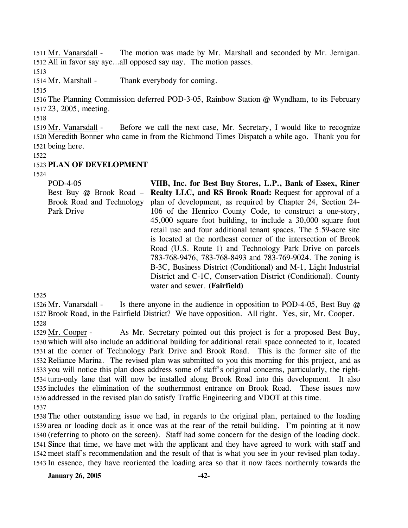The motion was made by Mr. Marshall and seconded by Mr. Jernigan. 1512 All in favor say aye...all opposed say nay. The motion passes. 1511 Mr. Vanarsdall -

1513

1514 Mr. Marshall - Thank everybody for coming.

1515

1516 The Planning Commission deferred POD-3-05, Rainbow Station @ Wyndham, to its February 1517 23, 2005, meeting.

1518

Before we call the next case, Mr. Secretary, I would like to recognize 1520 Meredith Bonner who came in from the Richmond Times Dispatch a while ago. Thank you for 1521 being here. 1519 Mr. Vanarsdall -

1522

# 1523 **PLAN OF DEVELOPMENT**

1524

POD-4-05 Best Buy @ Brook Road – Brook Road and Technology Park Drive **VHB, Inc. for Best Buy Stores, L.P., Bank of Essex, Riner Realty LLC, and RS Brook Road:** Request for approval of a plan of development, as required by Chapter 24, Section 24- 106 of the Henrico County Code, to construct a one-story, 45,000 square foot building, to include a 30,000 square foot retail use and four additional tenant spaces. The 5.59-acre site is located at the northeast corner of the intersection of Brook Road (U.S. Route 1) and Technology Park Drive on parcels 783-768-9476, 783-768-8493 and 783-769-9024. The zoning is B-3C, Business District (Conditional) and M-1, Light Industrial District and C-1C, Conservation District (Conditional). County water and sewer. **(Fairfield)** 

1525

Is there anyone in the audience in opposition to POD-4-05, Best Buy  $\omega$ 1527 Brook Road, in the Fairfield District? We have opposition. All right. Yes, sir, Mr. Cooper. 1526 Mr. Vanarsdall -1528

As Mr. Secretary pointed out this project is for a proposed Best Buy, 1530 which will also include an additional building for additional retail space connected to it, located 1531 at the corner of Technology Park Drive and Brook Road. This is the former site of the 1532 Reliance Marina. The revised plan was submitted to you this morning for this project, and as 1533 you will notice this plan does address some of staff's original concerns, particularly, the right-1534 turn-only lane that will now be installed along Brook Road into this development. It also 1535 includes the elimination of the southernmost entrance on Brook Road. These issues now 1536 addressed in the revised plan do satisfy Traffic Engineering and VDOT at this time. 1529 Mr. Cooper -1537

 The other outstanding issue we had, in regards to the original plan, pertained to the loading area or loading dock as it once was at the rear of the retail building. I'm pointing at it now (referring to photo on the screen). Staff had some concern for the design of the loading dock. Since that time, we have met with the applicant and they have agreed to work with staff and meet staff's recommendation and the result of that is what you see in your revised plan today. In essence, they have reoriented the loading area so that it now faces northernly towards the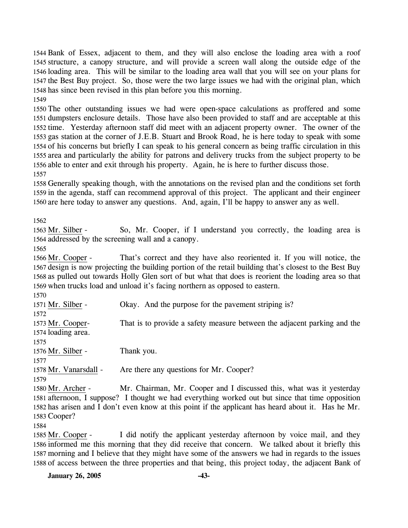Bank of Essex, adjacent to them, and they will also enclose the loading area with a roof structure, a canopy structure, and will provide a screen wall along the outside edge of the loading area. This will be similar to the loading area wall that you will see on your plans for the Best Buy project. So, those were the two large issues we had with the original plan, which has since been revised in this plan before you this morning. 1549

 The other outstanding issues we had were open-space calculations as proffered and some dumpsters enclosure details. Those have also been provided to staff and are acceptable at this time. Yesterday afternoon staff did meet with an adjacent property owner. The owner of the gas station at the corner of J.E.B. Stuart and Brook Road, he is here today to speak with some of his concerns but briefly I can speak to his general concern as being traffic circulation in this area and particularly the ability for patrons and delivery trucks from the subject property to be able to enter and exit through his property. Again, he is here to further discuss those. 1557

1558 Generally speaking though, with the annotations on the revised plan and the conditions set forth 1559 in the agenda, staff can recommend approval of this project. The applicant and their engineer 1560 are here today to answer any questions. And, again, I'll be happy to answer any as well.

1562

So, Mr. Cooper, if I understand you correctly, the loading area is 1564 addressed by the screening wall and a canopy. 1563 Mr. Silber -

1565

That's correct and they have also reoriented it. If you will notice, the 1567 design is now projecting the building portion of the retail building that's closest to the Best Buy 1568 as pulled out towards Holly Glen sort of but what that does is reorient the loading area so that 1569 when trucks load and unload it's facing northern as opposed to eastern. 1566 Mr. Cooper -

1570

1571 Mr. Silber - Okay. And the purpose for the pavement striping is? 1572 That is to provide a safety measure between the adjacent parking and the 1574 loading area. 1573 Mr. Cooper-1575 1576 Mr. Silber - Thank you. 1577 1578 Mr. Vanarsdall - Are there any questions for Mr. Cooper? 1579 Mr. Chairman, Mr. Cooper and I discussed this, what was it yesterday 1580 Mr. Archer -

1581 afternoon, I suppose? I thought we had everything worked out but since that time opposition 1582 has arisen and I don't even know at this point if the applicant has heard about it. Has he Mr. 1583 Cooper?

1584

I did notify the applicant yesterday afternoon by voice mail, and they 1586 informed me this morning that they did receive that concern. We talked about it briefly this 1587 morning and I believe that they might have some of the answers we had in regards to the issues 1588 of access between the three properties and that being, this project today, the adjacent Bank of 1585 Mr. Cooper -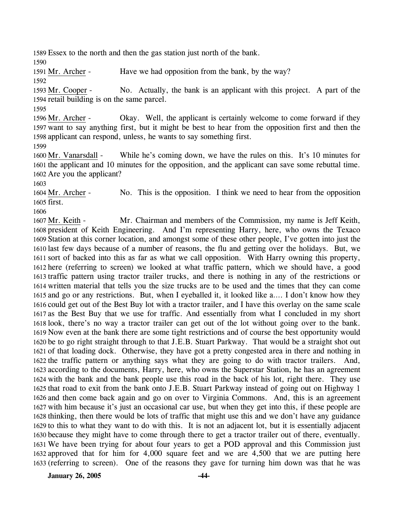1589 Essex to the north and then the gas station just north of the bank.

1590

1591 Mr. Archer - Have we had opposition from the bank, by the way?

1592

No. Actually, the bank is an applicant with this project. A part of the 1594 retail building is on the same parcel. 1593 Mr. Cooper -

1595

Okay. Well, the applicant is certainly welcome to come forward if they 1597 want to say anything first, but it might be best to hear from the opposition first and then the 1598 applicant can respond, unless, he wants to say something first. 1596 Mr. Archer -1599

While he's coming down, we have the rules on this. It's 10 minutes for 1601 the applicant and 10 minutes for the opposition, and the applicant can save some rebuttal time. 1602 Are you the applicant? 1600 Mr. Vanarsdall -

1603

No. This is the opposition. I think we need to hear from the opposition 1605 first. 1604 Mr. Archer -

1606

Mr. Chairman and members of the Commission, my name is Jeff Keith, 1608 president of Keith Engineering. And I'm representing Harry, here, who owns the Texaco 1609 Station at this corner location, and amongst some of these other people, I've gotten into just the 1610 last few days because of a number of reasons, the flu and getting over the holidays. But, we 1611 sort of backed into this as far as what we call opposition. With Harry owning this property, 1612 here (referring to screen) we looked at what traffic pattern, which we should have, a good 1613 traffic pattern using tractor trailer trucks, and there is nothing in any of the restrictions or 1614 written material that tells you the size trucks are to be used and the times that they can come 1615 and go or any restrictions. But, when I eyeballed it, it looked like a.... I don't know how they 1616 could get out of the Best Buy lot with a tractor trailer, and I have this overlay on the same scale 1617 as the Best Buy that we use for traffic. And essentially from what I concluded in my short 1618 look, there's no way a tractor trailer can get out of the lot without going over to the bank. 1619 Now even at the bank there are some tight restrictions and of course the best opportunity would 1620 be to go right straight through to that J.E.B. Stuart Parkway. That would be a straight shot out 1621 of that loading dock. Otherwise, they have got a pretty congested area in there and nothing in 1622 the traffic pattern or anything says what they are going to do with tractor trailers. And, 1623 according to the documents, Harry, here, who owns the Superstar Station, he has an agreement 1624 with the bank and the bank people use this road in the back of his lot, right there. They use 1625 that road to exit from the bank onto J.E.B. Stuart Parkway instead of going out on Highway 1 1626 and then come back again and go on over to Virginia Commons. And, this is an agreement 1627 with him because it's just an occasional car use, but when they get into this, if these people are 1628 thinking, then there would be lots of traffic that might use this and we don't have any guidance 1629 to this to what they want to do with this. It is not an adjacent lot, but it is essentially adjacent 1630 because they might have to come through there to get a tractor trailer out of there, eventually. We have been trying for about four years to get a POD approval and this Commission just 1631 1632 approved that for him for 4,000 square feet and we are 4,500 that we are putting here 1633 (referring to screen). One of the reasons they gave for turning him down was that he was 1607 Mr. Keith -

**January 26, 2005 -44-**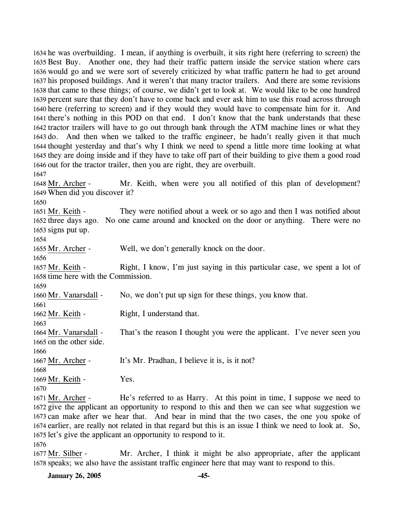he was overbuilding. I mean, if anything is overbuilt, it sits right here (referring to screen) the Best Buy. Another one, they had their traffic pattern inside the service station where cars would go and we were sort of severely criticized by what traffic pattern he had to get around his proposed buildings. And it weren't that many tractor trailers. And there are some revisions that came to these things; of course, we didn't get to look at. We would like to be one hundred percent sure that they don't have to come back and ever ask him to use this road across through here (referring to screen) and if they would they would have to compensate him for it. And there's nothing in this POD on that end. I don't know that the bank understands that these tractor trailers will have to go out through bank through the ATM machine lines or what they do. And then when we talked to the traffic engineer, he hadn't really given it that much thought yesterday and that's why I think we need to spend a little more time looking at what they are doing inside and if they have to take off part of their building to give them a good road out for the tractor trailer, then you are right, they are overbuilt.

1647

Mr. Keith, when were you all notified of this plan of development? When did you discover it? 1649 1648 Mr. Archer -

1650

They were notified about a week or so ago and then I was notified about 1652 three days ago. No one came around and knocked on the door or anything. There were no 1653 signs put up. 1651 Mr. Keith -

1654

1655 Mr. Archer - Well, we don't generally knock on the door.

1656

Right, I know, I'm just saying in this particular case, we spent a lot of 1658 time here with the Commission. 1657 Mr. Keith -

1659

1661

1660 Mr. Vanarsdall - No, we don't put up sign for these things, you know that.

1662 Mr. Keith - Right, I understand that. 1663

That's the reason I thought you were the applicant. I've never seen you 1665 on the other side. 1664 Mr. Vanarsdall -

1667 Mr. Archer - It's Mr. Pradhan, I believe it is, is it not?

1668

1666

1669 Mr. Keith - Yes.

1670

He's referred to as Harry. At this point in time, I suppose we need to 1672 give the applicant an opportunity to respond to this and then we can see what suggestion we 1673 can make after we hear that. And bear in mind that the two cases, the one you spoke of 1674 earlier, are really not related in that regard but this is an issue I think we need to look at. So, 1675 let's give the applicant an opportunity to respond to it. 1671 Mr. Archer -

1676

Mr. Archer, I think it might be also appropriate, after the applicant 1678 speaks; we also have the assistant traffic engineer here that may want to respond to this. 1677 Mr. Silber -

**January 26, 2005 -45-**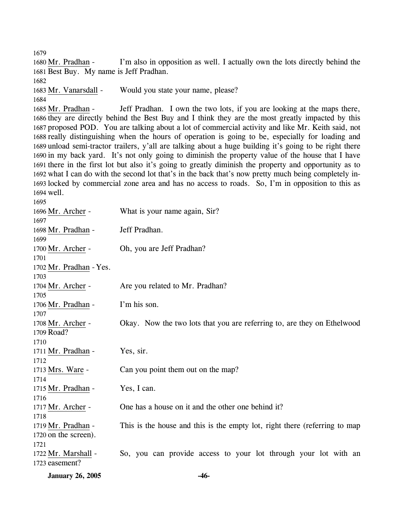1679

I'm also in opposition as well. I actually own the lots directly behind the 1681 Best Buy. My name is Jeff Pradhan. 1680 Mr. Pradhan -

1682

1683 Mr. Vanarsdall - Would you state your name, please?

1684

Jeff Pradhan. I own the two lots, if you are looking at the maps there, 1686 they are directly behind the Best Buy and I think they are the most greatly impacted by this 1687 proposed POD. You are talking about a lot of commercial activity and like Mr. Keith said, not 1688 really distinguishing when the hours of operation is going to be, especially for loading and 1689 unload semi-tractor trailers, y'all are talking about a huge building it's going to be right there 1690 in my back yard. It's not only going to diminish the property value of the house that I have 1691 there in the first lot but also it's going to greatly diminish the property and opportunity as to 1692 what I can do with the second lot that's in the back that's now pretty much being completely in-1693 locked by commercial zone area and has no access to roads. So, I'm in opposition to this as well. 1694 1685 Mr. Pradhan -

| 1695                    |                                                                            |
|-------------------------|----------------------------------------------------------------------------|
| 1696 Mr. Archer -       | What is your name again, Sir?                                              |
| 1697                    |                                                                            |
| 1698 Mr. Pradhan -      | Jeff Pradhan.                                                              |
| 1699                    |                                                                            |
| 1700 Mr. Archer -       | Oh, you are Jeff Pradhan?                                                  |
| 1701                    |                                                                            |
| 1702 Mr. Pradhan - Yes. |                                                                            |
| 1703                    |                                                                            |
| 1704 Mr. Archer -       | Are you related to Mr. Pradhan?                                            |
| 1705                    |                                                                            |
| 1706 Mr. Pradhan -      | I'm his son.                                                               |
| 1707                    |                                                                            |
| 1708 Mr. Archer -       | Okay. Now the two lots that you are referring to, are they on Ethelwood    |
| 1709 Road?              |                                                                            |
| 1710                    |                                                                            |
| 1711 Mr. Pradhan -      | Yes, sir.                                                                  |
| 1712                    |                                                                            |
| 1713 Mrs. Ware -        | Can you point them out on the map?                                         |
| 1714                    |                                                                            |
| 1715 Mr. Pradhan -      | Yes, I can.                                                                |
| 1716                    |                                                                            |
| 1717 Mr. Archer -       | One has a house on it and the other one behind it?                         |
| 1718                    |                                                                            |
| 1719 Mr. Pradhan -      | This is the house and this is the empty lot, right there (referring to map |
| 1720 on the screen).    |                                                                            |
| 1721                    |                                                                            |
| 1722 Mr. Marshall -     | So, you can provide access to your lot through your lot with an            |
| 1723 easement?          |                                                                            |
|                         |                                                                            |

**January 26, 2005 -46-**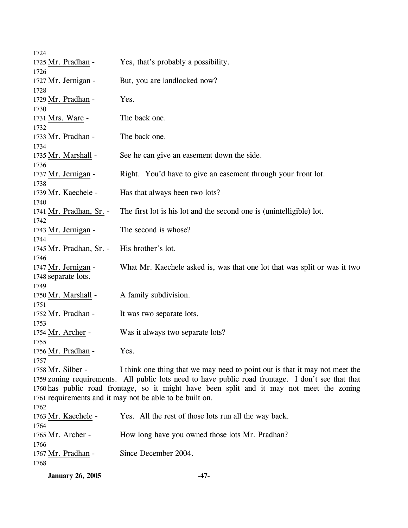| Yes, that's probably a possibility.                                                                |
|----------------------------------------------------------------------------------------------------|
|                                                                                                    |
| But, you are landlocked now?                                                                       |
|                                                                                                    |
| Yes.                                                                                               |
|                                                                                                    |
| The back one.                                                                                      |
|                                                                                                    |
| The back one.                                                                                      |
|                                                                                                    |
| See he can give an easement down the side.                                                         |
|                                                                                                    |
| Right. You'd have to give an easement through your front lot.                                      |
|                                                                                                    |
| Has that always been two lots?                                                                     |
|                                                                                                    |
| The first lot is his lot and the second one is (unintelligible) lot.                               |
|                                                                                                    |
| The second is whose?                                                                               |
|                                                                                                    |
| His brother's lot.                                                                                 |
|                                                                                                    |
| What Mr. Kaechele asked is, was that one lot that was split or was it two                          |
|                                                                                                    |
|                                                                                                    |
| A family subdivision.                                                                              |
|                                                                                                    |
| It was two separate lots.                                                                          |
|                                                                                                    |
| Was it always two separate lots?                                                                   |
|                                                                                                    |
| Yes.                                                                                               |
|                                                                                                    |
| I think one thing that we may need to point out is that it may not meet the                        |
| 1759 zoning requirements. All public lots need to have public road frontage. I don't see that that |
| 1760 has public road frontage, so it might have been split and it may not meet the zoning          |
| 1761 requirements and it may not be able to be built on.                                           |
|                                                                                                    |
| Yes. All the rest of those lots run all the way back.                                              |
|                                                                                                    |
| How long have you owned those lots Mr. Pradhan?                                                    |
|                                                                                                    |
| Since December 2004.                                                                               |
|                                                                                                    |
|                                                                                                    |

**January 26, 2005 -47-**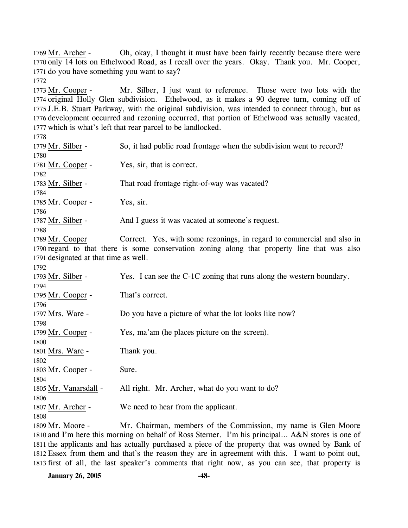Oh, okay, I thought it must have been fairly recently because there were 1770 only 14 lots on Ethelwood Road, as I recall over the years. Okay. Thank you. Mr. Cooper, 1771 do you have something you want to say? 1769 Mr. Archer -

1772

Mr. Silber, I just want to reference. Those were two lots with the 1774 original Holly Glen subdivision. Ethelwood, as it makes a 90 degree turn, coming off of 1775 J.E.B. Stuart Parkway, with the original subdivision, was intended to connect through, but as 1776 development occurred and rezoning occurred, that portion of Ethelwood was actually vacated, 1777 which is what's left that rear parcel to be landlocked. 1773 Mr. Cooper -

1778

| 1779 Mr. Silber -                     | So, it had public road frontage when the subdivision went to record?                         |
|---------------------------------------|----------------------------------------------------------------------------------------------|
| 1780                                  |                                                                                              |
| 1781 Mr. Cooper -                     | Yes, sir, that is correct.                                                                   |
| 1782                                  |                                                                                              |
| 1783 Mr. Silber -                     | That road frontage right-of-way was vacated?                                                 |
| 1784                                  |                                                                                              |
| 1785 Mr. Cooper -                     | Yes, sir.                                                                                    |
| 1786                                  |                                                                                              |
| 1787 Mr. Silber -                     | And I guess it was vacated at someone's request.                                             |
| 1788                                  |                                                                                              |
| 1789 Mr. Cooper                       | Correct. Yes, with some rezonings, in regard to commercial and also in                       |
|                                       | 1790 regard to that there is some conservation zoning along that property line that was also |
| 1791 designated at that time as well. |                                                                                              |
| 1792                                  |                                                                                              |
| 1793 Mr. Silber -                     | Yes. I can see the C-1C zoning that runs along the western boundary.                         |
| 1794                                  |                                                                                              |
| 1795 Mr. Cooper -                     | That's correct.                                                                              |
| 1796                                  |                                                                                              |
| 1797 Mrs. Ware -                      | Do you have a picture of what the lot looks like now?                                        |
| 1798                                  |                                                                                              |
| 1799 Mr. Cooper -                     | Yes, ma'am (he places picture on the screen).                                                |
| 1800                                  |                                                                                              |
| 1801 Mrs. Ware -                      | Thank you.                                                                                   |
| 1802                                  |                                                                                              |
| 1803 Mr. Cooper -                     | Sure.                                                                                        |
| 1804                                  |                                                                                              |
| 1805 Mr. Vanarsdall -                 | All right. Mr. Archer, what do you want to do?                                               |
| 1806                                  |                                                                                              |
| 1807 Mr. Archer -                     | We need to hear from the applicant.                                                          |
| 1808                                  | Mr. Chairman, members of the Commission, my name is Glen Moore                               |
| 1800 $Mr$ $Monen$ –                   |                                                                                              |

Mr. Chairman, members of the Commission, my name is Glen Moore 1810 and I'm here this morning on behalf of Ross Sterner. I'm his principal... A&N stores is one of 1811 the applicants and has actually purchased a piece of the property that was owned by Bank of Essex from them and that's the reason they are in agreement with this. I want to point out, 1812 1813 first of all, the last speaker's comments that right now, as you can see, that property is 1809 Mr. Moore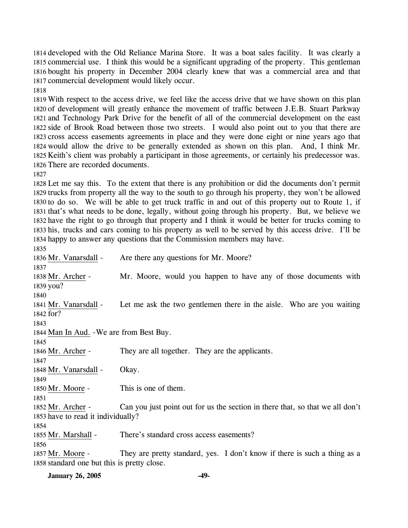developed with the Old Reliance Marina Store. It was a boat sales facility. It was clearly a commercial use. I think this would be a significant upgrading of the property. This gentleman bought his property in December 2004 clearly knew that was a commercial area and that commercial development would likely occur.

 With respect to the access drive, we feel like the access drive that we have shown on this plan of development will greatly enhance the movement of traffic between J.E.B. Stuart Parkway and Technology Park Drive for the benefit of all of the commercial development on the east side of Brook Road between those two streets. I would also point out to you that there are cross access easements agreements in place and they were done eight or nine years ago that would allow the drive to be generally extended as shown on this plan. And, I think Mr. Keith's client was probably a participant in those agreements, or certainly his predecessor was. There are recorded documents.

 Let me say this. To the extent that there is any prohibition or did the documents don't permit trucks from property all the way to the south to go through his property, they won't be allowed to do so. We will be able to get truck traffic in and out of this property out to Route 1, if that's what needs to be done, legally, without going through his property. But, we believe we have the right to go through that property and I think it would be better for trucks coming to his, trucks and cars coming to his property as well to be served by this access drive. I'll be happy to answer any questions that the Commission members may have.

 1836 Mr. Vanarsdall - Are there any questions for Mr. Moore? Mr. Moore, would you happen to have any of those documents with 1839 you? 1838 Mr. Archer - Let me ask the two gentlemen there in the aisle. Who are you waiting 1842 for? 1841 Mr. Vanarsdall - 1844 Man In Aud. - We are from Best Buy. 1846 Mr. Archer - They are all together. They are the applicants. 1848 Mr. Vanarsdall - Okay. 1850 Mr. Moore - This is one of them. Can you just point out for us the section in there that, so that we all don't 1853 have to read it individually? 1852 Mr. Archer - 1855 Mr. Marshall - There's standard cross access easements? They are pretty standard, yes. I don't know if there is such a thing as a 1857 Mr. Moore -

1858 standard one but this is pretty close.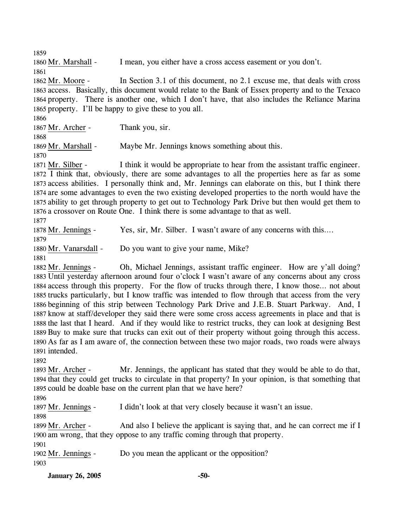1859

1860 Mr. Marshall - I mean, you either have a cross access easement or you don't.

1861

In Section 3.1 of this document, no 2.1 excuse me, that deals with cross 1863 access. Basically, this document would relate to the Bank of Essex property and to the Texaco 1864 property. There is another one, which I don't have, that also includes the Reliance Marina 1865 property. I'll be happy to give these to you all. 1862 Mr. Moore -

1866

1867 Mr. Archer - Thank you, sir.

1868

1869 Mr. Marshall - Maybe Mr. Jennings knows something about this.

1870

I think it would be appropriate to hear from the assistant traffic engineer. 1872 I think that, obviously, there are some advantages to all the properties here as far as some 1873 access abilities. I personally think and, Mr. Jennings can elaborate on this, but I think there 1874 are some advantages to even the two existing developed properties to the north would have the 1875 ability to get through property to get out to Technology Park Drive but then would get them to 1876 a crossover on Route One. I think there is some advantage to that as well. 1871 Mr. Silber -

1877

1878 Mr. Jennings - Yes, sir, Mr. Silber. I wasn't aware of any concerns with this….

1879

1880 Mr. Vanarsdall - Do you want to give your name, Mike?

1881

Oh, Michael Jennings, assistant traffic engineer. How are y'all doing? 1883 Until yesterday afternoon around four o'clock I wasn't aware of any concerns about any cross 1884 access through this property. For the flow of trucks through there, I know those... not about 1885 trucks particularly, but I know traffic was intended to flow through that access from the very 1886 beginning of this strip between Technology Park Drive and J.E.B. Stuart Parkway. And, I 1887 know at staff/developer they said there were some cross access agreements in place and that is 1888 the last that I heard. And if they would like to restrict trucks, they can look at designing Best 1889 Buy to make sure that trucks can exit out of their property without going through this access. 1890 As far as I am aware of, the connection between these two major roads, two roads were always 1891 intended. 1882 Mr. Jennings -

1892

Mr. Jennings, the applicant has stated that they would be able to do that, 1894 that they could get trucks to circulate in that property? In your opinion, is that something that 1895 could be doable base on the current plan that we have here? 1893 Mr. Archer -

1896

1897 Mr. Jennings - I didn't look at that very closely because it wasn't an issue.

1898

And also I believe the applicant is saying that, and he can correct me if I 1900 am wrong, that they oppose to any traffic coming through that property. 1899 Mr. Archer -

1901

1902 Mr. Jennings - Do you mean the applicant or the opposition?

1903

**January 26, 2005 -50-**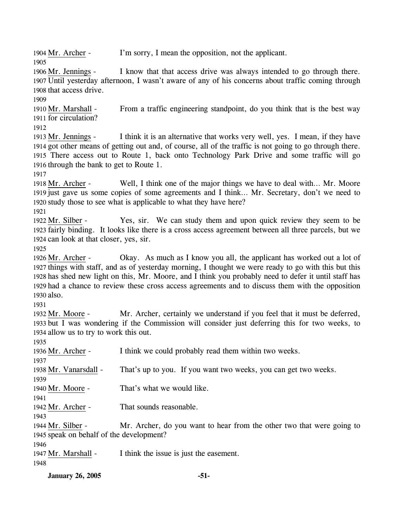1904 Mr. Archer - I'm sorry, I mean the opposition, not the applicant. 1905

I know that that access drive was always intended to go through there. 1907 Until yesterday afternoon, I wasn't aware of any of his concerns about traffic coming through 1908 that access drive. 1906 Mr. Jennings -

1909

From a traffic engineering standpoint, do you think that is the best way 1911 for circulation? 1910 Mr. Marshall -

1912

I think it is an alternative that works very well, yes. I mean, if they have 1914 got other means of getting out and, of course, all of the traffic is not going to go through there. There access out to Route 1, back onto Technology Park Drive and some traffic will go 1915 1916 through the bank to get to Route 1. 1913 Mr. Jennings -

1917

Well, I think one of the major things we have to deal with... Mr. Moore 1919 just gave us some copies of some agreements and I think... Mr. Secretary, don't we need to 1920 study those to see what is applicable to what they have here? 1918 Mr. Archer -

1921

Yes, sir. We can study them and upon quick review they seem to be 1923 fairly binding. It looks like there is a cross access agreement between all three parcels, but we 1924 can look at that closer, yes, sir. 1922 Mr. Silber -

1925

Okay. As much as I know you all, the applicant has worked out a lot of 1927 things with staff, and as of yesterday morning, I thought we were ready to go with this but this 1928 has shed new light on this, Mr. Moore, and I think you probably need to defer it until staff has 1929 had a chance to review these cross access agreements and to discuss them with the opposition 1930 also. 1926 Mr. Archer -

1931

Mr. Archer, certainly we understand if you feel that it must be deferred, 1933 but I was wondering if the Commission will consider just deferring this for two weeks, to 1934 allow us to try to work this out. 1932 Mr. Moore -

1935

1936 Mr. Archer - I think we could probably read them within two weeks. 1937 1938 Mr. Vanarsdall - That's up to you. If you want two weeks, you can get two weeks. 1939 1940 Mr. Moore - That's what we would like. 1941 1942 Mr. Archer - That sounds reasonable. 1943 Mr. Archer, do you want to hear from the other two that were going to 1945 speak on behalf of the development? 1944 Mr. Silber -1946 1947 Mr. Marshall - I think the issue is just the easement. 1948

**January 26, 2005 -51-**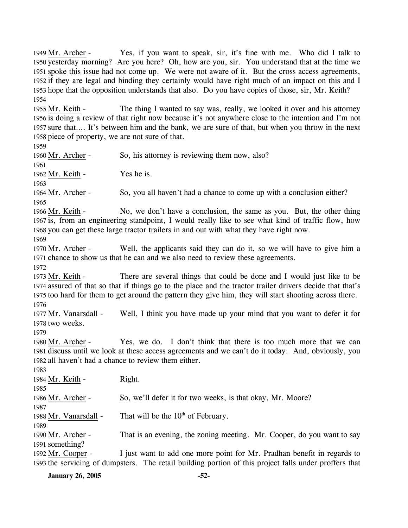Yes, if you want to speak, sir, it's fine with me. Who did I talk to 1950 yesterday morning? Are you here? Oh, how are you, sir. You understand that at the time we 1951 spoke this issue had not come up. We were not aware of it. But the cross access agreements, 1952 if they are legal and binding they certainly would have right much of an impact on this and I 1953 hope that the opposition understands that also. Do you have copies of those, sir, Mr. Keith? 1949 Mr. Archer -1954

The thing I wanted to say was, really, we looked it over and his attorney 1956 is doing a review of that right now because it's not anywhere close to the intention and I'm not 1957 sure that.... It's between him and the bank, we are sure of that, but when you throw in the next 1958 piece of property, we are not sure of that. 1955 Mr. Keith -

1959

1960 Mr. Archer - So, his attorney is reviewing them now, also?

1961 1962 Mr. Keith - Yes he is.

1963

1964 Mr. Archer - So, you all haven't had a chance to come up with a conclusion either?

1965

No, we don't have a conclusion, the same as you. But, the other thing 1967 is, from an engineering standpoint, I would really like to see what kind of traffic flow, how 1968 you can get these large tractor trailers in and out with what they have right now. 1966 Mr. Keith -

1969

Well, the applicants said they can do it, so we will have to give him a 1971 chance to show us that he can and we also need to review these agreements. 1970 Mr. Archer -

1972

There are several things that could be done and I would just like to be 1974 assured of that so that if things go to the place and the tractor trailer drivers decide that that's 1975 too hard for them to get around the pattern they give him, they will start shooting across there. 1973 Mr. Keith -1976

Well, I think you have made up your mind that you want to defer it for 1978 two weeks. 1977 Mr. Vanarsdall -

1979

Yes, we do. I don't think that there is too much more that we can 1981 discuss until we look at these access agreements and we can't do it today. And, obviously, you 1982 all haven't had a chance to review them either. 1980 Mr. Archer -

1983 1984 Mr. Keith - Right. 1985 1986 Mr. Archer - So, we'll defer it for two weeks, is that okay, Mr. Moore? 1987 1988 Mr. Vanarsdall - That will be the  $10<sup>th</sup>$  of February. 1989 That is an evening, the zoning meeting. Mr. Cooper, do you want to say 1991 something? 1990 Mr. Archer -I just want to add one more point for Mr. Pradhan benefit in regards to 1993 the servicing of dumpsters. The retail building portion of this project falls under proffers that 1992 Mr. Cooper -

**January 26, 2005 -52-**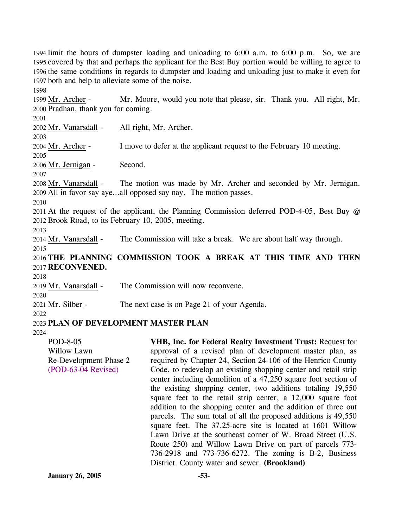limit the hours of dumpster loading and unloading to 6:00 a.m. to 6:00 p.m. So, we are covered by that and perhaps the applicant for the Best Buy portion would be willing to agree to the same conditions in regards to dumpster and loading and unloading just to make it even for both and help to alleviate some of the noise.

Mr. Moore, would you note that please, sir. Thank you. All right, Mr. 2000 Pradhan, thank you for coming. 1999 Mr. Archer -

2001

1998

2002 Mr. Vanarsdall - All right, Mr. Archer.

2004 Mr. Archer - I move to defer at the applicant request to the February 10 meeting.

2005

2003

2006 Mr. Jernigan - Second.

2007

The motion was made by Mr. Archer and seconded by Mr. Jernigan. All in favor say aye…all opposed say nay. The motion passes. 2009 2008 Mr. Vanarsdall -

2010

2011 At the request of the applicant, the Planning Commission deferred POD-4-05, Best Buy @ 2012 Brook Road, to its February 10, 2005, meeting.

2013

2014 Mr. Vanarsdall - The Commission will take a break. We are about half way through. 2015

# 2016 **THE PLANNING COMMISSION TOOK A BREAK AT THIS TIME AND THEN**  2017 **RECONVENED.**

2018

2020

2019 Mr. Vanarsdall - The Commission will now reconvene.

2021 Mr. Silber - The next case is on Page 21 of your Agenda.

2022

# 2023 **PLAN OF DEVELOPMENT MASTER PLAN**

2024

POD-8-05 Willow Lawn Re-Development Phase 2 (POD-63-04 Revised)

**VHB, Inc. for Federal Realty Investment Trust:** Request for approval of a revised plan of development master plan, as required by Chapter 24, Section 24-106 of the Henrico County Code, to redevelop an existing shopping center and retail strip center including demolition of a 47,250 square foot section of the existing shopping center, two additions totaling 19,550 square feet to the retail strip center, a 12,000 square foot addition to the shopping center and the addition of three out parcels. The sum total of all the proposed additions is 49,550 square feet. The 37.25-acre site is located at 1601 Willow Lawn Drive at the southeast corner of W. Broad Street (U.S. Route 250) and Willow Lawn Drive on part of parcels 773- 736-2918 and 773-736-6272. The zoning is B-2, Business District. County water and sewer. **(Brookland)**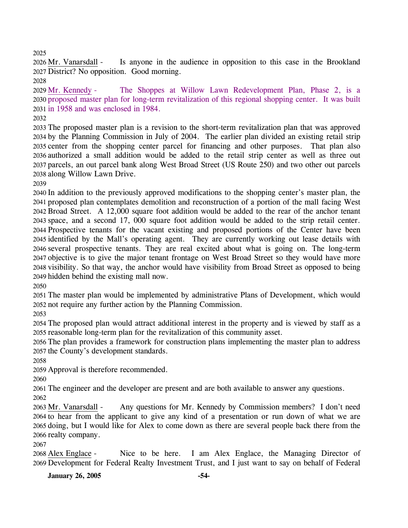Is anyone in the audience in opposition to this case in the Brookland 2027 District? No opposition. Good morning. 2026 Mr. Vanarsdall -

The Shoppes at Willow Lawn Redevelopment Plan, Phase 2, is a 2030 proposed master plan for long-term revitalization of this regional shopping center. It was built 2031 in 1958 and was enclosed in 1984. 2029 Mr. Kennedy -

 The proposed master plan is a revision to the short-term revitalization plan that was approved by the Planning Commission in July of 2004. The earlier plan divided an existing retail strip center from the shopping center parcel for financing and other purposes. That plan also authorized a small addition would be added to the retail strip center as well as three out parcels, an out parcel bank along West Broad Street (US Route 250) and two other out parcels along Willow Lawn Drive.

 In addition to the previously approved modifications to the shopping center's master plan, the proposed plan contemplates demolition and reconstruction of a portion of the mall facing West Broad Street. A 12,000 square foot addition would be added to the rear of the anchor tenant space, and a second 17, 000 square foot addition would be added to the strip retail center. Prospective tenants for the vacant existing and proposed portions of the Center have been identified by the Mall's operating agent. They are currently working out lease details with several prospective tenants. They are real excited about what is going on. The long-term objective is to give the major tenant frontage on West Broad Street so they would have more visibility. So that way, the anchor would have visibility from Broad Street as opposed to being hidden behind the existing mall now.

 The master plan would be implemented by administrative Plans of Development, which would not require any further action by the Planning Commission.

 The proposed plan would attract additional interest in the property and is viewed by staff as a reasonable long-term plan for the revitalization of this community asset.

 The plan provides a framework for construction plans implementing the master plan to address the County's development standards.

Approval is therefore recommended.

The engineer and the developer are present and are both available to answer any questions.

Any questions for Mr. Kennedy by Commission members? I don't need 2064 to hear from the applicant to give any kind of a presentation or run down of what we are 2065 doing, but I would like for Alex to come down as there are several people back there from the 2066 realty company. 2063 Mr. Vanarsdall -

Nice to be here. I am Alex Englace, the Managing Director of 2069 Development for Federal Realty Investment Trust, and I just want to say on behalf of Federal 2068 Alex Englace -

**January 26, 2005 -54-**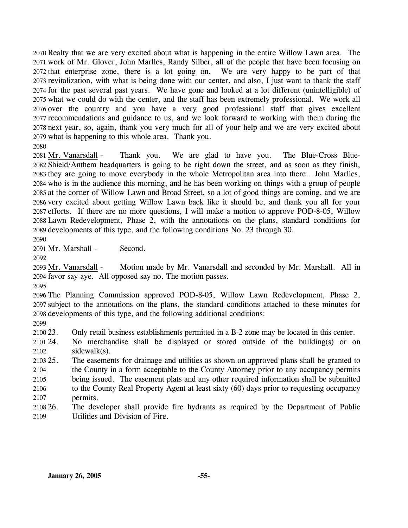Realty that we are very excited about what is happening in the entire Willow Lawn area. The work of Mr. Glover, John Marlles, Randy Silber, all of the people that have been focusing on that enterprise zone, there is a lot going on. We are very happy to be part of that revitalization, with what is being done with our center, and also, I just want to thank the staff for the past several past years. We have gone and looked at a lot different (unintelligible) of what we could do with the center, and the staff has been extremely professional. We work all over the country and you have a very good professional staff that gives excellent recommendations and guidance to us, and we look forward to working with them during the next year, so, again, thank you very much for all of your help and we are very excited about what is happening to this whole area. Thank you. 2080

Thank you. We are glad to have you. The Blue-Cross Blue-2082 Shield/Anthem headquarters is going to be right down the street, and as soon as they finish, 2083 they are going to move everybody in the whole Metropolitan area into there. John Marlles, 2084 who is in the audience this morning, and he has been working on things with a group of people 2085 at the corner of Willow Lawn and Broad Street, so a lot of good things are coming, and we are 2086 very excited about getting Willow Lawn back like it should be, and thank you all for your 2087 efforts. If there are no more questions, I will make a motion to approve POD-8-05, Willow Lawn Redevelopment, Phase 2, with the annotations on the plans, standard conditions for 2088 2089 developments of this type, and the following conditions No. 23 through 30. 2081 Mr. Vanarsdall -

2090

2091 Mr. Marshall - Second.

2092

Motion made by Mr. Vanarsdall and seconded by Mr. Marshall. All in 2094 favor say aye. All opposed say no. The motion passes. 2093 Mr. Vanarsdall -

2095

2096 The Planning Commission approved POD-8-05, Willow Lawn Redevelopment, Phase 2, 2097 subject to the annotations on the plans, the standard conditions attached to these minutes for 2098 developments of this type, and the following additional conditions:

2099

2100 23. 23. Only retail business establishments permitted in a B-2 zone may be located in this center.

2101 24. 2102 No merchandise shall be displayed or stored outside of the building(s) or on sidewalk(s).

2103 25. 2104 2105 2106 2107 The easements for drainage and utilities as shown on approved plans shall be granted to the County in a form acceptable to the County Attorney prior to any occupancy permits being issued. The easement plats and any other required information shall be submitted to the County Real Property Agent at least sixty (60) days prior to requesting occupancy permits.

2108 26. 2109 The developer shall provide fire hydrants as required by the Department of Public Utilities and Division of Fire.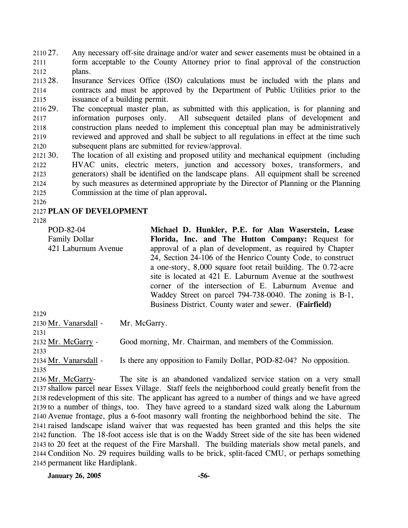2110 27. 2111 2112 Any necessary off-site drainage and/or water and sewer easements must be obtained in a form acceptable to the County Attorney prior to final approval of the construction plans.

2113 28. 2114 2115 Insurance Services Office (ISO) calculations must be included with the plans and contracts and must be approved by the Department of Public Utilities prior to the issuance of a building permit.

2116 29. 2117 2118 2119 2120 The conceptual master plan, as submitted with this application, is for planning and information purposes only. All subsequent detailed plans of development and construction plans needed to implement this conceptual plan may be administratively reviewed and approved and shall be subject to all regulations in effect at the time such subsequent plans are submitted for review/approval.

 $212130.$ 2122 2123 2124 2125 The location of all existing and proposed utility and mechanical equipment (including HVAC units, electric meters, junction and accessory boxes, transformers, and generators) shall be identified on the landscape plans. All equipment shall be screened by such measures as determined appropriate by the Director of Planning or the Planning Commission at the time of plan approval**.**

2126

### 2127 **PLAN OF DEVELOPMENT**

2128

2135

2129 POD-82-04 Family Dollar 421 Laburnum Avenue **Michael D. Hunkler, P.E. for Alan Waserstein, Lease Florida, Inc. and The Hutton Company:** Request for approval of a plan of development, as required by Chapter 24, Section 24-106 of the Henrico County Code, to construct a one-story, 8,000 square foot retail building. The 0.72-acre site is located at 421 E. Laburnum Avenue at the southwest corner of the intersection of E. Laburnum Avenue and Waddey Street on parcel 794-738-0040. The zoning is B-1, Business District. County water and sewer. **(Fairfield)** 

2130 Mr. Vanarsdall - Mr. McGarry. 2131 2132 Mr. McGarry - Good morning, Mr. Chairman, and members of the Commission. 2133 2134 Mr. Vanarsdall - Is there any opposition to Family Dollar, POD-82-04? No opposition.

The site is an abandoned vandalized service station on a very small 2137 shallow parcel near Essex Village. Staff feels the neighborhood could greatly benefit from the 2138 redevelopment of this site. The applicant has agreed to a number of things and we have agreed 2139 to a number of things, too. They have agreed to a standard sized walk along the Laburnum 2140 Avenue frontage, plus a 6-foot masonry wall fronting the neighborhood behind the site. The 2141 raised landscape island waiver that was requested has been granted and this helps the site 2142 function. The 18-foot access isle that is on the Waddy Street side of the site has been widened 2143 to 20 feet at the request of the Fire Marshall. The building materials show metal panels, and 2144 Condition No. 29 requires building walls to be brick, split-faced CMU, or perhaps something 2145 permanent like Hardiplank. 2136 Mr. McGarry-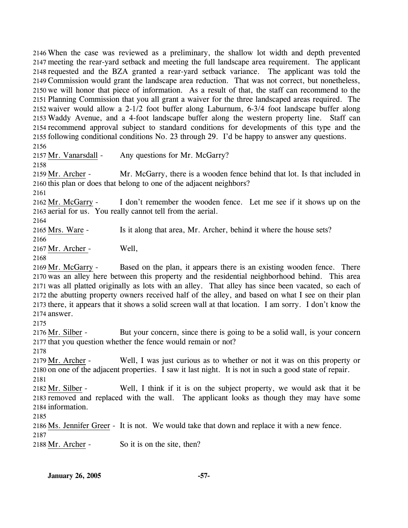When the case was reviewed as a preliminary, the shallow lot width and depth prevented meeting the rear-yard setback and meeting the full landscape area requirement. The applicant requested and the BZA granted a rear-yard setback variance. The applicant was told the Commission would grant the landscape area reduction. That was not correct, but nonetheless, we will honor that piece of information. As a result of that, the staff can recommend to the Planning Commission that you all grant a waiver for the three landscaped areas required. The waiver would allow a 2-1/2 foot buffer along Laburnum, 6-3/4 foot landscape buffer along Waddy Avenue, and a 4-foot landscape buffer along the western property line. Staff can recommend approval subject to standard conditions for developments of this type and the following conditional conditions No. 23 through 29. I'd be happy to answer any questions. 2156

2157 Mr. Vanarsdall - Any questions for Mr. McGarry?

2158

Mr. McGarry, there is a wooden fence behind that lot. Is that included in 2160 this plan or does that belong to one of the adjacent neighbors? 2159 Mr. Archer -

2161

I don't remember the wooden fence. Let me see if it shows up on the 2163 aerial for us. You really cannot tell from the aerial. 2162 Mr. McGarry -

2164

2165 Mrs. Ware - Is it along that area, Mr. Archer, behind it where the house sets?

2166

2167 Mr. Archer - Well,

2168

Based on the plan, it appears there is an existing wooden fence. There 2170 was an alley here between this property and the residential neighborhood behind. This area 2171 was all platted originally as lots with an alley. That alley has since been vacated, so each of 2172 the abutting property owners received half of the alley, and based on what I see on their plan 2173 there, it appears that it shows a solid screen wall at that location. I am sorry. I don't know the 2174 answer. 2169 Mr. McGarry -

2175

But your concern, since there is going to be a solid wall, is your concern 2177 that you question whether the fence would remain or not? 2176 Mr. Silber -

2178

Well, I was just curious as to whether or not it was on this property or 2180 on one of the adjacent properties. I saw it last night. It is not in such a good state of repair. 2179 Mr. Archer -2181

Well, I think if it is on the subject property, we would ask that it be 2183 removed and replaced with the wall. The applicant looks as though they may have some 2184 information. 2182 Mr. Silber -

2185

2186 Ms. Jennifer Greer - It is not. We would take that down and replace it with a new fence.

2187

2188 Mr. Archer - So it is on the site, then?

**January 26, 2005 -57-**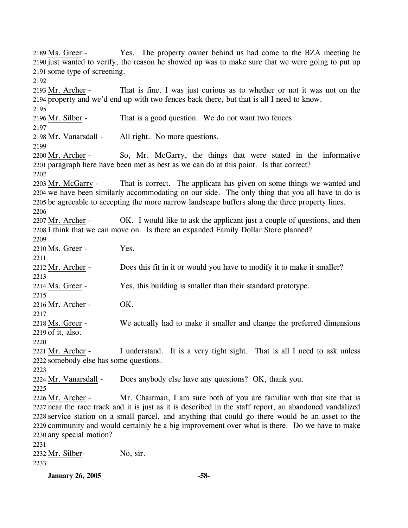Yes. The property owner behind us had come to the BZA meeting he 2190 just wanted to verify, the reason he showed up was to make sure that we were going to put up 2191 some type of screening. 2189 Ms. Greer -2192 That is fine. I was just curious as to whether or not it was not on the 2194 property and we'd end up with two fences back there, but that is all I need to know. 2193 Mr. Archer -2195 2196 Mr. Silber - That is a good question. We do not want two fences. 2197 2198 Mr. Vanarsdall - All right. No more questions. 2199 So, Mr. McGarry, the things that were stated in the informative 2201 paragraph here have been met as best as we can do at this point. Is that correct? 2200 Mr. Archer -2202 That is correct. The applicant has given on some things we wanted and 2204 we have been similarly accommodating on our side. The only thing that you all have to do is 2205 be agreeable to accepting the more narrow landscape buffers along the three property lines. 2203 Mr. McGarry -2206 OK. I would like to ask the applicant just a couple of questions, and then 2208 I think that we can move on. Is there an expanded Family Dollar Store planned? 2207 Mr. Archer -2209 2210 Ms. Greer - Yes. 2211 2212 Mr. Archer - Does this fit in it or would you have to modify it to make it smaller? 2213 2214 Ms. Greer - Yes, this building is smaller than their standard prototype. 2215 2216 Mr. Archer - OK. 2217 We actually had to make it smaller and change the preferred dimensions 2219 of it, also. 2218 Ms. Greer -2220 I understand. It is a very tight sight. That is all I need to ask unless 2222 somebody else has some questions. 2221 Mr. Archer -2223 2224 Mr. Vanarsdall - Does anybody else have any questions? OK, thank you. 2225 Mr. Chairman, I am sure both of you are familiar with that site that is 2227 near the race track and it is just as it is described in the staff report, an abandoned vandalized 2228 service station on a small parcel, and anything that could go there would be an asset to the 2229 community and would certainly be a big improvement over what is there. Do we have to make 2230 any special motion? 2226 Mr. Archer -2231 2232 Mr. Silber- No, sir. 2233

**January 26, 2005 -58-**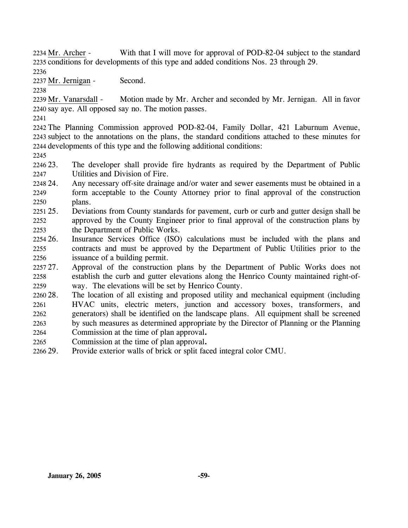With that I will move for approval of POD-82-04 subject to the standard 2235 conditions for developments of this type and added conditions Nos. 23 through 29. 2234 Mr. Archer -

2236

2237 Mr. Jernigan - Second.

2238

Motion made by Mr. Archer and seconded by Mr. Jernigan. All in favor 2240 say aye. All opposed say no. The motion passes. 2239 Mr. Vanarsdall -

2241

2242 The Planning Commission approved POD-82-04, Family Dollar, 421 Laburnum Avenue, 2243 subject to the annotations on the plans, the standard conditions attached to these minutes for 2244 developments of this type and the following additional conditions:

2245

2246 23. 2247 The developer shall provide fire hydrants as required by the Department of Public Utilities and Division of Fire.

- 248 24. 2249 2250 Any necessary off-site drainage and/or water and sewer easements must be obtained in a form acceptable to the County Attorney prior to final approval of the construction plans.
- $2251\,25$ . 2252 2253 25. Deviations from County standards for pavement, curb or curb and gutter design shall be approved by the County Engineer prior to final approval of the construction plans by the Department of Public Works.
- 2254 26. 2255 2256 26. Insurance Services Office (ISO) calculations must be included with the plans and contracts and must be approved by the Department of Public Utilities prior to the issuance of a building permit.

2257 27. 2258 2259 Approval of the construction plans by the Department of Public Works does not establish the curb and gutter elevations along the Henrico County maintained right-ofway. The elevations will be set by Henrico County.

- 2260 28. 2261 2262 2263 The location of all existing and proposed utility and mechanical equipment (including HVAC units, electric meters, junction and accessory boxes, transformers, and generators) shall be identified on the landscape plans. All equipment shall be screened by such measures as determined appropriate by the Director of Planning or the Planning
- 2264 Commission at the time of plan approval**.**
- 2265 Commission at the time of plan approval**.**
- 2266 29. Provide exterior walls of brick or split faced integral color CMU.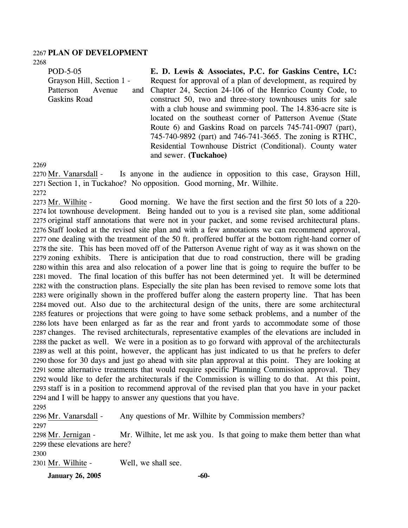#### 2267 **PLAN OF DEVELOPMENT**

2268

POD-5-05 Grayson Hill, Section 1 - Patterson Avenue and Gaskins Road

**E. D. Lewis & Associates, P.C. for Gaskins Centre, LC:**  Request for approval of a plan of development, as required by Chapter 24, Section 24-106 of the Henrico County Code, to construct 50, two and three-story townhouses units for sale with a club house and swimming pool. The 14.836-acre site is located on the southeast corner of Patterson Avenue (State Route 6) and Gaskins Road on parcels 745-741-0907 (part), 745-740-9892 (part) and 746-741-3665. The zoning is RTHC, Residential Townhouse District (Conditional). County water and sewer. **(Tuckahoe)** 

2269

Is anyone in the audience in opposition to this case, Grayson Hill, 2271 Section 1, in Tuckahoe? No opposition. Good morning, Mr. Wilhite. 2270 Mr. Vanarsdall -2272

Good morning. We have the first section and the first 50 lots of a 220-2274 lot townhouse development. Being handed out to you is a revised site plan, some additional 2275 original staff annotations that were not in your packet, and some revised architectural plans. 2276 Staff looked at the revised site plan and with a few annotations we can recommend approval, 2277 one dealing with the treatment of the 50 ft. proffered buffer at the bottom right-hand corner of 2278 the site. This has been moved off of the Patterson Avenue right of way as it was shown on the 2279 zoning exhibits. There is anticipation that due to road construction, there will be grading 2280 within this area and also relocation of a power line that is going to require the buffer to be moved. The final location of this buffer has not been determined yet. It will be determined 2281 2282 with the construction plans. Especially the site plan has been revised to remove some lots that 2283 were originally shown in the proffered buffer along the eastern property line. That has been 2284 moved out. Also due to the architectural design of the units, there are some architectural 2285 features or projections that were going to have some setback problems, and a number of the 2286 lots have been enlarged as far as the rear and front yards to accommodate some of those 2287 changes. The revised architecturals, representative examples of the elevations are included in 2288 the packet as well. We were in a position as to go forward with approval of the architecturals 2289 as well at this point, however, the applicant has just indicated to us that he prefers to defer 2290 those for 30 days and just go ahead with site plan approval at this point. They are looking at 2291 some alternative treatments that would require specific Planning Commission approval. They 2292 would like to defer the architecturals if the Commission is willing to do that. At this point, 2293 staff is in a position to recommend approval of the revised plan that you have in your packet 2294 and I will be happy to answer any questions that you have. 2273 Mr. Wilhite -

2295

2296 Mr. Vanarsdall - Any questions of Mr. Wilhite by Commission members? 2297

Mr. Wilhite, let me ask you. Is that going to make them better than what 2299 these elevations are here? 2298 Mr. Jernigan -

2300

2301 Mr. Wilhite - Well, we shall see.

**January 26, 2005 -60-**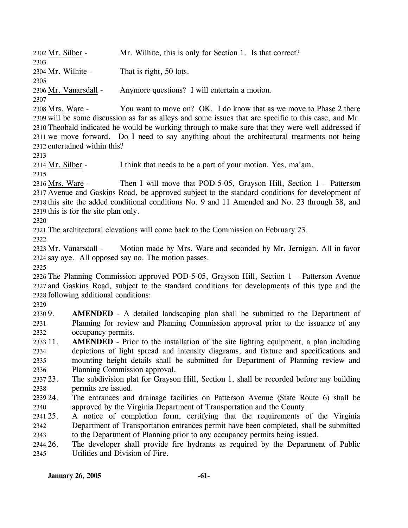**January 26, 2005 -61-** 2302 Mr. Silber - Mr. Wilhite, this is only for Section 1. Is that correct? 2303 2304 Mr. Wilhite - That is right, 50 lots. 2305 2306 Mr. Vanarsdall - Anymore questions? I will entertain a motion. 2307 You want to move on? OK. I do know that as we move to Phase 2 there 2309 will be some discussion as far as alleys and some issues that are specific to this case, and Mr. 2310 Theobald indicated he would be working through to make sure that they were well addressed if 2311 we move forward. Do I need to say anything about the architectural treatments not being 2312 entertained within this? 2308 Mrs. Ware -2313 2314 Mr. Silber - I think that needs to be a part of your motion. Yes, ma'am. 2315 Then I will move that POD-5-05, Grayson Hill, Section  $1$  – Patterson 2317 Avenue and Gaskins Road, be approved subject to the standard conditions for development of 2318 this site the added conditional conditions No. 9 and 11 Amended and No. 23 through 38, and 2319 this is for the site plan only. 2316 Mrs. Ware -2320 2321 The architectural elevations will come back to the Commission on February 23. 2322 Motion made by Mrs. Ware and seconded by Mr. Jernigan. All in favor 2324 say aye. All opposed say no. The motion passes. 2323 Mr. Vanarsdall -2325 2326 The Planning Commission approved POD-5-05, Grayson Hill, Section 1 – Patterson Avenue 2327 and Gaskins Road, subject to the standard conditions for developments of this type and the 2328 following additional conditions: 2329 2330 9. 2331 2332 2333 11. 2334 2335 2336 2337 23. 2338 2339.24 2340 2341 25. 2342 2343 2344 26. 2345 AMENDED - A detailed landscaping plan shall be submitted to the Department of Planning for review and Planning Commission approval prior to the issuance of any occupancy permits. **AMENDED** - Prior to the installation of the site lighting equipment, a plan including depictions of light spread and intensity diagrams, and fixture and specifications and mounting height details shall be submitted for Department of Planning review and Planning Commission approval. The subdivision plat for Grayson Hill, Section 1, shall be recorded before any building permits are issued. 24. The entrances and drainage facilities on Patterson Avenue (State Route 6) shall be approved by the Virginia Department of Transportation and the County. 25. A notice of completion form, certifying that the requirements of the Virginia Department of Transportation entrances permit have been completed, shall be submitted to the Department of Planning prior to any occupancy permits being issued. The developer shall provide fire hydrants as required by the Department of Public Utilities and Division of Fire.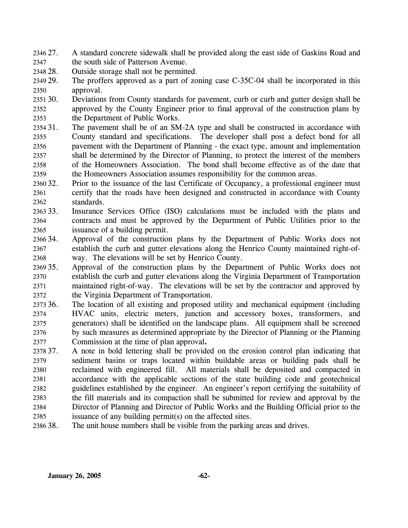- 2346 27. 2347 27. A standard concrete sidewalk shall be provided along the east side of Gaskins Road and the south side of Patterson Avenue.
- 2348 28. Outside storage shall not be permitted.
- 2349 29. 2350 The proffers approved as a part of zoning case C-35C-04 shall be incorporated in this approval.

2351 30. 2352 2353 Deviations from County standards for pavement, curb or curb and gutter design shall be approved by the County Engineer prior to final approval of the construction plans by the Department of Public Works.

- 2354 31. 2355 2356 2357 2358 2359 The pavement shall be of an SM-2A type and shall be constructed in accordance with County standard and specifications. The developer shall post a defect bond for all pavement with the Department of Planning - the exact type, amount and implementation shall be determined by the Director of Planning, to protect the interest of the members of the Homeowners Association. The bond shall become effective as of the date that the Homeowners Association assumes responsibility for the common areas.
- 2360 32. 2361 2362 32. Prior to the issuance of the last Certificate of Occupancy, a professional engineer must certify that the roads have been designed and constructed in accordance with County standards.
- 2363 33. 2364 2365 Insurance Services Office (ISO) calculations must be included with the plans and contracts and must be approved by the Department of Public Utilities prior to the issuance of a building permit.
- 2366 34. 2367 2368 Approval of the construction plans by the Department of Public Works does not establish the curb and gutter elevations along the Henrico County maintained right-ofway. The elevations will be set by Henrico County.
- 2369 35. 2370 2371 2372 Approval of the construction plans by the Department of Public Works does not establish the curb and gutter elevations along the Virginia Department of Transportation maintained right-of-way. The elevations will be set by the contractor and approved by the Virginia Department of Transportation.
- 2373 36. 2374 2375 2376 2377 The location of all existing and proposed utility and mechanical equipment (including HVAC units, electric meters, junction and accessory boxes, transformers, and generators) shall be identified on the landscape plans. All equipment shall be screened by such measures as determined appropriate by the Director of Planning or the Planning Commission at the time of plan approval**.**
- 2378 37. 2379 2380 2381 2382 2383 2384 37. A note in bold lettering shall be provided on the erosion control plan indicating that sediment basins or traps located within buildable areas or building pads shall be reclaimed with engineered fill. All materials shall be deposited and compacted in accordance with the applicable sections of the state building code and geotechnical guidelines established by the engineer. An engineer's report certifying the suitability of the fill materials and its compaction shall be submitted for review and approval by the Director of Planning and Director of Public Works and the Building Official prior to the
- 2385 issuance of any building permit(s) on the affected sites.
- 2386 38. The unit house numbers shall be visible from the parking areas and drives.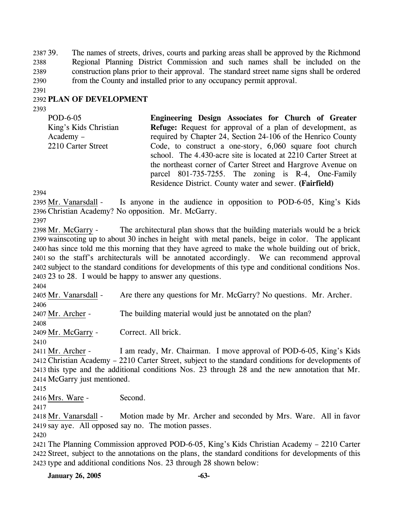2387 39. 2388 2389 2390 The names of streets, drives, courts and parking areas shall be approved by the Richmond Regional Planning District Commission and such names shall be included on the construction plans prior to their approval. The standard street name signs shall be ordered from the County and installed prior to any occupancy permit approval.

2391

## 2392 **PLAN OF DEVELOPMENT**

2393

POD-6-05 King's Kids Christian Academy – 2210 Carter Street **Engineering Design Associates for Church of Greater Refuge:** Request for approval of a plan of development, as required by Chapter 24, Section 24-106 of the Henrico County Code, to construct a one-story, 6,060 square foot church school. The 4.430-acre site is located at 2210 Carter Street at the northeast corner of Carter Street and Hargrove Avenue on parcel 801-735-7255. The zoning is R-4, One-Family Residence District. County water and sewer. **(Fairfield)** 

2394

Is anyone in the audience in opposition to POD-6-05, King's Kids 2396 Christian Academy? No opposition. Mr. McGarry. 2395 Mr. Vanarsdall -2397

The architectural plan shows that the building materials would be a brick 2399 wainscoting up to about 30 inches in height with metal panels, beige in color. The applicant 2400 has since told me this morning that they have agreed to make the whole building out of brick, 2401 so the staff's architecturals will be annotated accordingly. We can recommend approval 2402 subject to the standard conditions for developments of this type and conditional conditions Nos. 2403 23 to 28. I would be happy to answer any questions. 2398 Mr. McGarry -

2404

2405 Mr. Vanarsdall - Are there any questions for Mr. McGarry? No questions. Mr. Archer. 2406

2407 Mr. Archer - The building material would just be annotated on the plan?

2408

2409 Mr. McGarry - Correct. All brick.

2410

I am ready, Mr. Chairman. I move approval of POD-6-05, King's Kids 2412 Christian Academy – 2210 Carter Street, subject to the standard conditions for developments of 2413 this type and the additional conditions Nos. 23 through 28 and the new annotation that Mr. 2414 McGarry just mentioned. 2411 Mr. Archer -

2415

2416 Mrs. Ware - Second.

2417

Motion made by Mr. Archer and seconded by Mrs. Ware. All in favor 2419 say aye. All opposed say no. The motion passes. 2418 Mr. Vanarsdall -

2420

2421 The Planning Commission approved POD-6-05, King's Kids Christian Academy – 2210 Carter 2422 Street, subject to the annotations on the plans, the standard conditions for developments of this 2423 type and additional conditions Nos. 23 through 28 shown below:

**January 26, 2005 -63-**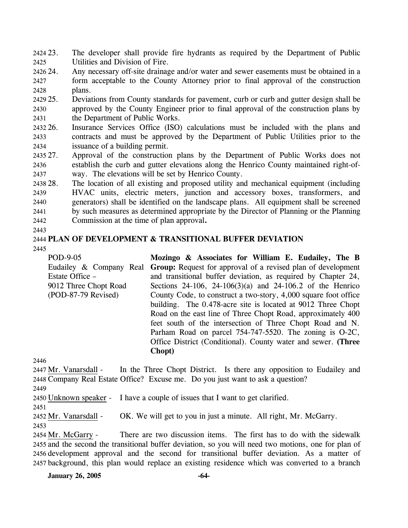24 23. 2425 The developer shall provide fire hydrants as required by the Department of Public Utilities and Division of Fire.

2426 24. 2427 2428 Any necessary off-site drainage and/or water and sewer easements must be obtained in a form acceptable to the County Attorney prior to final approval of the construction plans.

2429 25. 2430 2431 25. Deviations from County standards for pavement, curb or curb and gutter design shall be approved by the County Engineer prior to final approval of the construction plans by the Department of Public Works.

2432 26. 2433 2434 Insurance Services Office (ISO) calculations must be included with the plans and contracts and must be approved by the Department of Public Utilities prior to the issuance of a building permit.

2435 27. 2436 2437 Approval of the construction plans by the Department of Public Works does not establish the curb and gutter elevations along the Henrico County maintained right-ofway. The elevations will be set by Henrico County.

2438 28. 2439 2440 2441 2442 The location of all existing and proposed utility and mechanical equipment (including HVAC units, electric meters, junction and accessory boxes, transformers, and generators) shall be identified on the landscape plans. All equipment shall be screened by such measures as determined appropriate by the Director of Planning or the Planning Commission at the time of plan approval**.**

### 2443

# 2444 **PLAN OF DEVELOPMENT & TRANSITIONAL BUFFER DEVIATION**

2445

POD-9-05 Eudailey & Company Real Estate Office – 9012 Three Chopt Road (POD-87-79 Revised) **Mozingo & Associates for William E. Eudailey, The B Group:** Request for approval of a revised plan of development and transitional buffer deviation, as required by Chapter 24, Sections 24-106, 24-106(3)(a) and 24-106.2 of the Henrico County Code, to construct a two-story, 4,000 square foot office building. The 0.478-acre site is located at 9012 Three Chopt Road on the east line of Three Chopt Road, approximately 400 feet south of the intersection of Three Chopt Road and N. Parham Road on parcel 754-747-5520. The zoning is O-2C, Office District (Conditional). County water and sewer. **(Three Chopt)** 

2446

In the Three Chopt District. Is there any opposition to Eudailey and 2448 Company Real Estate Office? Excuse me. Do you just want to ask a question? 2447 Mr. Vanarsdall -

2449

2450 Unknown speaker - I have a couple of issues that I want to get clarified.

2451

2452 Mr. Vanarsdall - OK. We will get to you in just a minute. All right, Mr. McGarry. 2453

There are two discussion items. The first has to do with the sidewalk 2455 and the second the transitional buffer deviation, so you will need two motions, one for plan of 2456 development approval and the second for transitional buffer deviation. As a matter of 2457 background, this plan would replace an existing residence which was converted to a branch 2454 Mr. McGarry -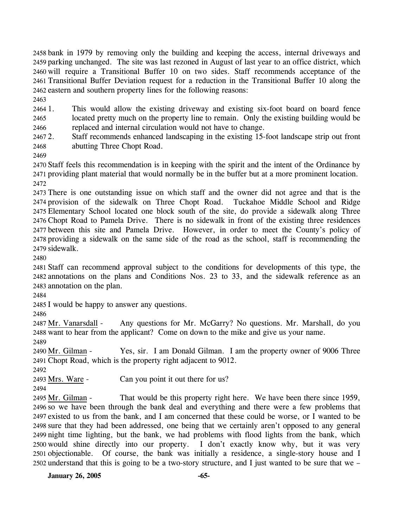bank in 1979 by removing only the building and keeping the access, internal driveways and parking unchanged. The site was last rezoned in August of last year to an office district, which will require a Transitional Buffer 10 on two sides. Staff recommends acceptance of the Transitional Buffer Deviation request for a reduction in the Transitional Buffer 10 along the eastern and southern property lines for the following reasons:

2463

2464 1. 2465 2466 1. This would allow the existing driveway and existing six-foot board on board fence located pretty much on the property line to remain. Only the existing building would be replaced and internal circulation would not have to change.

24672. 2468 2. Staff recommends enhanced landscaping in the existing 15-foot landscape strip out front abutting Three Chopt Road.

2469

2470 Staff feels this recommendation is in keeping with the spirit and the intent of the Ordinance by 2471 providing plant material that would normally be in the buffer but at a more prominent location. 2472

 There is one outstanding issue on which staff and the owner did not agree and that is the provision of the sidewalk on Three Chopt Road. Tuckahoe Middle School and Ridge Elementary School located one block south of the site, do provide a sidewalk along Three Chopt Road to Pamela Drive. There is no sidewalk in front of the existing three residences between this site and Pamela Drive. However, in order to meet the County's policy of providing a sidewalk on the same side of the road as the school, staff is recommending the sidewalk.

2480

2481 Staff can recommend approval subject to the conditions for developments of this type, the 2482 annotations on the plans and Conditions Nos. 23 to 33, and the sidewalk reference as an 2483 annotation on the plan.

2484

2485 I would be happy to answer any questions.

2486

Any questions for Mr. McGarry? No questions. Mr. Marshall, do you 2488 want to hear from the applicant? Come on down to the mike and give us your name. 2487 Mr. Vanarsdall -2489

Yes, sir. I am Donald Gilman. I am the property owner of 9006 Three Chopt Road, which is the property right adjacent to 9012. 2491 2490 Mr. Gilman -

2492

2493 Mrs. Ware - Can you point it out there for us?

2494

That would be this property right here. We have been there since 1959, 2496 so we have been through the bank deal and everything and there were a few problems that 2497 existed to us from the bank, and I am concerned that these could be worse, or I wanted to be 2498 sure that they had been addressed, one being that we certainly aren't opposed to any general 2499 night time lighting, but the bank, we had problems with flood lights from the bank, which 2500 would shine directly into our property. I don't exactly know why, but it was very 2501 objectionable. Of course, the bank was initially a residence, a single-story house and I 2502 understand that this is going to be a two-story structure, and I just wanted to be sure that we – 2495 Mr. Gilman -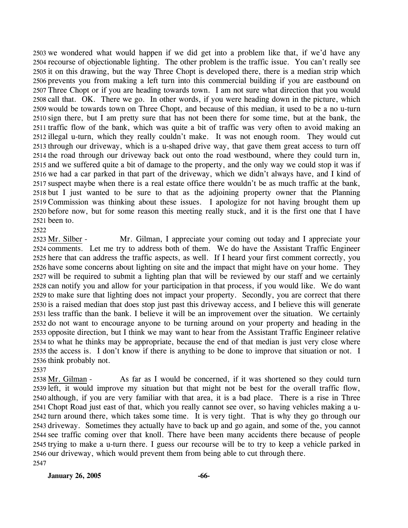we wondered what would happen if we did get into a problem like that, if we'd have any recourse of objectionable lighting. The other problem is the traffic issue. You can't really see it on this drawing, but the way Three Chopt is developed there, there is a median strip which prevents you from making a left turn into this commercial building if you are eastbound on Three Chopt or if you are heading towards town. I am not sure what direction that you would call that. OK. There we go. In other words, if you were heading down in the picture, which would be towards town on Three Chopt, and because of this median, it used to be a no u-turn sign there, but I am pretty sure that has not been there for some time, but at the bank, the traffic flow of the bank, which was quite a bit of traffic was very often to avoid making an illegal u-turn, which they really couldn't make. It was not enough room. They would cut through our driveway, which is a u-shaped drive way, that gave them great access to turn off the road through our driveway back out onto the road westbound, where they could turn in, and we suffered quite a bit of damage to the property, and the only way we could stop it was if we had a car parked in that part of the driveway, which we didn't always have, and I kind of suspect maybe when there is a real estate office there wouldn't be as much traffic at the bank, but I just wanted to be sure to that as the adjoining property owner that the Planning Commission was thinking about these issues. I apologize for not having brought them up before now, but for some reason this meeting really stuck, and it is the first one that I have been to.

2522

Mr. Gilman, I appreciate your coming out today and I appreciate your 2524 comments. Let me try to address both of them. We do have the Assistant Traffic Engineer 2525 here that can address the traffic aspects, as well. If I heard your first comment correctly, you 2526 have some concerns about lighting on site and the impact that might have on your home. They 2527 will be required to submit a lighting plan that will be reviewed by our staff and we certainly 2528 can notify you and allow for your participation in that process, if you would like. We do want 2529 to make sure that lighting does not impact your property. Secondly, you are correct that there 2530 is a raised median that does stop just past this driveway access, and I believe this will generate 2531 less traffic than the bank. I believe it will be an improvement over the situation. We certainly 2532 do not want to encourage anyone to be turning around on your property and heading in the 2533 opposite direction, but I think we may want to hear from the Assistant Traffic Engineer relative 2534 to what he thinks may be appropriate, because the end of that median is just very close where 2535 the access is. I don't know if there is anything to be done to improve that situation or not. I 2536 think probably not. 2523 Mr. Silber -

2537

As far as I would be concerned, if it was shortened so they could turn 2539 left, it would improve my situation but that might not be best for the overall traffic flow, 2540 although, if you are very familiar with that area, it is a bad place. There is a rise in Three 2541 Chopt Road just east of that, which you really cannot see over, so having vehicles making a u-2542 turn around there, which takes some time. It is very tight. That is why they go through our 2543 driveway. Sometimes they actually have to back up and go again, and some of the, you cannot 2544 see traffic coming over that knoll. There have been many accidents there because of people 2545 trying to make a u-turn there. I guess our recourse will be to try to keep a vehicle parked in 2546 our driveway, which would prevent them from being able to cut through there. 2538 Mr. Gilman -2547

**January 26, 2005 -66-**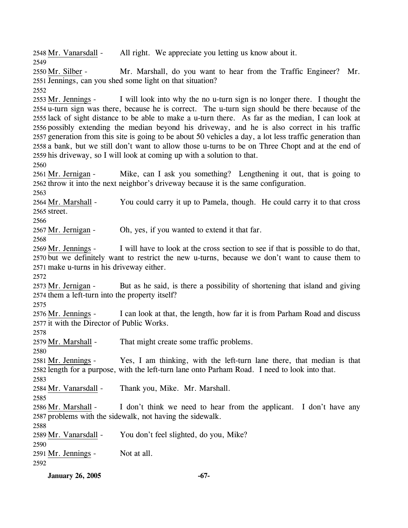2548 Mr. Vanarsdall - All right. We appreciate you letting us know about it. 2549 Mr. Marshall, do you want to hear from the Traffic Engineer? Mr. 2551 Jennings, can you shed some light on that situation? 2550 Mr. Silber -2552 I will look into why the no u-turn sign is no longer there. I thought the 2554 u-turn sign was there, because he is correct. The u-turn sign should be there because of the 2555 lack of sight distance to be able to make a u-turn there. As far as the median, I can look at 2556 possibly extending the median beyond his driveway, and he is also correct in his traffic 2557 generation from this site is going to be about 50 vehicles a day, a lot less traffic generation than 2558 a bank, but we still don't want to allow those u-turns to be on Three Chopt and at the end of 2559 his driveway, so I will look at coming up with a solution to that. 2553 Mr. Jennings -2560 Mike, can I ask you something? Lengthening it out, that is going to 2562 throw it into the next neighbor's driveway because it is the same configuration. 2561 Mr. Jernigan -2563 You could carry it up to Pamela, though. He could carry it to that cross 2565 street. 2564 Mr. Marshall -2566 2567 Mr. Jernigan - Oh, yes, if you wanted to extend it that far. 2568 I will have to look at the cross section to see if that is possible to do that, 2570 but we definitely want to restrict the new u-turns, because we don't want to cause them to 2571 make u-turns in his driveway either. 2569 Mr. Jennings -2572 But as he said, is there a possibility of shortening that island and giving 2574 them a left-turn into the property itself? 2573 Mr. Jernigan -2575 I can look at that, the length, how far it is from Parham Road and discuss 2577 it with the Director of Public Works.  $2576$  Mr. Jennings -2578 2579 Mr. Marshall - That might create some traffic problems. 2580 Yes, I am thinking, with the left-turn lane there, that median is that 2582 length for a purpose, with the left-turn lane onto Parham Road. I need to look into that. 2581 Mr. Jennings -2583 2584 Mr. Vanarsdall - Thank you, Mike. Mr. Marshall. 2585 I don't think we need to hear from the applicant. I don't have any 2587 problems with the sidewalk, not having the sidewalk. 2586 Mr. Marshall -2588 2589 Mr. Vanarsdall - You don't feel slighted, do you, Mike? 2590 2591 Mr. Jennings - Not at all. 2592

**January 26, 2005 -67-**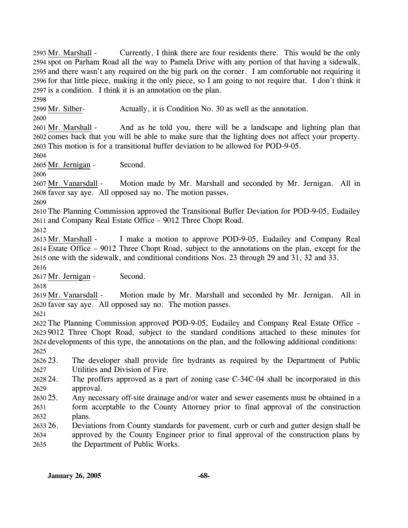Currently, I think there are four residents there. This would be the only 2594 spot on Parham Road all the way to Pamela Drive with any portion of that having a sidewalk, 2595 and there wasn't any required on the big park on the corner. I am comfortable not requiring it 2596 for that little piece, making it the only piece, so I am going to not require that. I don't think it  $2597$  is a condition. I think it is an annotation on the plan. 2593 Mr. Marshall -2598

2599 Mr. Silber- Actually, it is Condition No. 30 as well as the annotation.

2600

And as he told you, there will be a landscape and lighting plan that 2602 comes back that you will be able to make sure that the lighting does not affect your property. This motion is for a transitional buffer deviation to be allowed for POD-9-05. 2603 2601 Mr. Marshall -

2604

2605 Mr. Jernigan - Second.

2606

Motion made by Mr. Marshall and seconded by Mr. Jernigan. All in 2608 favor say aye. All opposed say no. The motion passes. 2607 Mr. Vanarsdall -

2609

2610 The Planning Commission approved the Transitional Buffer Deviation for POD-9-05, Eudailey 2611 and Company Real Estate Office – 9012 Three Chopt Road.

2612

I make a motion to approve POD-9-05, Eudailey and Company Real Estate Office – 9012 Three Chopt Road, subject to the annotations on the plan, except for the 2614 2615 one with the sidewalk, and conditional conditions Nos. 23 through 29 and 31, 32 and 33. 2613 Mr. Marshall -

2616 2617 Mr. Jernigan - Second.

2618

Motion made by Mr. Marshall and seconded by Mr. Jernigan. All in 2620 favor say aye. All opposed say no. The motion passes. 2619 Mr. Vanarsdall -

2621

 The Planning Commission approved POD-9-05, Eudailey and Company Real Estate Office – 9012 Three Chopt Road, subject to the standard conditions attached to these minutes for developments of this type, the annotations on the plan, and the following additional conditions: 2625

2623. 2627 23. The developer shall provide fire hydrants as required by the Department of Public Utilities and Division of Fire.

2628 24. 2629 24. The proffers approved as a part of zoning case C-34C-04 shall be incorporated in this approval.

2630 25. 2631 2632 Any necessary off-site drainage and/or water and sewer easements must be obtained in a form acceptable to the County Attorney prior to final approval of the construction plans.

2633 26. 2634 2635 26. Deviations from County standards for pavement, curb or curb and gutter design shall be approved by the County Engineer prior to final approval of the construction plans by the Department of Public Works.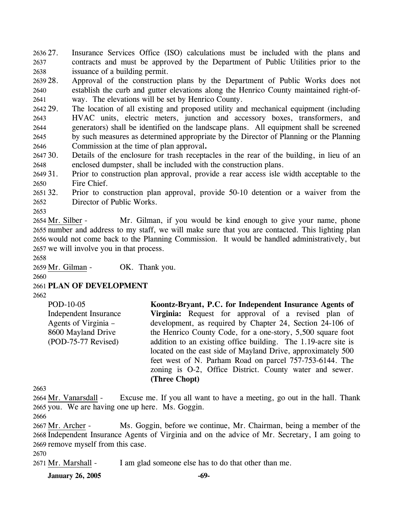2636 27. 2637 2638 Insurance Services Office (ISO) calculations must be included with the plans and contracts and must be approved by the Department of Public Utilities prior to the issuance of a building permit.

2639 28. 2640 2641 Approval of the construction plans by the Department of Public Works does not establish the curb and gutter elevations along the Henrico County maintained right-ofway. The elevations will be set by Henrico County.

2642 29. 2643 2644 2645 2646 The location of all existing and proposed utility and mechanical equipment (including HVAC units, electric meters, junction and accessory boxes, transformers, and generators) shall be identified on the landscape plans. All equipment shall be screened by such measures as determined appropriate by the Director of Planning or the Planning Commission at the time of plan approval**.**

- $264730.$ 2648 Details of the enclosure for trash receptacles in the rear of the building, in lieu of an enclosed dumpster, shall be included with the construction plans.
- 2649 31. 2650 31. Prior to construction plan approval, provide a rear access isle width acceptable to the Fire Chief.
- 2651 32. 2652 32. Prior to construction plan approval, provide 50-10 detention or a waiver from the Director of Public Works.
- 2653

Mr. Gilman, if you would be kind enough to give your name, phone 2655 number and address to my staff, we will make sure that you are contacted. This lighting plan 2656 would not come back to the Planning Commission. It would be handled administratively, but 2657 we will involve you in that process. 2654 Mr. Silber -

2658

2659 Mr. Gilman - OK. Thank you.

2660

2661 **PLAN OF DEVELOPMENT** 

2662

POD-10-05 Independent Insurance Agents of Virginia – 8600 Mayland Drive (POD-75-77 Revised)

**Koontz-Bryant, P.C. for Independent Insurance Agents of Virginia:** Request for approval of a revised plan of development, as required by Chapter 24, Section 24-106 of the Henrico County Code, for a one-story, 5,500 square foot addition to an existing office building. The 1.19-acre site is located on the east side of Mayland Drive, approximately 500 feet west of N. Parham Road on parcel 757-753-6144. The zoning is O-2, Office District. County water and sewer. **(Three Chopt)** 

2663

Excuse me. If you all want to have a meeting, go out in the hall. Thank 2665 you. We are having one up here. Ms. Goggin. 2664 Mr. Vanarsdall -

2666

Ms. Goggin, before we continue, Mr. Chairman, being a member of the 2668 Independent Insurance Agents of Virginia and on the advice of Mr. Secretary, I am going to 2669 remove myself from this case. 2667 Mr. Archer -

2670

2671 Mr. Marshall - I am glad someone else has to do that other than me.

**January 26, 2005 -69-**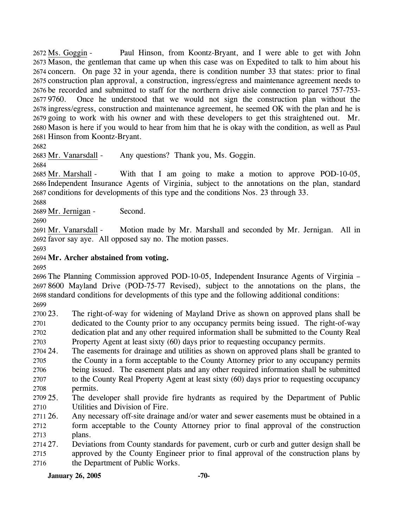Paul Hinson, from Koontz-Bryant, and I were able to get with John 2673 Mason, the gentleman that came up when this case was on Expedited to talk to him about his 2674 concern. On page 32 in your agenda, there is condition number 33 that states: prior to final 2675 construction plan approval, a construction, ingress/egress and maintenance agreement needs to 2676 be recorded and submitted to staff for the northern drive aisle connection to parcel 757-753-Once he understood that we would not sign the construction plan without the 2678 ingress/egress, construction and maintenance agreement, he seemed OK with the plan and he is 2679 going to work with his owner and with these developers to get this straightened out. Mr. 2680 Mason is here if you would to hear from him that he is okay with the condition, as well as Paul 2681 Hinson from Koontz-Bryant. 2672 Ms. Goggin -2677 9760.

2682

2683 Mr. Vanarsdall - Any questions? Thank you, Ms. Goggin.

2684

With that I am going to make a motion to approve POD-10-05, 2686 Independent Insurance Agents of Virginia, subject to the annotations on the plan, standard 2687 conditions for developments of this type and the conditions Nos. 23 through 33. 2685 Mr. Marshall -

2688

2689 Mr. Jernigan - Second.

2690

Motion made by Mr. Marshall and seconded by Mr. Jernigan. All in 2692 favor say aye. All opposed say no. The motion passes. 2691 Mr. Vanarsdall -

2693

# 2694 **Mr. Archer abstained from voting.**

2695

 The Planning Commission approved POD-10-05, Independent Insurance Agents of Virginia – 8600 Mayland Drive (POD-75-77 Revised), subject to the annotations on the plans, the standard conditions for developments of this type and the following additional conditions: 2699

2700 23. 2701 2702 2703 The right-of-way for widening of Mayland Drive as shown on approved plans shall be dedicated to the County prior to any occupancy permits being issued. The right-of-way dedication plat and any other required information shall be submitted to the County Real Property Agent at least sixty (60) days prior to requesting occupancy permits.

2704 24. 2705 2706 2707 2708 The easements for drainage and utilities as shown on approved plans shall be granted to the County in a form acceptable to the County Attorney prior to any occupancy permits being issued. The easement plats and any other required information shall be submitted to the County Real Property Agent at least sixty (60) days prior to requesting occupancy permits.

2709 25 2710 25. The developer shall provide fire hydrants as required by the Department of Public Utilities and Division of Fire.

2711 26. 2712 2713 Any necessary off-site drainage and/or water and sewer easements must be obtained in a form acceptable to the County Attorney prior to final approval of the construction plans.

2714 27. 2715 2716 27. Deviations from County standards for pavement, curb or curb and gutter design shall be approved by the County Engineer prior to final approval of the construction plans by the Department of Public Works.

## **January 26, 2005 -70-**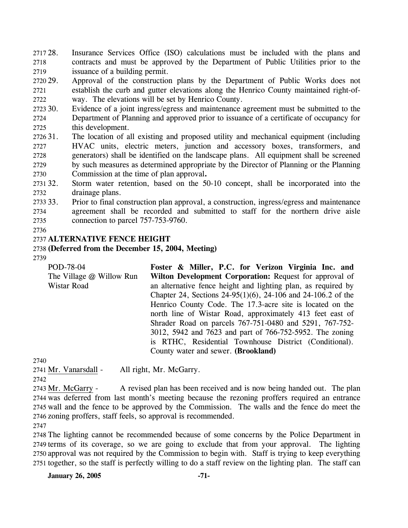2717 28. 2718 2719 Insurance Services Office (ISO) calculations must be included with the plans and contracts and must be approved by the Department of Public Utilities prior to the issuance of a building permit.

2720 29. 2721 2722 Approval of the construction plans by the Department of Public Works does not establish the curb and gutter elevations along the Henrico County maintained right-ofway. The elevations will be set by Henrico County.

2723 30. 2724 2725 Evidence of a joint ingress/egress and maintenance agreement must be submitted to the Department of Planning and approved prior to issuance of a certificate of occupancy for this development.

- 2726 31. 2727 2728 2729 2730 The location of all existing and proposed utility and mechanical equipment (including HVAC units, electric meters, junction and accessory boxes, transformers, and generators) shall be identified on the landscape plans. All equipment shall be screened by such measures as determined appropriate by the Director of Planning or the Planning Commission at the time of plan approval**.**
- 2731 32. 2732 Storm water retention, based on the 50-10 concept, shall be incorporated into the drainage plans.
- 2733 33. 2734 2735 33. Prior to final construction plan approval, a construction, ingress/egress and maintenance agreement shall be recorded and submitted to staff for the northern drive aisle connection to parcel 757-753-9760.

### 2736

# 2737 **ALTERNATIVE FENCE HEIGHT**

### 2738 **(Deferred from the December 15, 2004, Meeting)**

2739

POD-78-04 The Village @ Willow Run Wistar Road **Foster & Miller, P.C. for Verizon Virginia Inc. and Wilton Development Corporation:** Request for approval of an alternative fence height and lighting plan, as required by Chapter 24, Sections 24-95(1)(6), 24-106 and 24-106.2 of the Henrico County Code. The 17.3-acre site is located on the north line of Wistar Road, approximately 413 feet east of Shrader Road on parcels 767-751-0480 and 5291, 767-752- 3012, 5942 and 7623 and part of 766-752-5952. The zoning is RTHC, Residential Townhouse District (Conditional). County water and sewer. **(Brookland)** 

2740

2741 Mr. Vanarsdall - All right, Mr. McGarry.

2742

A revised plan has been received and is now being handed out. The plan 2744 was deferred from last month's meeting because the rezoning proffers required an entrance 2745 wall and the fence to be approved by the Commission. The walls and the fence do meet the 2746 zoning proffers, staff feels, so approval is recommended. 2743 Mr. McGarry -

2747

 The lighting cannot be recommended because of some concerns by the Police Department in terms of its coverage, so we are going to exclude that from your approval. The lighting approval was not required by the Commission to begin with. Staff is trying to keep everything together, so the staff is perfectly willing to do a staff review on the lighting plan. The staff can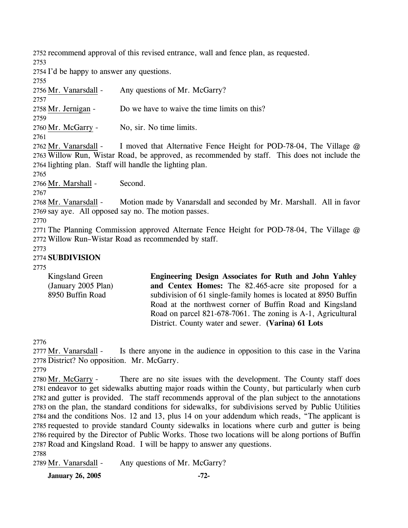2752 recommend approval of this revised entrance, wall and fence plan, as requested.

2753

2754 I'd be happy to answer any questions.

2755

2756 Mr. Vanarsdall - Any questions of Mr. McGarry? 2757 2758 Mr. Jernigan - Do we have to waive the time limits on this? 2759 2760 Mr. McGarry - No, sir. No time limits. 2761 I moved that Alternative Fence Height for POD-78-04, The Village  $@$ 2763 Willow Run, Wistar Road, be approved, as recommended by staff. This does not include the 2764 lighting plan. Staff will handle the lighting plan. 2762 Mr. Vanarsdall -2765 2766 Mr. Marshall - Second. 2767 Motion made by Vanarsdall and seconded by Mr. Marshall. All in favor 2769 say aye. All opposed say no. The motion passes. 2768 Mr. Vanarsdall -2770 2771 The Planning Commission approved Alternate Fence Height for POD-78-04, The Village @ 2772 Willow Run–Wistar Road as recommended by staff. 2773

### 2774 **SUBDIVISION**

2775

| Kingsland Green     | Engineering Design Associates for Ruth and John Yahley          |
|---------------------|-----------------------------------------------------------------|
| (January 2005 Plan) | and Centex Homes: The 82.465-acre site proposed for a           |
| 8950 Buffin Road    | subdivision of 61 single-family homes is located at 8950 Buffin |
|                     | Road at the northwest corner of Buffin Road and Kingsland       |
|                     | Road on parcel 821-678-7061. The zoning is A-1, Agricultural    |
|                     | District. County water and sewer. (Varina) 61 Lots              |

2776

Is there anyone in the audience in opposition to this case in the Varina 2778 District? No opposition. Mr. McGarry. 2777 Mr. Vanarsdall -

2779

There are no site issues with the development. The County staff does 2781 endeavor to get sidewalks abutting major roads within the County, but particularly when curb 2782 and gutter is provided. The staff recommends approval of the plan subject to the annotations 2783 on the plan, the standard conditions for sidewalks, for subdivisions served by Public Utilities 2784 and the conditions Nos. 12 and 13, plus 14 on your addendum which reads, "The applicant is 2785 requested to provide standard County sidewalks in locations where curb and gutter is being 2786 required by the Director of Public Works. Those two locations will be along portions of Buffin 2787 Road and Kingsland Road. I will be happy to answer any questions. 2780 Mr. McGarry -2788

2789 Mr. Vanarsdall - Any questions of Mr. McGarry?

**January 26, 2005 -72-**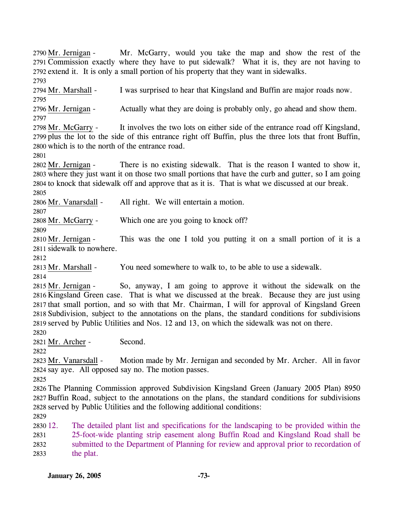Mr. McGarry, would you take the map and show the rest of the 2791 Commission exactly where they have to put sidewalk? What it is, they are not having to 2792 extend it. It is only a small portion of his property that they want in sidewalks. 2790 Mr. Jernigan -

2793 2794 Mr. Marshall - I was surprised to hear that Kingsland and Buffin are major roads now. 2795

2796 Mr. Jernigan - Actually what they are doing is probably only, go ahead and show them. 2797

It involves the two lots on either side of the entrance road off Kingsland, 2799 plus the lot to the side of this entrance right off Buffin, plus the three lots that front Buffin, 2800 which is to the north of the entrance road. 2798 Mr. McGarry -

2801

There is no existing sidewalk. That is the reason I wanted to show it, 2803 where they just want it on those two small portions that have the curb and gutter, so I am going 2804 to knock that sidewalk off and approve that as it is. That is what we discussed at our break. 2802 Mr. Jernigan -2805

2806 Mr. Vanarsdall - All right. We will entertain a motion.

2807

2808 Mr. McGarry - Which one are you going to knock off?

2809

This was the one I told you putting it on a small portion of it is a 2811 sidewalk to nowhere. 2810 Mr. Jernigan -

2812

2813 Mr. Marshall - You need somewhere to walk to, to be able to use a sidewalk.

2814

So, anyway, I am going to approve it without the sidewalk on the 2816 Kingsland Green case. That is what we discussed at the break. Because they are just using 2817 that small portion, and so with that Mr. Chairman, I will for approval of Kingsland Green 2818 Subdivision, subject to the annotations on the plans, the standard conditions for subdivisions 2819 served by Public Utilities and Nos. 12 and 13, on which the sidewalk was not on there. 2815 Mr. Jernigan -

2820

2821 Mr. Archer - Second.

2822

Motion made by Mr. Jernigan and seconded by Mr. Archer. All in favor 2824 say aye. All opposed say no. The motion passes. 2823 Mr. Vanarsdall -

2825

2826 The Planning Commission approved Subdivision Kingsland Green (January 2005 Plan) 8950 2827 Buffin Road, subject to the annotations on the plans, the standard conditions for subdivisions 2828 served by Public Utilities and the following additional conditions:

2829

2830 12. 2831 2832 2833 The detailed plant list and specifications for the landscaping to be provided within the 25-foot-wide planting strip easement along Buffin Road and Kingsland Road shall be submitted to the Department of Planning for review and approval prior to recordation of the plat.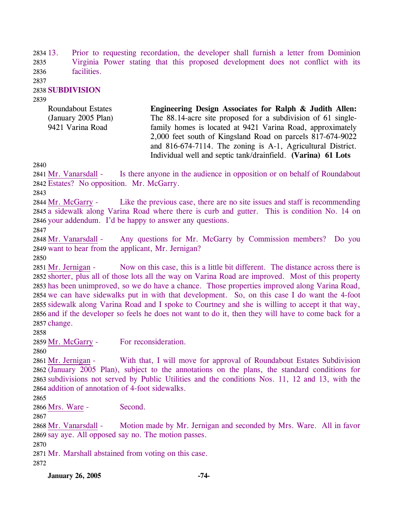2834 13. 2835 2836 13. Prior to requesting recordation, the developer shall furnish a letter from Dominion Virginia Power stating that this proposed development does not conflict with its facilities.

2837

### 2838 **SUBDIVISION**

2839

Roundabout Estates (January 2005 Plan) 9421 Varina Road **Engineering Design Associates for Ralph & Judith Allen:**  The 88.14-acre site proposed for a subdivision of 61 singlefamily homes is located at 9421 Varina Road, approximately 2,000 feet south of Kingsland Road on parcels 817-674-9022 and 816-674-7114. The zoning is A-1, Agricultural District. Individual well and septic tank/drainfield. **(Varina) 61 Lots** 

2840

Is there anyone in the audience in opposition or on behalf of Roundabout 2842 Estates? No opposition. Mr. McGarry. 2841 Mr. Vanarsdall -

2843

Like the previous case, there are no site issues and staff is recommending 2845 a sidewalk along Varina Road where there is curb and gutter. This is condition No. 14 on 2846 your addendum. I'd be happy to answer any questions. 2844 Mr. McGarry -

2847

Any questions for Mr. McGarry by Commission members? Do you 2849 want to hear from the applicant, Mr. Jernigan? 2848 Mr. Vanarsdall -

2850

Now on this case, this is a little bit different. The distance across there is 2852 shorter, plus all of those lots all the way on Varina Road are improved. Most of this property 2853 has been unimproved, so we do have a chance. Those properties improved along Varina Road, 2854 we can have sidewalks put in with that development. So, on this case I do want the 4-foot 2855 sidewalk along Varina Road and I spoke to Courtney and she is willing to accept it that way, 2856 and if the developer so feels he does not want to do it, then they will have to come back for a 2857 change. 2851 Mr. Jernigan -

2858

2859 Mr. McGarry - For reconsideration.

2860

With that, I will move for approval of Roundabout Estates Subdivision 2862 (January 2005 Plan), subject to the annotations on the plans, the standard conditions for 2863 subdivisions not served by Public Utilities and the conditions Nos. 11, 12 and 13, with the 2864 addition of annotation of 4-foot sidewalks. 2861 Mr. Jernigan -

2865

2866 Mrs. Ware - Second.

2867

Motion made by Mr. Jernigan and seconded by Mrs. Ware. All in favor 2869 say aye. All opposed say no. The motion passes. 2868 Mr. Vanarsdall -

2870

2871 Mr. Marshall abstained from voting on this case.

2872

**January 26, 2005 -74-**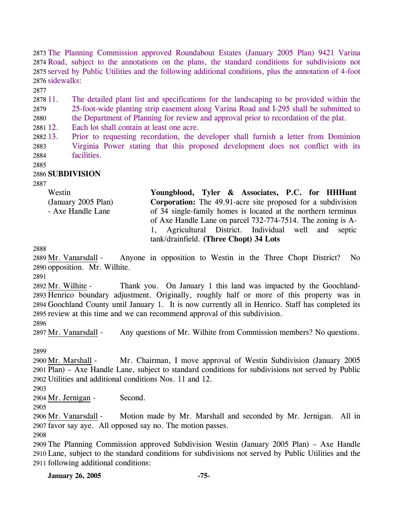The Planning Commission approved Roundabout Estates (January 2005 Plan) 9421 Varina Road, subject to the annotations on the plans, the standard conditions for subdivisions not served by Public Utilities and the following additional conditions, plus the annotation of 4-foot sidewalks:

2877

2878 11. 2879 11. The detailed plant list and specifications for the landscaping to be provided within the 25-foot-wide planting strip easement along Varina Road and I-295 shall be submitted to

2880 the Department of Planning for review and approval prior to recordation of the plat.

2881 12. Each lot shall contain at least one acre.

2882 13. 2883 2884 13. Prior to requesting recordation, the developer shall furnish a letter from Dominion Virginia Power stating that this proposed development does not conflict with its facilities.

2885

### 2886 **SUBDIVISION**

2887

| Westin              | Youngblood, Tyler & Associates, P.C. for HHHunt                    |  |  |  |
|---------------------|--------------------------------------------------------------------|--|--|--|
| (January 2005 Plan) | <b>Corporation:</b> The 49.91-acre site proposed for a subdivision |  |  |  |
| - Axe Handle Lane   | of 34 single-family homes is located at the northern terminus      |  |  |  |
|                     | of Axe Handle Lane on parcel 732-774-7514. The zoning is A-        |  |  |  |
|                     | 1, Agricultural District. Individual well and septic               |  |  |  |
|                     | tank/drainfield. (Three Chopt) 34 Lots                             |  |  |  |

2888

Anyone in opposition to Westin in the Three Chopt District? No 2890 opposition. Mr. Wilhite. 2889 Mr. Vanarsdall -

2891

Thank you. On January 1 this land was impacted by the Goochland-2893 Henrico boundary adjustment. Originally, roughly half or more of this property was in 2894 Goochland County until January 1. It is now currently all in Henrico. Staff has completed its 2895 review at this time and we can recommend approval of this subdivision. 2892 Mr. Wilhite -

2896

2897 Mr. Vanarsdall - Any questions of Mr. Wilhite from Commission members? No questions.

2899

Mr. Chairman, I move approval of Westin Subdivision (January 2005) 2901 Plan) – Axe Handle Lane, subject to standard conditions for subdivisions not served by Public Utilities and additional conditions Nos. 11 and 12. 2902 2900 Mr. Marshall -

2903

2904 Mr. Jernigan - Second.

2905

Motion made by Mr. Marshall and seconded by Mr. Jernigan. All in 2907 favor say aye. All opposed say no. The motion passes. 2906 Mr. Vanarsdall -

2908

2909 The Planning Commission approved Subdivision Westin (January 2005 Plan) – Axe Handle 2910 Lane, subject to the standard conditions for subdivisions not served by Public Utilities and the 2911 following additional conditions: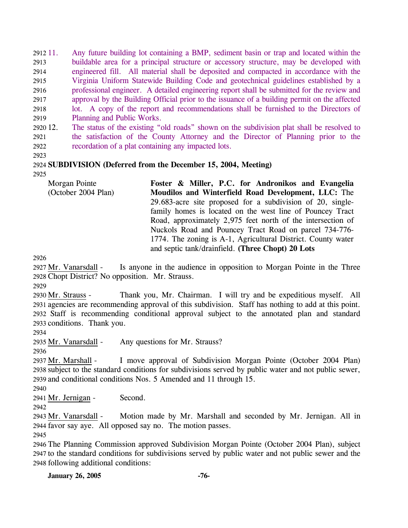2912 11. 2913 2914 2915 2916 2917 2918 2919 11. Any future building lot containing a BMP, sediment basin or trap and located within the buildable area for a principal structure or accessory structure, may be developed with engineered fill. All material shall be deposited and compacted in accordance with the Virginia Uniform Statewide Building Code and geotechnical guidelines established by a professional engineer. A detailed engineering report shall be submitted for the review and approval by the Building Official prior to the issuance of a building permit on the affected lot. A copy of the report and recommendations shall be furnished to the Directors of Planning and Public Works.

2920 12. 2921 2922 The status of the existing "old roads" shown on the subdivision plat shall be resolved to the satisfaction of the County Attorney and the Director of Planning prior to the recordation of a plat containing any impacted lots.

2923

### 2924 **SUBDIVISION (Deferred from the December 15, 2004, Meeting)**

2925

| Moudilos and Winterfield Road Development, LLC: The          |
|--------------------------------------------------------------|
|                                                              |
| 29.683-acre site proposed for a subdivision of 20, single-   |
| family homes is located on the west line of Pouncey Tract    |
| Road, approximately 2,975 feet north of the intersection of  |
| Nuckols Road and Pouncey Tract Road on parcel 734-776-       |
| 1774. The zoning is A-1, Agricultural District. County water |
|                                                              |
|                                                              |

2926

Is anyone in the audience in opposition to Morgan Pointe in the Three 2928 Chopt District? No opposition. Mr. Strauss. 2927 Mr. Vanarsdall -

2929

Thank you, Mr. Chairman. I will try and be expeditious myself. All 2931 agencies are recommending approval of this subdivision. Staff has nothing to add at this point. 2932 Staff is recommending conditional approval subject to the annotated plan and standard 2933 conditions. Thank you. 2930 Mr. Strauss -

2934

2935 Mr. Vanarsdall - Any questions for Mr. Strauss?

2936

I move approval of Subdivision Morgan Pointe (October 2004 Plan) 2938 subject to the standard conditions for subdivisions served by public water and not public sewer, 2939 and conditional conditions Nos. 5 Amended and 11 through 15. 2937 Mr. Marshall -

2940

2941 Mr. Jernigan - Second.

2942

Motion made by Mr. Marshall and seconded by Mr. Jernigan. All in 2944 favor say aye. All opposed say no. The motion passes. 2943 Mr. Vanarsdall -

2945

2946 The Planning Commission approved Subdivision Morgan Pointe (October 2004 Plan), subject 2947 to the standard conditions for subdivisions served by public water and not public sewer and the 2948 following additional conditions:

**January 26, 2005 -76-**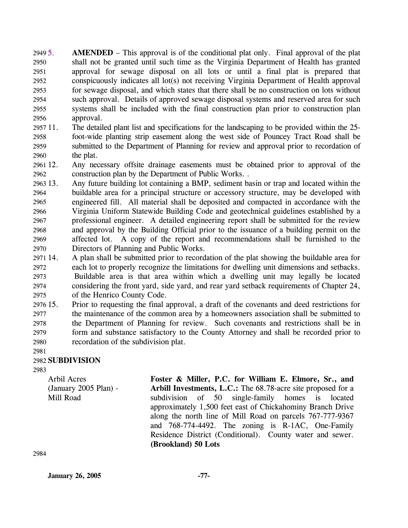2949 5. 2950 2951 2952 2953 2954 2955 2956 **AMENDED** – This approval is of the conditional plat only. Final approval of the plat shall not be granted until such time as the Virginia Department of Health has granted approval for sewage disposal on all lots or until a final plat is prepared that conspicuously indicates all lot(s) not receiving Virginia Department of Health approval for sewage disposal, and which states that there shall be no construction on lots without such approval. Details of approved sewage disposal systems and reserved area for such systems shall be included with the final construction plan prior to construction plan approval.

- 2957 11. 2958 2959 2960 The detailed plant list and specifications for the landscaping to be provided within the 25foot-wide planting strip easement along the west side of Pouncey Tract Road shall be submitted to the Department of Planning for review and approval prior to recordation of the plat.
- 2961 12. 2962 Any necessary offsite drainage easements must be obtained prior to approval of the construction plan by the Department of Public Works. .
- 2963 13. 2964 2965 2966 2967 2968 2969 2970 Any future building lot containing a BMP, sediment basin or trap and located within the buildable area for a principal structure or accessory structure, may be developed with engineered fill. All material shall be deposited and compacted in accordance with the Virginia Uniform Statewide Building Code and geotechnical guidelines established by a professional engineer. A detailed engineering report shall be submitted for the review and approval by the Building Official prior to the issuance of a building permit on the affected lot. A copy of the report and recommendations shall be furnished to the Directors of Planning and Public Works.
- 2971 14. 2972 2973 2974 2975 14. A plan shall be submitted prior to recordation of the plat showing the buildable area for each lot to properly recognize the limitations for dwelling unit dimensions and setbacks. Buildable area is that area within which a dwelling unit may legally be located considering the front yard, side yard, and rear yard setback requirements of Chapter 24, of the Henrico County Code.
- 2976 15. 2977 2978 2979 2980 2981 15. Prior to requesting the final approval, a draft of the covenants and deed restrictions for the maintenance of the common area by a homeowners association shall be submitted to the Department of Planning for review. Such covenants and restrictions shall be in form and substance satisfactory to the County Attorney and shall be recorded prior to recordation of the subdivision plat.

# 2982 **SUBDIVISION**

2983

Arbil Acres (January 2005 Plan) - Mill Road

**Foster & Miller, P.C. for William E. Elmore, Sr., and Arbill Investments, L.C.:** The 68.78-acre site proposed for a subdivision of 50 single-family homes is located approximately 1,500 feet east of Chickahominy Branch Drive along the north line of Mill Road on parcels 767-777-9367 and 768-774-4492. The zoning is R-1AC, One-Family Residence District (Conditional). County water and sewer. **(Brookland) 50 Lots** 

2984

**January 26, 2005 -77-**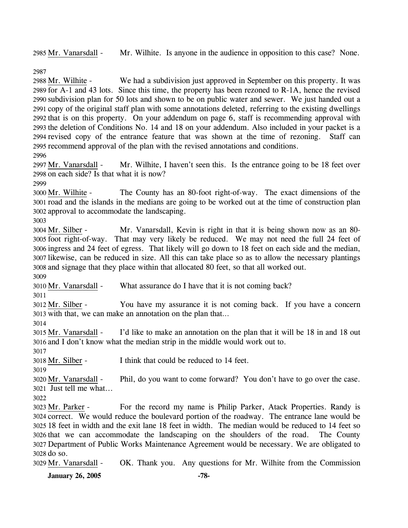2985 Mr. Vanarsdall - Mr. Wilhite. Is anyone in the audience in opposition to this case? None.

2987

We had a subdivision just approved in September on this property. It was 2989 for A-1 and 43 lots. Since this time, the property has been rezoned to R-1A, hence the revised 2990 subdivision plan for 50 lots and shown to be on public water and sewer. We just handed out a 2991 copy of the original staff plan with some annotations deleted, referring to the existing dwellings 2992 that is on this property. On your addendum on page 6, staff is recommending approval with 2993 the deletion of Conditions No. 14 and 18 on your addendum. Also included in your packet is a 2994 revised copy of the entrance feature that was shown at the time of rezoning. Staff can 2995 recommend approval of the plan with the revised annotations and conditions. 2988 Mr. Wilhite -2996

Mr. Wilhite, I haven't seen this. Is the entrance going to be 18 feet over 2998 on each side? Is that what it is now? 2997 Mr. Vanarsdall -

2999

The County has an 80-foot right-of-way. The exact dimensions of the 3001 road and the islands in the medians are going to be worked out at the time of construction plan 3002 approval to accommodate the landscaping. 3000 Mr. Wilhite -

3003

Mr. Vanarsdall, Kevin is right in that it is being shown now as an 80-3005 foot right-of-way. That may very likely be reduced. We may not need the full 24 feet of 3006 ingress and 24 feet of egress. That likely will go down to 18 feet on each side and the median, 3007 likewise, can be reduced in size. All this can take place so as to allow the necessary plantings and signage that they place within that allocated 80 feet, so that all worked out. 3008 3004 Mr. Silber -3009

3010 Mr. Vanarsdall - What assurance do I have that it is not coming back?

3011

You have my assurance it is not coming back. If you have a concern 3013 with that, we can make an annotation on the plan that... 3012 Mr. Silber -

3014

I'd like to make an annotation on the plan that it will be 18 in and 18 out 3016 and I don't know what the median strip in the middle would work out to. 3015 Mr. Vanarsdall -

3017

3018 Mr. Silber - I think that could be reduced to 14 feet.

3019

Phil, do you want to come forward? You don't have to go over the case. Just tell me what... 3021 3020 Mr. Vanarsdall -

3022

For the record my name is Philip Parker, Atack Properties. Randy is 3024 correct. We would reduce the boulevard portion of the roadway. The entrance lane would be 18 feet in width and the exit lane 18 feet in width. The median would be reduced to 14 feet so 3025 3026 that we can accommodate the landscaping on the shoulders of the road. The County Department of Public Works Maintenance Agreement would be necessary. We are obligated to 3027 3028 do so. 3023 Mr. Parker -

3029 Mr. Vanarsdall - OK. Thank you. Any questions for Mr. Wilhite from the Commission

**January 26, 2005 -78-**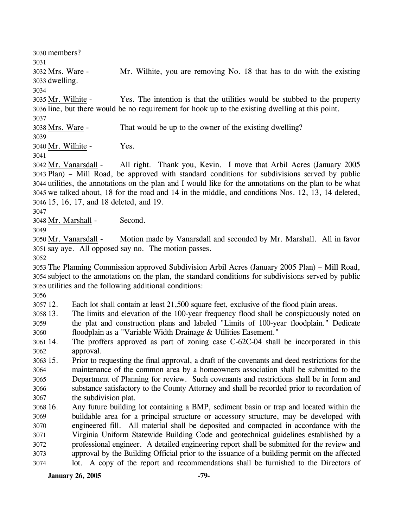3030 members? 3031 Mr. Wilhite, you are removing No. 18 that has to do with the existing 3033 dwelling. 3032 Mrs. Ware -3034 Yes. The intention is that the utilities would be stubbed to the property 3036 line, but there would be no requirement for hook up to the existing dwelling at this point. 3035 Mr. Wilhite -3037 3038 Mrs. Ware - That would be up to the owner of the existing dwelling? 3039 3040 Mr. Wilhite - Yes. 3041 All right. Thank you, Kevin. I move that Arbil Acres (January 2005) Plan) – Mill Road, be approved with standard conditions for subdivisions served by public 3043 3044 utilities, the annotations on the plan and I would like for the annotations on the plan to be what 3045 we talked about, 18 for the road and 14 in the middle, and conditions Nos. 12, 13, 14 deleted, 15, 16, 17, and 18 deleted, and 19. 3046 3042 Mr. Vanarsdall -3047 3048 Mr. Marshall - Second. 3049 Motion made by Vanarsdall and seconded by Mr. Marshall. All in favor 3051 say aye. All opposed say no. The motion passes. 3050 Mr. Vanarsdall -3052 3053 The Planning Commission approved Subdivision Arbil Acres (January 2005 Plan) – Mill Road, 3054 subject to the annotations on the plan, the standard conditions for subdivisions served by public 3055 utilities and the following additional conditions: 3056 3057 12. 3058 13. 3059 3060 3061 3062 3063 15. 3064 3065 3066 3067 Each lot shall contain at least 21,500 square feet, exclusive of the flood plain areas. 13. The limits and elevation of the 100-year frequency flood shall be conspicuously noted on the plat and construction plans and labeled "Limits of 100-year floodplain." Dedicate floodplain as a "Variable Width Drainage & Utilities Easement." The proffers approved as part of zoning case  $C$ -62C-04 shall be incorporated in this approval. 15. Prior to requesting the final approval, a draft of the covenants and deed restrictions for the maintenance of the common area by a homeowners association shall be submitted to the Department of Planning for review. Such covenants and restrictions shall be in form and substance satisfactory to the County Attorney and shall be recorded prior to recordation of the subdivision plat.

3068 16. 3069 3070 3071 3072 3073 3074 Any future building lot containing a BMP, sediment basin or trap and located within the buildable area for a principal structure or accessory structure, may be developed with engineered fill. All material shall be deposited and compacted in accordance with the Virginia Uniform Statewide Building Code and geotechnical guidelines established by a professional engineer. A detailed engineering report shall be submitted for the review and approval by the Building Official prior to the issuance of a building permit on the affected lot. A copy of the report and recommendations shall be furnished to the Directors of

**January 26, 2005 -79-**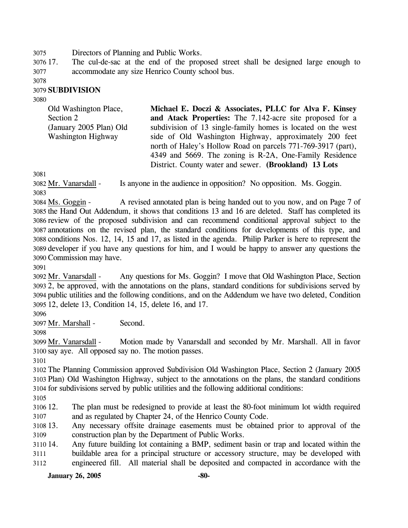3075 Directors of Planning and Public Works.

3076 17. 3077 The cul-de-sac at the end of the proposed street shall be designed large enough to accommodate any size Henrico County school bus.

3078

#### 3079 **SUBDIVISION**

3080

| Old Washington Place,   | Michael E. Doczi & Associates, PLLC for Alva F. Kinsey       |
|-------------------------|--------------------------------------------------------------|
| Section 2               | and Atack Properties: The 7.142-acre site proposed for a     |
| (January 2005 Plan) Old | subdivision of 13 single-family homes is located on the west |
| Washington Highway      | side of Old Washington Highway, approximately 200 feet       |
|                         | north of Haley's Hollow Road on parcels 771-769-3917 (part), |
|                         | 4349 and 5669. The zoning is R-2A, One-Family Residence      |
|                         | District. County water and sewer. (Brookland) 13 Lots        |

3081

3082 Mr. Vanarsdall - Is anyone in the audience in opposition? No opposition. Ms. Goggin. 3083

A revised annotated plan is being handed out to you now, and on Page 7 of 3085 the Hand Out Addendum, it shows that conditions 13 and 16 are deleted. Staff has completed its 3086 review of the proposed subdivision and can recommend conditional approval subject to the annotations on the revised plan, the standard conditions for developments of this type, and 3087 3088 conditions Nos. 12, 14, 15 and 17, as listed in the agenda. Philip Parker is here to represent the 3089 developer if you have any questions for him, and I would be happy to answer any questions the 3090 Commission may have. 3084 Ms. Goggin -

3091

Any questions for Ms. Goggin? I move that Old Washington Place, Section 2, be approved, with the annotations on the plans, standard conditions for subdivisions served by 3093 3094 public utilities and the following conditions, and on the Addendum we have two deleted, Condition 12, delete 13, Condition 14, 15, delete 16, and 17. 3095 3092 Mr. Vanarsdall -

#### 3096

3097 Mr. Marshall - Second.

3098

Motion made by Vanarsdall and seconded by Mr. Marshall. All in favor 3100 say aye. All opposed say no. The motion passes. 3099 Mr. Vanarsdall -

3101

3102 The Planning Commission approved Subdivision Old Washington Place, Section 2 (January 2005 3103 Plan) Old Washington Highway, subject to the annotations on the plans, the standard conditions 3104 for subdivisions served by public utilities and the following additional conditions:

3105

3106 12. 3107 The plan must be redesigned to provide at least the 80-foot minimum lot width required and as regulated by Chapter 24, of the Henrico County Code.

3108 13. 3109 Any necessary offsite drainage easements must be obtained prior to approval of the construction plan by the Department of Public Works.

3110 14. 3111 3112 14. Any future building lot containing a BMP, sediment basin or trap and located within the buildable area for a principal structure or accessory structure, may be developed with engineered fill. All material shall be deposited and compacted in accordance with the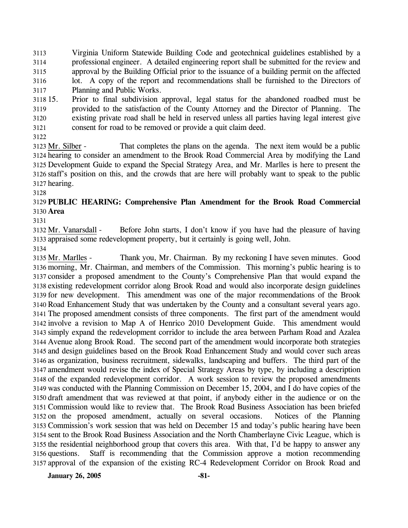3113 3114 3115 3116 3117 Virginia Uniform Statewide Building Code and geotechnical guidelines established by a professional engineer. A detailed engineering report shall be submitted for the review and approval by the Building Official prior to the issuance of a building permit on the affected lot. A copy of the report and recommendations shall be furnished to the Directors of Planning and Public Works.

3118 15. 3119 3120 3121 15. Prior to final subdivision approval, legal status for the abandoned roadbed must be provided to the satisfaction of the County Attorney and the Director of Planning. The existing private road shall be held in reserved unless all parties having legal interest give consent for road to be removed or provide a quit claim deed.

3122

That completes the plans on the agenda. The next item would be a public 3124 hearing to consider an amendment to the Brook Road Commercial Area by modifying the Land 3125 Development Guide to expand the Special Strategy Area, and Mr. Marlles is here to present the staff's position on this, and the crowds that are here will probably want to speak to the public 3126 3127 hearing. 3123 Mr. Silber -

# 3129 **PUBLIC HEARING: Comprehensive Plan Amendment for the Brook Road Commercial**  3130 **Area**

3131

3128

Before John starts, I don't know if you have had the pleasure of having 3133 appraised some redevelopment property, but it certainly is going well, John. 3132 Mr. Vanarsdall -

3134

Thank you, Mr. Chairman. By my reckoning I have seven minutes. Good 3136 morning, Mr. Chairman, and members of the Commission. This morning's public hearing is to 3137 consider a proposed amendment to the County's Comprehensive Plan that would expand the 3138 existing redevelopment corridor along Brook Road and would also incorporate design guidelines 3139 for new development. This amendment was one of the major recommendations of the Brook 3140 Road Enhancement Study that was undertaken by the County and a consultant several years ago. 3141 The proposed amendment consists of three components. The first part of the amendment would 3142 involve a revision to Map A of Henrico 2010 Development Guide. This amendment would simply expand the redevelopment corridor to include the area between Parham Road and Azalea 3143 Avenue along Brook Road. The second part of the amendment would incorporate both strategies 3144 3145 and design guidelines based on the Brook Road Enhancement Study and would cover such areas 3146 as organization, business recruitment, sidewalks, landscaping and buffers. The third part of the 3147 amendment would revise the index of Special Strategy Areas by type, by including a description 3148 of the expanded redevelopment corridor. A work session to review the proposed amendments 3149 was conducted with the Planning Commission on December 15, 2004, and I do have copies of the 3150 draft amendment that was reviewed at that point, if anybody either in the audience or on the 3151 Commission would like to review that. The Brook Road Business Association has been briefed 3152 on the proposed amendment, actually on several occasions. Notices of the Planning 3153 Commission's work session that was held on December 15 and today's public hearing have been 3154 sent to the Brook Road Business Association and the North Chamberlayne Civic League, which is 3155 the residential neighborhood group that covers this area. With that, I'd be happy to answer any Staff is recommending that the Commission approve a motion recommending 3157 approval of the expansion of the existing RC-4 Redevelopment Corridor on Brook Road and 3135 Mr. Marlles -3156 questions.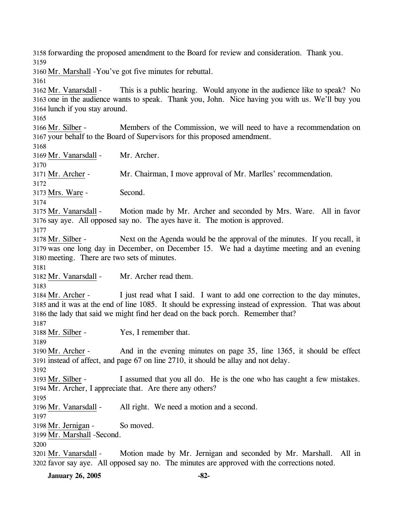3158 forwarding the proposed amendment to the Board for review and consideration. Thank you. 3159

3160 Mr. Marshall - You've got five minutes for rebuttal.

3161

This is a public hearing. Would anyone in the audience like to speak? No 3163 one in the audience wants to speak. Thank you, John. Nice having you with us. We'll buy you 3164 lunch if you stay around. 3162 Mr. Vanarsdall -

3165

Members of the Commission, we will need to have a recommendation on 3167 your behalf to the Board of Supervisors for this proposed amendment. 3166 Mr. Silber -

3168

3170

3169 Mr. Vanarsdall - Mr. Archer.

3171 Mr. Archer - Mr. Chairman, I move approval of Mr. Marlles' recommendation.

3172

3173 Mrs. Ware - Second.

3174

Motion made by Mr. Archer and seconded by Mrs. Ware. All in favor 3176 say aye. All opposed say no. The ayes have it. The motion is approved. 3175 Mr. Vanarsdall -

3177

Next on the Agenda would be the approval of the minutes. If you recall, it 3179 was one long day in December, on December 15. We had a daytime meeting and an evening 3180 meeting. There are two sets of minutes. 3178 Mr. Silber -

3181

3182 Mr. Vanarsdall - Mr. Archer read them.

3183

I just read what I said. I want to add one correction to the day minutes, 3185 and it was at the end of line 1085. It should be expressing instead of expression. That was about 3186 the lady that said we might find her dead on the back porch. Remember that? 3184 Mr. Archer -

3187

3188 Mr. Silber - Yes, I remember that.

3189

And in the evening minutes on page 35, line 1365, it should be effect 3191 instead of affect, and page 67 on line 2710, it should be allay and not delay. 3190 Mr. Archer -

3192

I assumed that you all do. He is the one who has caught a few mistakes. 3194 Mr. Archer, I appreciate that. Are there any others? 3193 Mr. Silber -

3195

3196 Mr. Vanarsdall - All right. We need a motion and a second.

3197

3198 Mr. Jernigan - So moved.

3199 Mr. Marshall - Second.

3200

Motion made by Mr. Jernigan and seconded by Mr. Marshall. All in 3202 favor say aye. All opposed say no. The minutes are approved with the corrections noted. 3201 Mr. Vanarsdall -

**January 26, 2005 -82-**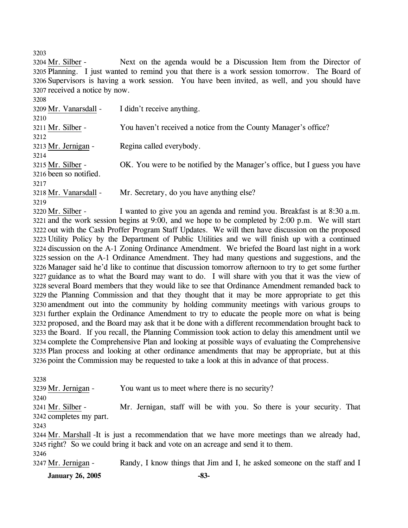3203

Next on the agenda would be a Discussion Item from the Director of 3205 Planning. I just wanted to remind you that there is a work session tomorrow. The Board of 3206 Supervisors is having a work session. You have been invited, as well, and you should have 3207 received a notice by now. 3204 Mr. Silber -

| 3208                         |                                                                                    |
|------------------------------|------------------------------------------------------------------------------------|
| 3209 Mr. Vanarsdall -        | I didn't receive anything.                                                         |
| 3210                         |                                                                                    |
| 3211 Mr. Silber -            | You haven't received a notice from the County Manager's office?                    |
| 3212                         |                                                                                    |
| 3213 Mr. Jernigan -          | Regina called everybody.                                                           |
| 3214                         |                                                                                    |
| 3215 Mr. Silber -            | OK. You were to be notified by the Manager's office, but I guess you have          |
| 3216 been so notified.       |                                                                                    |
| 3217                         |                                                                                    |
| 3218 Mr. Vanarsdall -        | Mr. Secretary, do you have anything else?                                          |
| 3219                         |                                                                                    |
| $2220$ M <sub>n</sub> Cilhon | I wonted to give you an eganda and ramind you. Dreakfact is at $0.20 \text{ s}$ m. |

I wanted to give you an agenda and remind you. Breakfast is at 8:30 a.m. 3221 and the work session begins at 9:00, and we hope to be completed by 2:00 p.m. We will start 3222 out with the Cash Proffer Program Staff Updates. We will then have discussion on the proposed 3223 Utility Policy by the Department of Public Utilities and we will finish up with a continued 3224 discussion on the A-1 Zoning Ordinance Amendment. We briefed the Board last night in a work 3225 session on the A-1 Ordinance Amendment. They had many questions and suggestions, and the 3226 Manager said he'd like to continue that discussion tomorrow afternoon to try to get some further 3227 guidance as to what the Board may want to do. I will share with you that it was the view of several Board members that they would like to see that Ordinance Amendment remanded back to 3228 3229 the Planning Commission and that they thought that it may be more appropriate to get this 3230 amendment out into the community by holding community meetings with various groups to 3231 further explain the Ordinance Amendment to try to educate the people more on what is being 3232 proposed, and the Board may ask that it be done with a different recommendation brought back to 3233 the Board. If you recall, the Planning Commission took action to delay this amendment until we 3234 complete the Comprehensive Plan and looking at possible ways of evaluating the Comprehensive 3235 Plan process and looking at other ordinance amendments that may be appropriate, but at this 3236 point the Commission may be requested to take a look at this in advance of that process. 3220 Mr. Silber -

| 3238                    |                                                                                                |
|-------------------------|------------------------------------------------------------------------------------------------|
| 3239 Mr. Jernigan -     | You want us to meet where there is no security?                                                |
| 3240                    |                                                                                                |
| 3241 Mr. Silber -       | Mr. Jernigan, staff will be with you. So there is your security. That                          |
| 3242 completes my part. |                                                                                                |
| 3243                    |                                                                                                |
|                         | 3244 Mr. Marshall -It is just a recommendation that we have more meetings than we already had, |
|                         | 3245 right? So we could bring it back and vote on an acreage and send it to them.              |
| 3246                    |                                                                                                |
| 3247 Mr. Jernigan -     | Randy, I know things that Jim and I, he asked someone on the staff and I                       |
|                         |                                                                                                |

**January 26, 2005 -83-**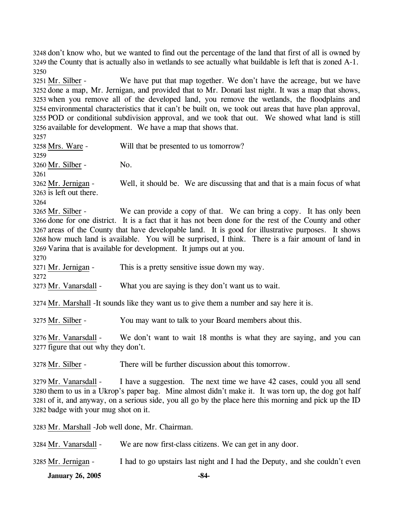3248 don't know who, but we wanted to find out the percentage of the land that first of all is owned by 3249 the County that is actually also in wetlands to see actually what buildable is left that is zoned A-1. 3250

We have put that map together. We don't have the acreage, but we have 3252 done a map, Mr. Jernigan, and provided that to Mr. Donati last night. It was a map that shows, 3253 when you remove all of the developed land, you remove the wetlands, the floodplains and 3254 environmental characteristics that it can't be built on, we took out areas that have plan approval, 3255 POD or conditional subdivision approval, and we took that out. We showed what land is still 3256 available for development. We have a map that shows that. 3251 Mr. Silber -

 $325 - 77$ 

| 3257                                            |                                                                                                         |
|-------------------------------------------------|---------------------------------------------------------------------------------------------------------|
| 3258 Mrs. Ware -                                | Will that be presented to us tomorrow?                                                                  |
| 3259                                            |                                                                                                         |
| 3260 Mr. Silber -                               | No.                                                                                                     |
| 3261                                            |                                                                                                         |
| 3262 Mr. Jernigan -                             | Well, it should be. We are discussing that and that is a main focus of what                             |
| 3263 is left out there.                         |                                                                                                         |
| 3264                                            |                                                                                                         |
| 3265 Mr. Silber -                               | We can provide a copy of that. We can bring a copy. It has only been                                    |
|                                                 | 3266 done for one district. It is a fact that it has not been done for the rest of the County and other |
|                                                 | 3267 areas of the County that have developable land. It is good for illustrative purposes. It shows     |
|                                                 | 3268 how much land is available. You will be surprised, I think. There is a fair amount of land in      |
|                                                 | 3269 Varina that is available for development. It jumps out at you.                                     |
| 3270                                            |                                                                                                         |
| 3271 Mr. Jernigan -                             | This is a pretty sensitive issue down my way.                                                           |
| 3272                                            |                                                                                                         |
| 3273 Mr. Vanarsdall -                           | What you are saying is they don't want us to wait.                                                      |
|                                                 | 3274 Mr. Marshall -It sounds like they want us to give them a number and say here it is.                |
| 3275 Mr. Silber -                               | You may want to talk to your Board members about this.                                                  |
| 3276 Mr. Vanarsdall -                           | We don't want to wait 18 months is what they are saying, and you can                                    |
| 3277 figure that out why they don't.            |                                                                                                         |
| 3278 Mr. Silber -                               | There will be further discussion about this tomorrow.                                                   |
| 3279 Mr. Vanarsdall -                           | I have a suggestion. The next time we have 42 cases, could you all send                                 |
|                                                 | 3280 them to us in a Ukrop's paper bag. Mine almost didn't make it. It was torn up, the dog got half    |
|                                                 | 3281 of it, and anyway, on a serious side, you all go by the place here this morning and pick up the ID |
| 3282 badge with your mug shot on it.            |                                                                                                         |
| 3283 Mr. Marshall -Job well done, Mr. Chairman. |                                                                                                         |
| 3284 Mr. Vanarsdall -                           | We are now first-class citizens. We can get in any door.                                                |

**January 26, 2005 -84-** 3285 Mr. Jernigan - I had to go upstairs last night and I had the Deputy, and she couldn't even